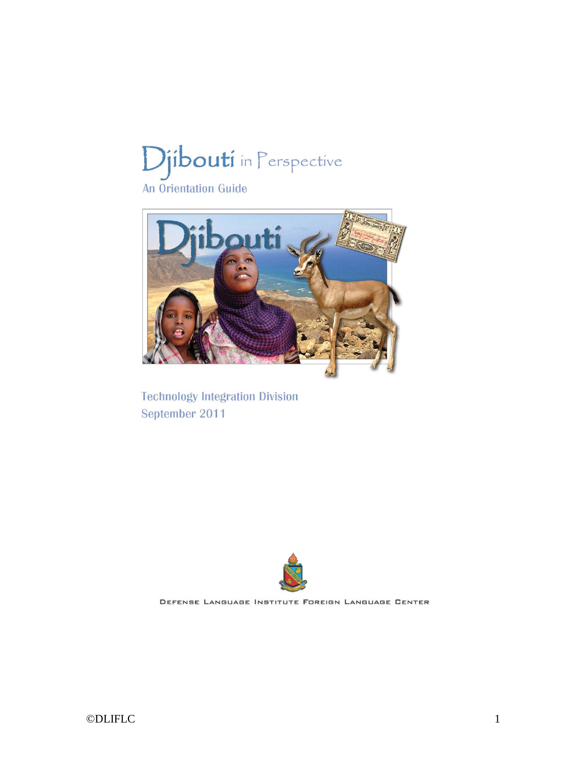# Djibouti in Perspective An Orientation Guide



**Technology Integration Division** September 2011



DEFENSE LANGUAGE INSTITUTE FOREIGN LANGUAGE CENTER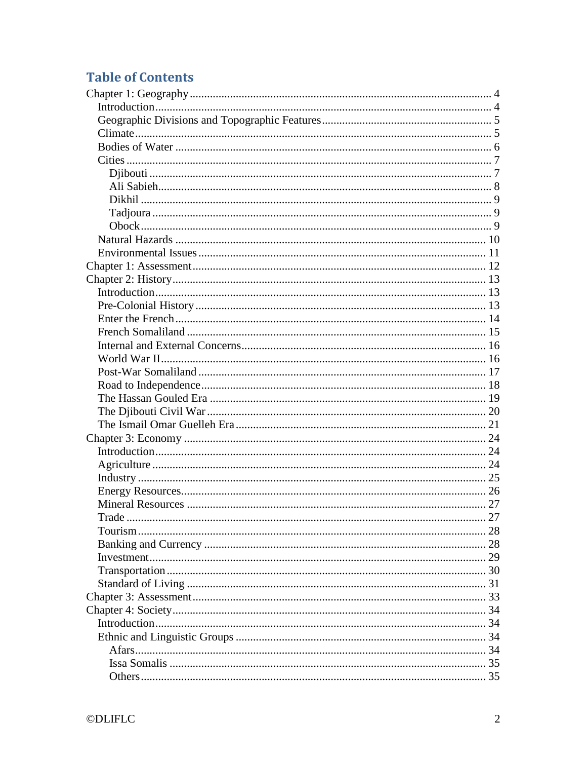# **Table of Contents**

| .27 |
|-----|
|     |
|     |
|     |
|     |
|     |
|     |
|     |
|     |
|     |
|     |
|     |
|     |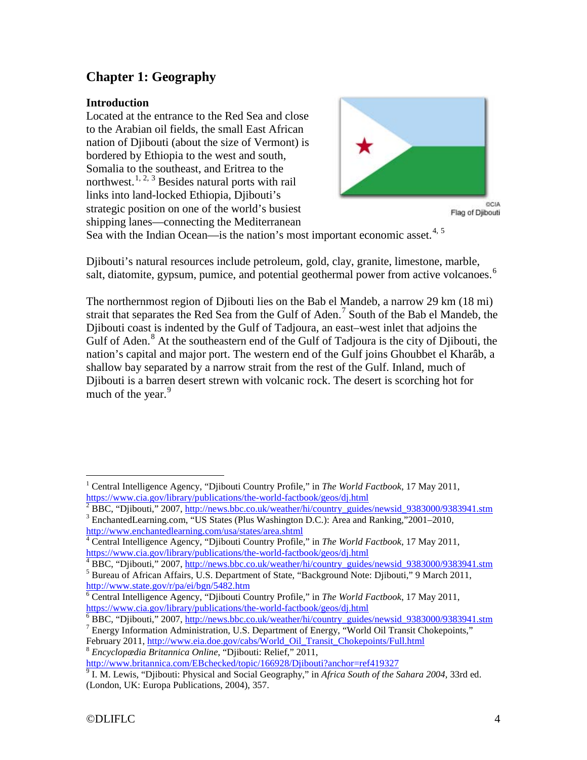# <span id="page-3-0"></span>**Chapter 1: Geography**

# <span id="page-3-1"></span>**Introduction**

Located at the entrance to the Red Sea and close to the Arabian oil fields, the small East African nation of Djibouti (about the size of Vermont) is bordered by Ethiopia to the west and south, Somalia to the southeast, and Eritrea to the northwest.<sup>[1,](#page-3-2) [2](#page-3-3), [3](#page-3-4)</sup> Besides natural ports with rail links into land-locked Ethiopia, Djibouti's strategic position on one of the world's busiest shipping lanes—connecting the Mediterranean



CCIA Flag of Djibouti

Sea with the Indian Ocean—is the nation's most important economic asset.<sup>[4](#page-3-5), [5](#page-3-6)</sup>

Djibouti's natural resources include petroleum, gold, clay, granite, limestone, marble, salt, diatomite, gypsum, pumice, and potential geothermal power from active volcanoes.<sup>[6](#page-3-7)</sup>

The northernmost region of Djibouti lies on the Bab el Mandeb, a narrow 29 km (18 mi) strait that separates the Red Sea from the Gulf of Aden.<sup>[7](#page-3-8)</sup> South of the Bab el Mandeb, the Djibouti coast is indented by the Gulf of Tadjoura, an east–west inlet that adjoins the Gulf of Aden.<sup>[8](#page-3-9)</sup> At the southeastern end of the Gulf of Tadjoura is the city of Djibouti, the nation's capital and major port. The western end of the Gulf joins Ghoubbet el Kharâb, a shallow bay separated by a narrow strait from the rest of the Gulf. Inland, much of Djibouti is a barren desert strewn with volcanic rock. The desert is scorching hot for much of the year.<sup>[9](#page-3-10)</sup>

<span id="page-3-9"></span><span id="page-3-8"></span>February 2011[, http://www.eia.doe.gov/cabs/World\\_Oil\\_Transit\\_Chokepoints/Full.html](http://www.eia.doe.gov/cabs/World_Oil_Transit_Chokepoints/Full.html) <sup>8</sup> *Encyclopædia Britannica Online*, "Djibouti: Relief," 2011,

<span id="page-3-2"></span><sup>&</sup>lt;sup>1</sup> Central Intelligence Agency, "Djibouti Country Profile," in *The World Factbook*, 17 May 2011, https://www.cia.gov/library/publications/the-world-factbook/geos/dj.html

<span id="page-3-3"></span> $\frac{1}{2}$  BBC, "Djibouti," 2007, [http://news.bbc.co.uk/weather/hi/country\\_guides/newsid\\_9383000/9383941.stm](http://news.bbc.co.uk/weather/hi/country_guides/newsid_9383000/9383941.stm)

<span id="page-3-4"></span><http://www.enchantedlearning.com/usa/states/area.shtml>

<span id="page-3-5"></span><sup>&</sup>lt;sup>4</sup> Central Intelligence Agency, "Djibouti Country Profile," in *The World Factbook*, 17 May 2011,<br>https://www.cia.gov/library/publications/the-world-factbook/geos/dj.html<br><sup>4</sup> BBC "Diibouti " 2007, 111 | | | | | | | | | |

<sup>&</sup>lt;sup>4</sup> BBC, "Djibouti," 2007, [http://news.bbc.co.uk/weather/hi/country\\_guides/newsid\\_9383000/9383941.stm](http://news.bbc.co.uk/weather/hi/country_guides/newsid_9383000/9383941.stm) <sup>5</sup> Bureau of African Affairs, U.S. Department of State, "Background Note: Djibouti," 9 March 2011,

<span id="page-3-6"></span><http://www.state.gov/r/pa/ei/bgn/5482.htm>

<span id="page-3-7"></span><sup>6</sup> Central Intelligence Agency, "Djibouti Country Profile," in *The World Factbook*, 17 May 2011,

 $\frac{6}{1}$  BBC, "Djibouti," 2007, [http://news.bbc.co.uk/weather/hi/country\\_guides/newsid\\_9383000/9383941.stm](http://news.bbc.co.uk/weather/hi/country_guides/newsid_9383000/9383941.stm)<br> $\frac{7}{1}$  Energy Information Administration, U.S. Department of Energy, "World Oil Transit Chokepoints,"

<http://www.britannica.com/EBchecked/topic/166928/Djibouti?anchor=ref419327>

<span id="page-3-10"></span><sup>9</sup> I. M. Lewis, "Djibouti: Physical and Social Geography," in *Africa South of the Sahara 2004*, 33rd ed. (London, UK: Europa Publications, 2004), 357.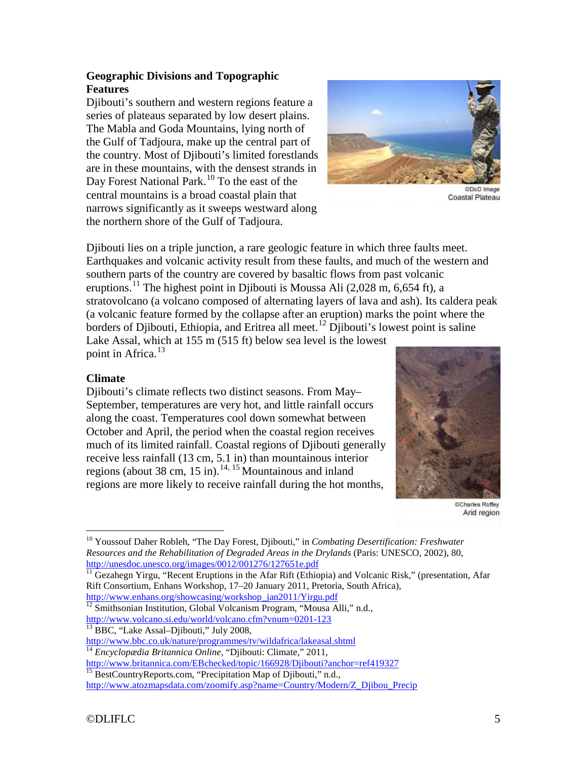# <span id="page-4-0"></span>**Geographic Divisions and Topographic Features**

Djibouti's southern and western regions feature a series of plateaus separated by low desert plains. The Mabla and Goda Mountains, lying north of the Gulf of Tadjoura, make up the central part of the country. Most of Djibouti's limited forestlands are in these mountains, with the densest strands in Day Forest National Park.<sup>[10](#page-4-2)</sup> To the east of the central mountains is a broad coastal plain that narrows significantly as it sweeps westward along the northern shore of the Gulf of Tadjoura.



Coastal Plateau

Djibouti lies on a triple junction, a rare geologic feature in which three faults meet. Earthquakes and volcanic activity result from these faults, and much of the western and southern parts of the country are covered by basaltic flows from past volcanic eruptions.<sup>[11](#page-4-3)</sup> The highest point in Djibouti is Moussa Ali (2,028 m, 6,654 ft), a stratovolcano (a volcano composed of alternating layers of lava and ash). Its caldera peak (a volcanic feature formed by the collapse after an eruption) marks the point where the borders of Djibouti, Ethiopia, and Eritrea all meet.<sup>[12](#page-4-4)</sup> Djibouti's lowest point is saline Lake Assal, which at 155 m (515 ft) below sea level is the lowest point in Africa.<sup>[13](#page-4-5)</sup>

# <span id="page-4-1"></span>**Climate**

Djibouti's climate reflects two distinct seasons. From May– September, temperatures are very hot, and little rainfall occurs along the coast. Temperatures cool down somewhat between October and April, the period when the coastal region receives much of its limited rainfall. Coastal regions of Djibouti generally receive less rainfall (13 cm, 5.1 in) than mountainous interior regions (about 38 cm, [15](#page-4-7) in). $^{14, 15}$  $^{14, 15}$  $^{14, 15}$  Mountainous and inland regions are more likely to receive rainfall during the hot months,



**OCharles Roffey** Arid region

<span id="page-4-2"></span> 10 Youssouf Daher Robleh, "The Day Forest, Djibouti," in *Combating Desertification: Freshwater Resources and the Rehabilitation of Degraded Areas in the Drylands* (Paris: UNESCO, 2002), 80, <http://unesdoc.unesco.org/images/0012/001276/127651e.pdf>

<span id="page-4-4"></span> $\frac{12}{12}$  Smithsonian Institution, Global Volcanism Program, "Mousa Alli," n.d.,

<span id="page-4-3"></span> $\overline{11}$  Gezahegn Yirgu, "Recent Eruptions in the Afar Rift (Ethiopia) and Volcanic Risk," (presentation, Afar Rift Consortium, Enhans Workshop, 17–20 January 2011, Pretoria, South Africa), [http://www.enhans.org/showcasing/workshop\\_jan2011/Yirgu.pdf](http://www.enhans.org/showcasing/workshop_jan2011/Yirgu.pdf)

<span id="page-4-5"></span><http://www.volcano.si.edu/world/volcano.cfm?vnum=0201-123><br><sup>13</sup> BBC, "Lake Assal–Djibouti," July 2008,<br>http://www.bbc.co.uk/nature/programmes/tv/wildafrica/lakeasal.shtml

<span id="page-4-6"></span><sup>&</sup>lt;sup>14</sup> Encyclopædia Britannica Online, "Djibouti: Climate," 2011,

<http://www.britannica.com/EBchecked/topic/166928/Djibouti?anchor=ref419327>

<span id="page-4-7"></span><sup>&</sup>lt;sup>15</sup> BestCountryReports.com, "Precipitation Map of Djibouti," n.d., [http://www.atozmapsdata.com/zoomify.asp?name=Country/Modern/Z\\_Djibou\\_Precip](http://www.atozmapsdata.com/zoomify.asp?name=Country/Modern/Z_Djibou_Precip)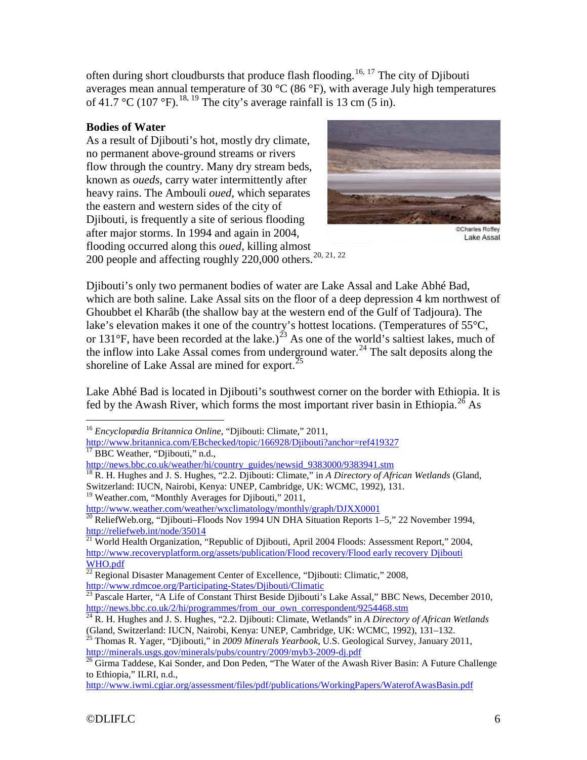often during short cloudbursts that produce flash flooding.<sup>[16,](#page-5-1) [17](#page-5-2)</sup> The city of Djibouti averages mean annual temperature of 30  $^{\circ}$ C (86  $^{\circ}$ F), with average July high temperatures of 41.7 °C (107 °F).<sup>[18](#page-5-3), [19](#page-5-4)</sup> The city's average rainfall is 13 cm (5 in).

# <span id="page-5-0"></span>**Bodies of Water**

As a result of Djibouti's hot, mostly dry climate, no permanent above-ground streams or rivers flow through the country. Many dry stream beds, known as *oueds*, carry water intermittently after heavy rains. The Ambouli *oued*, which separates the eastern and western sides of the city of Djibouti, is frequently a site of serious flooding after major storms. In 1994 and again in 2004, flooding occurred along this *oued*, killing almost



Lake Assal

[20](#page-5-5)0 people and affecting roughly  $220,000$  $220,000$  others.<sup>20, [21,](#page-5-6) 22</sup>

Djibouti's only two permanent bodies of water are Lake Assal and Lake Abhé Bad, which are both saline. Lake Assal sits on the floor of a deep depression 4 km northwest of Ghoubbet el Kharâb (the shallow bay at the western end of the Gulf of Tadjoura). The lake's elevation makes it one of the country's hottest locations. (Temperatures of 55°C, or 131°F, have been recorded at the lake.)<sup>[23](#page-5-8)</sup> As one of the world's saltiest lakes, much of the inflow into Lake Assal comes from underground water.<sup>[24](#page-5-9)</sup> The salt deposits along the shoreline of Lake Assal are mined for export.<sup>[25](#page-5-10)</sup>

Lake Abhé Bad is located in Djibouti's southwest corner on the border with Ethiopia. It is fed by the Awash River, which forms the most important river basin in Ethiopia.<sup>[26](#page-5-11)</sup> As

<span id="page-5-2"></span>[http://news.bbc.co.uk/weather/hi/country\\_guides/newsid\\_9383000/9383941.stm](http://news.bbc.co.uk/weather/hi/country_guides/newsid_9383000/9383941.stm)

<span id="page-5-4"></span><http://www.weather.com/weather/wxclimatology/monthly/graph/DJXX0001>

 <sup>16</sup> *Encyclopædia Britannica Online*, "Djibouti: Climate," 2011,

<span id="page-5-1"></span><http://www.britannica.com/EBchecked/topic/166928/Djibouti?anchor=ref419327>  $17$  BBC Weather, "Djibouti," n.d.,

<span id="page-5-3"></span><sup>18</sup> R. H. Hughes and J. S. Hughes, "2.2. Djibouti: Climate," in *A Directory of African Wetlands* (Gland, Switzerland: IUCN, Nairobi, Kenya: UNEP, Cambridge, UK: WCMC, 1992), 131. <sup>19</sup> Weather.com, "Monthly Averages for Djibouti," 2011,

<span id="page-5-5"></span> $\frac{20}{20}$  ReliefWeb.org, "Djibouti–Floods Nov 1994 UN DHA Situation Reports 1–5," 22 November 1994, <http://reliefweb.int/node/35014>

<span id="page-5-6"></span><sup>&</sup>lt;sup>21</sup> World Health Organization, "Republic of Djibouti, April 2004 Floods: Assessment Report," 2004, [http://www.recoveryplatform.org/assets/publication/Flood recovery/Flood early recovery Djibouti](http://www.recoveryplatform.org/assets/publication/Flood%20recovery/Flood%20early%20recovery%20Djibouti%20WHO.pdf)  [WHO.pdf](http://www.recoveryplatform.org/assets/publication/Flood%20recovery/Flood%20early%20recovery%20Djibouti%20WHO.pdf)

<span id="page-5-7"></span> $\overline{22}$  Regional Disaster Management Center of Excellence, "Djibouti: Climatic," 2008,

<span id="page-5-8"></span><http://www.rdmcoe.org/Participating-States/Djibouti/Climatic> <sup>23</sup> Pascale Harter, "A Life of Constant Thirst Beside Djibouti's Lake Assal," BBC News, December 2010, [http://news.bbc.co.uk/2/hi/programmes/from\\_our\\_own\\_correspondent/9254468.stm](http://news.bbc.co.uk/2/hi/programmes/from_our_own_correspondent/9254468.stm)

<span id="page-5-9"></span><sup>&</sup>lt;sup>24</sup> R. H. Hughes and J. S. Hughes, "2.2. Djibouti: Climate, Wetlands" in *A Directory of African Wetlands* (Gland, Switzerland: IUCN, Nairobi, Kenya: UNEP, Cambridge, UK: WCMC, 1992), 131–132.

<span id="page-5-10"></span><sup>&</sup>lt;sup>25</sup> Thomas R. Yager, "Djibouti," in *2009 Minerals Yearbook*, U.S. Geological Survey, January 2011, http://minerals.usgs.gov/minerals/pubs/country/2009/myb3-2009-dj.pdf

<span id="page-5-11"></span><sup>&</sup>lt;sup>26</sup> Girma Taddese, Kai Sonder, and Don Peden, "The Water of the Awash River Basin: A Future Challenge to Ethiopia," ILRI, n.d.,

<http://www.iwmi.cgiar.org/assessment/files/pdf/publications/WorkingPapers/WaterofAwasBasin.pdf>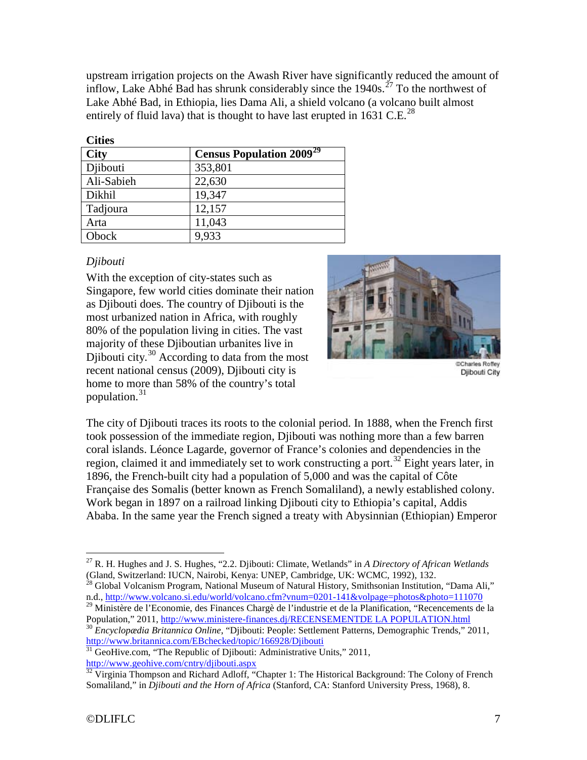upstream irrigation projects on the Awash River have significantly reduced the amount of inflow, Lake Abhé Bad has shrunk considerably since the  $1940s$ .<sup>[27](#page-6-2)</sup> To the northwest of Lake Abhé Bad, in Ethiopia, lies Dama Ali, a shield volcano (a volcano built almost entirely of fluid lava) that is thought to have last erupted in 1631 C.E.<sup>[28](#page-6-3)</sup>

#### <span id="page-6-0"></span>**Cities**

| ◡▴◡◡        |                                             |  |
|-------------|---------------------------------------------|--|
| <b>City</b> | <b>Census Population 2009</b> <sup>29</sup> |  |
| Djibouti    | 353,801                                     |  |
| Ali-Sabieh  | 22,630                                      |  |
| Dikhil      | 19,347                                      |  |
| Tadjoura    | 12,157                                      |  |
| Arta        | 11,043                                      |  |
| Obock       | 9,933                                       |  |

# <span id="page-6-1"></span>*Djibouti*

With the exception of city-states such as Singapore, few world cities dominate their nation as Djibouti does. The country of Djibouti is the most urbanized nation in Africa, with roughly 80% of the population living in cities. The vast majority of these Djiboutian urbanites live in Djibouti city. [30](#page-6-5) According to data from the most recent national census (2009), Djibouti city is home to more than 58% of the country's total population. [31](#page-6-6)



*<u>Charles Roffey</u>* Djibouti City

The city of Djibouti traces its roots to the colonial period. In 1888, when the French first took possession of the immediate region, Djibouti was nothing more than a few barren coral islands. Léonce Lagarde, governor of France's colonies and dependencies in the region, claimed it and immediately set to work constructing a port.<sup>[32](#page-6-7)</sup> Eight years later, in 1896, the French-built city had a population of 5,000 and was the capital of Côte Française des Somalis (better known as French Somaliland), a newly established colony. Work began in 1897 on a railroad linking Djibouti city to Ethiopia's capital, Addis Ababa. In the same year the French signed a treaty with Abysinnian (Ethiopian) Emperor

<span id="page-6-2"></span> <sup>27</sup> R. H. Hughes and J. S. Hughes, "2.2. Djibouti: Climate, Wetlands" in *A Directory of African Wetlands* (Gland, Switzerland: IUCN, Nairobi, Kenya: UNEP, Cambridge, UK: WCMC, 1992), 132.

<span id="page-6-3"></span><sup>&</sup>lt;sup>28</sup> Global Volcanism Program, National Museum of Natural History, Smithsonian Institution, "Dama Ali," n.d.,<http://www.volcano.si.edu/world/volcano.cfm?vnum=0201-141&volpage=photos&photo=111070>

<span id="page-6-4"></span><sup>&</sup>lt;sup>29</sup> Ministère de l'Economie, des Finances Chargè de l'industrie et de la Planification, "Recencements de la Population," 2011, http://www.ministere-finances.dj/RECENSEMENTDE LA POPULATION.html

<span id="page-6-5"></span><sup>&</sup>lt;sup>30</sup> Encyclopædia Britannica Online, "Djibouti: People: Settlement Patterns, Demographic Trends," 2011, <http://www.britannica.com/EBchecked/topic/166928/Djibouti>

<span id="page-6-6"></span><sup>&</sup>lt;sup>31</sup> GeoHive.com, "The Republic of Djibouti: Administrative Units," 2011, <http://www.geohive.com/cntry/djibouti.aspx>

<span id="page-6-7"></span> $32$  Virginia Thompson and Richard Adloff, "Chapter 1: The Historical Background: The Colony of French Somaliland," in *Djibouti and the Horn of Africa* (Stanford, CA: Stanford University Press, 1968), 8.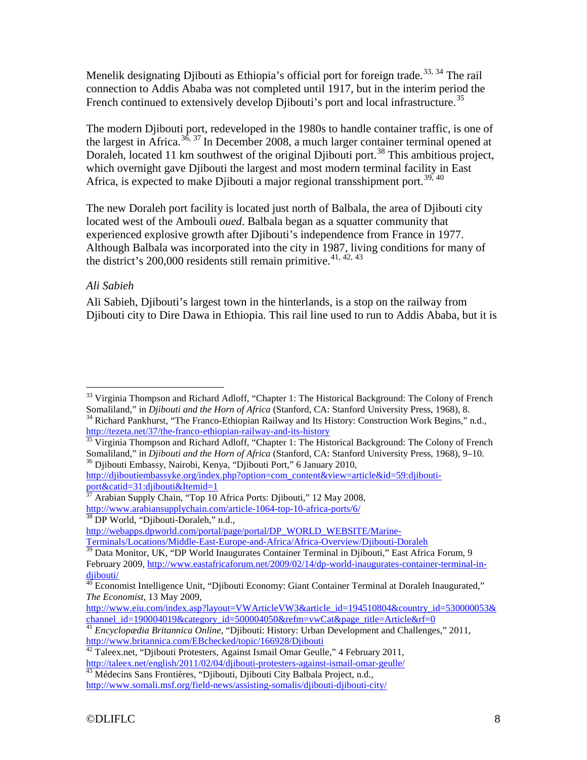Menelik designating Djibouti as Ethiopia's official port for foreign trade.<sup>[33](#page-7-1), [34](#page-7-2)</sup> The rail connection to Addis Ababa was not completed until 1917, but in the interim period the French continued to extensively develop Djibouti's port and local infrastructure.<sup>[35](#page-7-3)</sup>

The modern Djibouti port, redeveloped in the 1980s to handle container traffic, is one of the largest in Africa.<sup>[36](#page-7-4), [37](#page-7-5)</sup> In December 2008, a much larger container terminal opened at Doraleh, located 11 km southwest of the original Djibouti port.<sup>[38](#page-7-6)</sup> This ambitious project, which overnight gave Djibouti the largest and most modern terminal facility in East Africa, is expected to make Djibouti a major regional transshipment port.<sup>[39,](#page-7-7) [40](#page-7-8)</sup>

The new Doraleh port facility is located just north of Balbala, the area of Djibouti city located west of the Ambouli *oued*. Balbala began as a squatter community that experienced explosive growth after Djibouti's independence from France in 1977. Although Balbala was incorporated into the city in 1987, living conditions for many of the district's 200,000 residents still remain primitive.<sup>[41](#page-7-9), [42](#page-7-10), [43](#page-7-11)</sup>

# <span id="page-7-0"></span>*Ali Sabieh*

Ali Sabieh, Djibouti's largest town in the hinterlands, is a stop on the railway from Djibouti city to Dire Dawa in Ethiopia. This rail line used to run to Addis Ababa, but it is

<span id="page-7-1"></span> $33$  Virginia Thompson and Richard Adloff, "Chapter 1: The Historical Background: The Colony of French Somaliland," in *Djibouti and the Horn of Africa* (Stanford, CA: Stanford University Press, 1968), 8.

<span id="page-7-2"></span><sup>&</sup>lt;sup>34</sup> Richard Pankhurst, "The Franco-Ethiopian Railway and Its History: Construction Work Begins," n.d., <http://tezeta.net/37/the-franco-ethiopian-railway-and-its-history><br><sup>35</sup> Virginia Thompson and Richard Adloff, "Chapter 1: The Historical Background: The Colony of French

<span id="page-7-3"></span>Somaliland," in *Djibouti and the Horn of Africa* (Stanford, CA: Stanford University Press, 1968), 9–10. 36 Djibouti Embassy, Nairobi, Kenya, "Djibouti Port," 6 January 2010,

<span id="page-7-4"></span>[http://djiboutiembassyke.org/index.php?option=com\\_content&view=article&id=59:djibouti](http://djiboutiembassyke.org/index.php?option=com_content&view=article&id=59:djibouti-port&catid=31:djibouti&Itemid=1)[port&catid=31:djibouti&Itemid=1](http://djiboutiembassyke.org/index.php?option=com_content&view=article&id=59:djibouti-port&catid=31:djibouti&Itemid=1)<br>37 Agebia 6

<span id="page-7-5"></span><sup>37</sup> Arabian Supply Chain, "Top 10 Africa Ports: Djibouti," 12 May 2008, <http://www.arabiansupplychain.com/article-1064-top-10-africa-ports/6/> <sup>38</sup> DP World, "Djibouti-Doraleh," n.d.,

<span id="page-7-6"></span>[http://webapps.dpworld.com/portal/page/portal/DP\\_WORLD\\_WEBSITE/Marine-](http://webapps.dpworld.com/portal/page/portal/DP_WORLD_WEBSITE/Marine-Terminals/Locations/Middle-East-Europe-and-Africa/Africa-Overview/Djibouti-Doraleh)

[Terminals/Locations/Middle-East-Europe-and-Africa/Africa-Overview/Djibouti-Doraleh](http://webapps.dpworld.com/portal/page/portal/DP_WORLD_WEBSITE/Marine-Terminals/Locations/Middle-East-Europe-and-Africa/Africa-Overview/Djibouti-Doraleh)

<span id="page-7-7"></span><sup>&</sup>lt;sup>39</sup> Data Monitor, UK, "DP World Inaugurates Container Terminal in Djibouti," East Africa Forum, 9 February 2009[, http://www.eastafricaforum.net/2009/02/14/dp-world-inaugurates-container-terminal-in](http://www.eastafricaforum.net/2009/02/14/dp-world-inaugurates-container-terminal-in-djibouti/)[djibouti/](http://www.eastafricaforum.net/2009/02/14/dp-world-inaugurates-container-terminal-in-djibouti/)

<span id="page-7-8"></span><sup>&</sup>lt;sup>40</sup> Economist Intelligence Unit, "Djibouti Economy: Giant Container Terminal at Doraleh Inaugurated," *The Economist*, 13 May 2009,

[http://www.eiu.com/index.asp?layout=VWArticleVW3&article\\_id=194510804&country\\_id=530000053&](http://www.eiu.com/index.asp?layout=VWArticleVW3&article_id=194510804&country_id=530000053&channel_id=190004019&category_id=500004050&refm=vwCat&page_title=Article&rf=0) [channel\\_id=190004019&category\\_id=500004050&refm=vwCat&page\\_title=Article&rf=0](http://www.eiu.com/index.asp?layout=VWArticleVW3&article_id=194510804&country_id=530000053&channel_id=190004019&category_id=500004050&refm=vwCat&page_title=Article&rf=0)

<span id="page-7-9"></span><sup>&</sup>lt;sup>41</sup> *Encyclopædia Britannica Online*, "Djibouti: History: Urban Development and Challenges," 2011, <http://www.britannica.com/EBchecked/topic/166928/Djibouti>

<span id="page-7-10"></span><sup>&</sup>lt;sup>42</sup> Taleex.net, "Djibouti Protesters, Against Ismail Omar Geulle," 4 February 2011, <http://taleex.net/english/2011/02/04/djibouti-protesters-against-ismail-omar-geulle/> <sup>43</sup> Médecins Sans Frontières, "Djibouti, Djibouti City Balbala Project, n.d.,

<span id="page-7-11"></span><http://www.somali.msf.org/field-news/assisting-somalis/djibouti-djibouti-city/>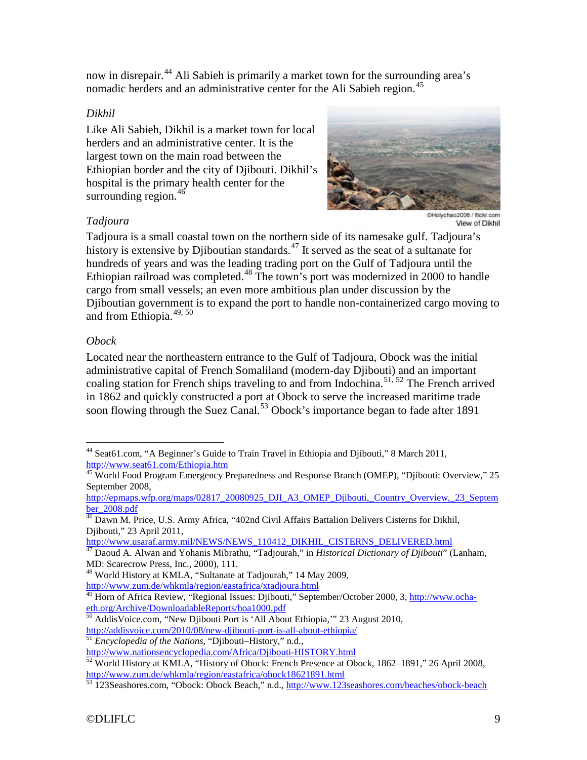now in disrepair. [44](#page-8-3) Ali Sabieh is primarily a market town for the surrounding area's nomadic herders and an administrative center for the Ali Sabieh region. [45](#page-8-4)

# <span id="page-8-0"></span>*Dikhil*

Like Ali Sabieh, Dikhil is a market town for local herders and an administrative center. It is the largest town on the main road between the Ethiopian border and the city of Djibouti. Dikhil's hospital is the primary health center for the surrounding region.  $46$ 



@Holychao2006 / flickr.com View of Dikhil

# <span id="page-8-1"></span>*Tadjoura*

Tadjoura is a small coastal town on the northern side of its namesake gulf. Tadjoura's history is extensive by Djiboutian standards.<sup>[47](#page-8-6)</sup> It served as the seat of a sultanate for hundreds of years and was the leading trading port on the Gulf of Tadjoura until the Ethiopian railroad was completed.<sup>[48](#page-8-7)</sup> The town's port was modernized in 2000 to handle cargo from small vessels; an even more ambitious plan under discussion by the Djiboutian government is to expand the port to handle non-containerized cargo moving to and from Ethiopia.<sup>[49](#page-8-8), [50](#page-8-9)</sup>

# <span id="page-8-2"></span>*Obock*

Located near the northeastern entrance to the Gulf of Tadjoura, Obock was the initial administrative capital of French Somaliland (modern-day Djibouti) and an important coaling station for French ships traveling to and from Indochina.<sup>[51,](#page-8-10) [52](#page-8-11)</sup> The French arrived in 1862 and quickly constructed a port at Obock to serve the increased maritime trade soon flowing through the Suez Canal.<sup>[53](#page-8-12)</sup> Obock's importance began to fade after 1891

[http://www.usaraf.army.mil/NEWS/NEWS\\_110412\\_DIKHIL\\_CISTERNS\\_DELIVERED.html](http://www.usaraf.army.mil/NEWS/NEWS_110412_DIKHIL_CISTERNS_DELIVERED.html)

<span id="page-8-9"></span> $\frac{50}{50}$  AddisVoice.com, "New Djibouti Port is 'All About Ethiopia," 23 August 2010, http://addisvoice.com/2010/08/new-djibouti-port-is-all-about-ethiopia/

<span id="page-8-3"></span> <sup>44</sup> Seat61.com, "A Beginner's Guide to Train Travel in Ethiopia and Djibouti," 8 March 2011, <http://www.seat61.com/Ethiopia.htm>

<span id="page-8-4"></span><sup>&</sup>lt;sup>45</sup> World Food Program Emergency Preparedness and Response Branch (OMEP), "Djibouti: Overview," 25 September 2008,

[http://epmaps.wfp.org/maps/02817\\_20080925\\_DJI\\_A3\\_OMEP\\_Djibouti,\\_Country\\_Overview,\\_23\\_Septem](http://epmaps.wfp.org/maps/02817_20080925_DJI_A3_OMEP_Djibouti,_Country_Overview,_23_September_2008.pdf) [ber\\_2008.pdf](http://epmaps.wfp.org/maps/02817_20080925_DJI_A3_OMEP_Djibouti,_Country_Overview,_23_September_2008.pdf)

<span id="page-8-5"></span><sup>&</sup>lt;sup>46</sup> Dawn M. Price, U.S. Army Africa, "402nd Civil Affairs Battalion Delivers Cisterns for Dikhil, Djibouti," 23 April 2011,

<span id="page-8-6"></span><sup>47</sup> Daoud A. Alwan and Yohanis Mibrathu, "Tadjourah," in *Historical Dictionary of Djibouti*" (Lanham, MD: Scarecrow Press, Inc., 2000), 111.

<span id="page-8-7"></span><sup>48</sup> World History at KMLA, "Sultanate at Tadjourah," 14 May 2009, <http://www.zum.de/whkmla/region/eastafrica/xtadjoura.html>

<span id="page-8-8"></span><sup>&</sup>lt;sup>49</sup> Horn of Africa Review, "Regional Issues: Djibouti," September/October 2000, 3, [http://www.ocha](http://www.ocha-eth.org/Archive/DownloadableReports/hoa1000.pdf)[eth.org/Archive/DownloadableReports/hoa1000.pdf](http://www.ocha-eth.org/Archive/DownloadableReports/hoa1000.pdf)

<span id="page-8-10"></span><sup>&</sup>lt;sup>51</sup> *Encyclopedia of the Nations*, "Djibouti–History," n.d.,

<span id="page-8-11"></span><http://www.nationsencyclopedia.com/Africa/Djibouti-HISTORY.html> 52 World History at KMLA, "History of Obock: French Presence at Obock, 1862–1891," 26 April 2008, <http://www.zum.de/whkmla/region/eastafrica/obock18621891.html>

<span id="page-8-12"></span><sup>&</sup>lt;sup>53</sup> 123Seashores.com, "Obock: Obock Beach," n.d.[, http://www.123seashores.com/beaches/obock-beach](http://www.123seashores.com/beaches/obock-beach)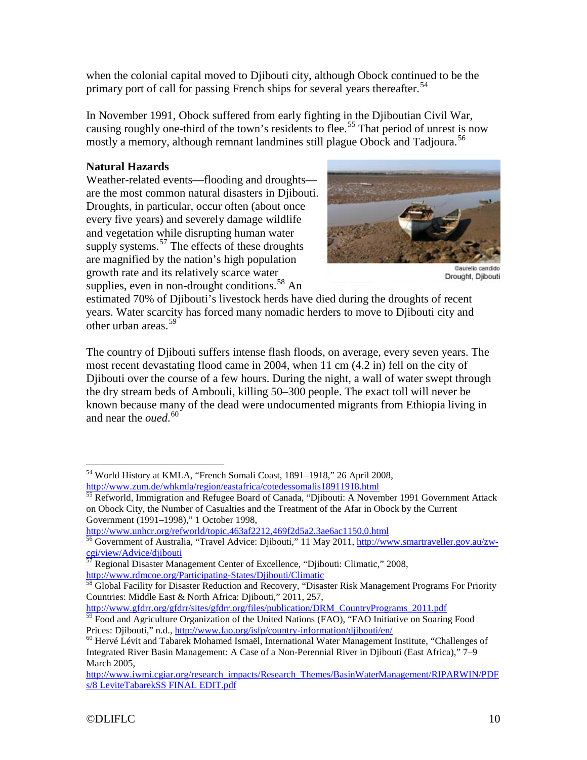when the colonial capital moved to Djibouti city, although Obock continued to be the primary port of call for passing French ships for several years thereafter.<sup>[54](#page-9-1)</sup>

In November 1991, Obock suffered from early fighting in the Djiboutian Civil War, causing roughly one-third of the town's residents to flee.<sup>[55](#page-9-2)</sup> That period of unrest is now mostly a memory, although remnant landmines still plague Obock and Tadjoura.<sup>[56](#page-9-3)</sup>

# <span id="page-9-0"></span>**Natural Hazards**

Weather-related events—flooding and droughts are the most common natural disasters in Djibouti. Droughts, in particular, occur often (about once every five years) and severely damage wildlife and vegetation while disrupting human water supply systems.<sup>[57](#page-9-4)</sup> The effects of these droughts are magnified by the nation's high population growth rate and its relatively scarce water supplies, even in non-drought conditions.<sup>[58](#page-9-5)</sup> An



Drought, Diibouti

estimated 70% of Djibouti's livestock herds have died during the droughts of recent years. Water scarcity has forced many nomadic herders to move to Djibouti city and other urban areas. [59](#page-9-6)

The country of Djibouti suffers intense flash floods, on average, every seven years. The most recent devastating flood came in 2004, when 11 cm (4.2 in) fell on the city of Djibouti over the course of a few hours. During the night, a wall of water swept through the dry stream beds of Ambouli, killing 50–300 people. The exact toll will never be known because many of the dead were undocumented migrants from Ethiopia living in and near the *oued*. [60](#page-9-7)

<http://www.unhcr.org/refworld/topic,463af2212,469f2d5a2,3ae6ac1150,0.html>

[http://www.gfdrr.org/gfdrr/sites/gfdrr.org/files/publication/DRM\\_CountryPrograms\\_2011.pdf](http://www.gfdrr.org/gfdrr/sites/gfdrr.org/files/publication/DRM_CountryPrograms_2011.pdf)

<span id="page-9-1"></span> <sup>54</sup> World History at KMLA, "French Somali Coast, 1891–1918," 26 April 2008, <http://www.zum.de/whkmla/region/eastafrica/cotedessomalis18911918.html>

<span id="page-9-2"></span><sup>55</sup> Refworld, Immigration and Refugee Board of Canada, "Djibouti: A November 1991 Government Attack on Obock City, the Number of Casualties and the Treatment of the Afar in Obock by the Current Government (1991–1998)," 1 October 1998,

<span id="page-9-3"></span><sup>56</sup> Government of Australia, "Travel Advice: Djibouti," 11 May 2011, [http://www.smartraveller.gov.au/zw](http://www.smartraveller.gov.au/zw-cgi/view/Advice/djibouti)[cgi/view/Advice/djibouti](http://www.smartraveller.gov.au/zw-cgi/view/Advice/djibouti)

<span id="page-9-4"></span> $57$  Regional Disaster Management Center of Excellence, "Djibouti: Climatic," 2008, http://www.rdmcoe.org/Participating-States/Djibouti/Climatic

<span id="page-9-5"></span> $\frac{58}{18}$  Global Facility for Disaster Reduction and Recovery, "Disaster Risk Management Programs For Priority Countries: Middle East & North Africa: Djibouti," 2011, 257,

<span id="page-9-6"></span> $\frac{59}{59}$  Food and Agriculture Organization of the United Nations (FAO), "FAO Initiative on Soaring Food<br>Prices: Djibouti," n.d., http://www.fao.org/isfp/country-information/djibouti/en/

<span id="page-9-7"></span><sup>&</sup>lt;sup>60</sup> Hervé Lévit and Tabarek Mohamed Ismaël, International Water Management Institute, "Challenges of Integrated River Basin Management: A Case of a Non-Perennial River in Djibouti (East Africa)," 7–9 March 2005,

[http://www.iwmi.cgiar.org/research\\_impacts/Research\\_Themes/BasinWaterManagement/RIPARWIN/PDF](http://www.iwmi.cgiar.org/research_impacts/Research_Themes/BasinWaterManagement/RIPARWIN/PDFs/8%20LeviteTabarekSS%20FINAL%20EDIT.pdf) [s/8 LeviteTabarekSS FINAL EDIT.pdf](http://www.iwmi.cgiar.org/research_impacts/Research_Themes/BasinWaterManagement/RIPARWIN/PDFs/8%20LeviteTabarekSS%20FINAL%20EDIT.pdf)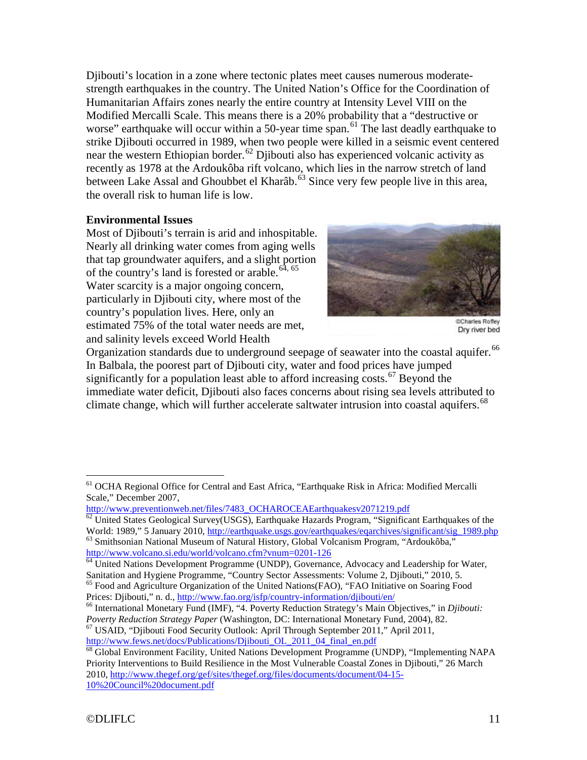Djibouti's location in a zone where tectonic plates meet causes numerous moderatestrength earthquakes in the country. The United Nation's Office for the Coordination of Humanitarian Affairs zones nearly the entire country at Intensity Level VIII on the Modified Mercalli Scale. This means there is a 20% probability that a "destructive or worse" earthquake will occur within a 50-year time span.<sup>[61](#page-10-1)</sup> The last deadly earthquake to strike Djibouti occurred in 1989, when two people were killed in a seismic event centered near the western Ethiopian border.<sup>[62](#page-10-2)</sup> Djibouti also has experienced volcanic activity as recently as 1978 at the Ardoukôba rift volcano, which lies in the narrow stretch of land between Lake Assal and Ghoubbet el Kharâb.<sup>[63](#page-10-3)</sup> Since very few people live in this area, the overall risk to human life is low.

# <span id="page-10-0"></span>**Environmental Issues**

Most of Djibouti's terrain is arid and inhospitable. Nearly all drinking water comes from aging wells that tap groundwater aquifers, and a slight portion of the country's land is forested or arable.<sup>[64](#page-10-4), [65](#page-10-5)</sup> Water scarcity is a major ongoing concern, particularly in Djibouti city, where most of the country's population lives. Here, only an estimated 75% of the total water needs are met, and salinity levels exceed World Health



Dry river bed

Organization standards due to underground seepage of seawater into the coastal aquifer.<sup>[66](#page-10-6)</sup> In Balbala, the poorest part of Djibouti city, water and food prices have jumped significantly for a population least able to afford increasing  $costs$ .<sup>[67](#page-10-7)</sup> Beyond the immediate water deficit, Djibouti also faces concerns about rising sea levels attributed to climate change, which will further accelerate saltwater intrusion into coastal aquifers.<sup>[68](#page-10-8)</sup>

<span id="page-10-1"></span><sup>&</sup>lt;sup>61</sup> OCHA Regional Office for Central and East Africa, "Earthquake Risk in Africa: Modified Mercalli Scale," December 2007,

[http://www.preventionweb.net/files/7483\\_OCHAROCEAEarthquakesv2071219.pdf](http://www.preventionweb.net/files/7483_OCHAROCEAEarthquakesv2071219.pdf)

<span id="page-10-2"></span> $\overline{62}$  United States Geological Survey(USGS), Earthquake Hazards Program, "Significant Earthquakes of the World: 1989," 5 January 2010, [http://earthquake.usgs.gov/earthquakes/eqarchives/significant/sig\\_1989.php](http://earthquake.usgs.gov/earthquakes/eqarchives/significant/sig_1989.php) <sup>63</sup> Smithsonian National Museum of Natural History, Global Volcanism Program, "Ardoukôba,"

<span id="page-10-4"></span><span id="page-10-3"></span><http://www.volcano.si.edu/world/volcano.cfm?vnum=0201-126><br><sup>64</sup> United Nations Development Programme (UNDP), Governance, Advocacy and Leadership for Water,<br>Sanitation and Hygiene Programme, "Country Sector Assessments: Volu

<span id="page-10-5"></span><sup>&</sup>lt;sup>65</sup> Food and Agriculture Organization of the United Nations(FAO), "FAO Initiative on Soaring Food Prices: Djibouti," n. d., http://www.fao.org/isfp/country-information/djibouti/en/

<span id="page-10-6"></span><sup>&</sup>lt;sup>66</sup> International Monetary Fund (IMF), "4. Poverty Reduction Strategy's Main Objectives," in *Djibouti: Poverty Reduction Strategy Paper* (Washington, DC: International Monetary Fund, 2004), 82.

<span id="page-10-7"></span><sup>&</sup>lt;sup>67</sup> USAID, "Djibouti Food Security Outlook: April Through September 2011," April 2011, http://www.fews.net/docs/Publications/Diibouti\_OL\_2011\_04\_final\_en.pdf

<span id="page-10-8"></span><sup>&</sup>lt;sup>68</sup> Global Environment Facility, United Nations Development Programme (UNDP), "Implementing NAPA Priority Interventions to Build Resilience in the Most Vulnerable Coastal Zones in Djibouti," 26 March 2010, [http://www.thegef.org/gef/sites/thegef.org/files/documents/document/04-15-](http://www.thegef.org/gef/sites/thegef.org/files/documents/document/04-15-10%20Council%20document.pdf) [10%20Council%20document.pdf](http://www.thegef.org/gef/sites/thegef.org/files/documents/document/04-15-10%20Council%20document.pdf)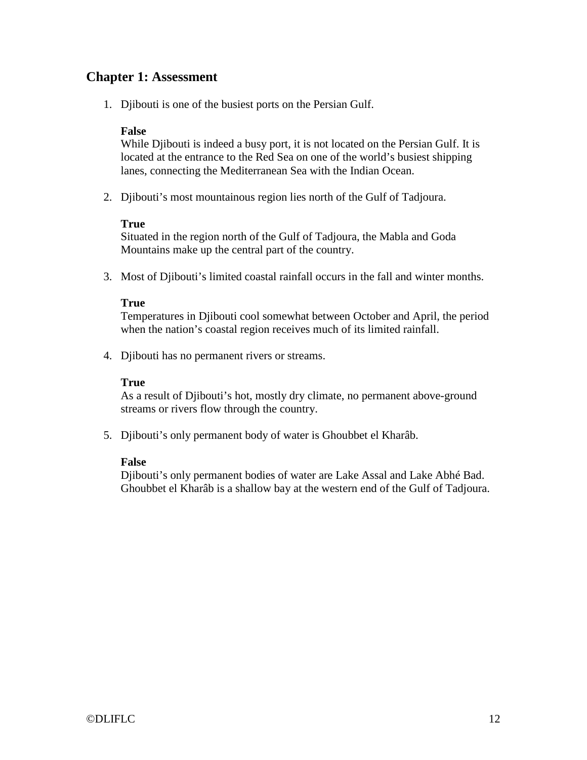# <span id="page-11-0"></span>**Chapter 1: Assessment**

1. Djibouti is one of the busiest ports on the Persian Gulf.

#### **False**

While Djibouti is indeed a busy port, it is not located on the Persian Gulf. It is located at the entrance to the Red Sea on one of the world's busiest shipping lanes, connecting the Mediterranean Sea with the Indian Ocean.

2. Djibouti's most mountainous region lies north of the Gulf of Tadjoura.

#### **True**

Situated in the region north of the Gulf of Tadjoura, the Mabla and Goda Mountains make up the central part of the country.

3. Most of Djibouti's limited coastal rainfall occurs in the fall and winter months.

#### **True**

Temperatures in Djibouti cool somewhat between October and April, the period when the nation's coastal region receives much of its limited rainfall.

4. Djibouti has no permanent rivers or streams.

#### **True**

As a result of Djibouti's hot, mostly dry climate, no permanent above-ground streams or rivers flow through the country.

5. Djibouti's only permanent body of water is Ghoubbet el Kharâb.

#### **False**

Djibouti's only permanent bodies of water are Lake Assal and Lake Abhé Bad. Ghoubbet el Kharâb is a shallow bay at the western end of the Gulf of Tadjoura.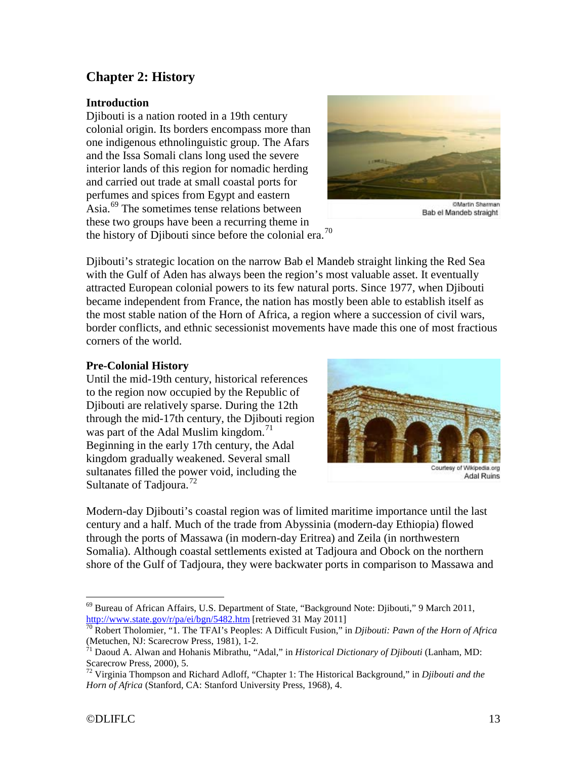# <span id="page-12-0"></span>**Chapter 2: History**

# <span id="page-12-1"></span>**Introduction**

Djibouti is a nation rooted in a 19th century colonial origin. Its borders encompass more than one indigenous ethnolinguistic group. The Afars and the Issa Somali clans long used the severe interior lands of this region for nomadic herding and carried out trade at small coastal ports for perfumes and spices from Egypt and eastern Asia.<sup>[69](#page-12-3)</sup> The sometimes tense relations between these two groups have been a recurring theme in the history of Djibouti since before the colonial era.<sup>70</sup>



Bab el Mandeb straight

Djibouti's strategic location on the narrow Bab el Mandeb straight linking the Red Sea with the Gulf of Aden has always been the region's most valuable asset. It eventually attracted European colonial powers to its few natural ports. Since 1977, when Djibouti became independent from France, the nation has mostly been able to establish itself as the most stable nation of the Horn of Africa, a region where a succession of civil wars, border conflicts, and ethnic secessionist movements have made this one of most fractious corners of the world.

# <span id="page-12-2"></span>**Pre-Colonial History**

Until the mid-19th century, historical references to the region now occupied by the Republic of Djibouti are relatively sparse. During the 12th through the mid-17th century, the Djibouti region was part of the Adal Muslim kingdom. $^{71}$  $^{71}$  $^{71}$ Beginning in the early 17th century, the Adal kingdom gradually weakened. Several small sultanates filled the power void, including the Sultanate of Tadjoura.<sup>[72](#page-12-6)</sup>



Courtesy of Wikipedia.org Adal Ruins

Modern-day Djibouti's coastal region was of limited maritime importance until the last century and a half. Much of the trade from Abyssinia (modern-day Ethiopia) flowed through the ports of Massawa (in modern-day Eritrea) and Zeila (in northwestern Somalia). Although coastal settlements existed at Tadjoura and Obock on the northern shore of the Gulf of Tadjoura, they were backwater ports in comparison to Massawa and

<span id="page-12-3"></span><sup>&</sup>lt;sup>69</sup> Bureau of African Affairs, U.S. Department of State, "Background Note: Djibouti," 9 March 2011,  $\frac{http://www.state.gov/r/pa/ei/bgn/5482.htm}{http://www.state.gov/r/pa/ei/bgn/5482.htm}$  [retrieved 31 May 2011]

<span id="page-12-4"></span> $\frac{1}{70}$  Robert Tholomier, "1. The TFAI's Peoples: A Difficult Fusion," in *Djibouti: Pawn of the Horn of Africa*<br>(Metuchen, NJ: Scarecrow Press, 1981), 1-2.

<span id="page-12-5"></span> $\frac{1}{11}$  Daoud A. Alwan and Hohanis Mibrathu, "Adal," in *Historical Dictionary of Djibouti* (Lanham, MD: Scarecrow Press, 2000), 5.

<span id="page-12-6"></span><sup>72</sup> Virginia Thompson and Richard Adloff, "Chapter 1: The Historical Background," in *Djibouti and the Horn of Africa* (Stanford, CA: Stanford University Press, 1968), 4.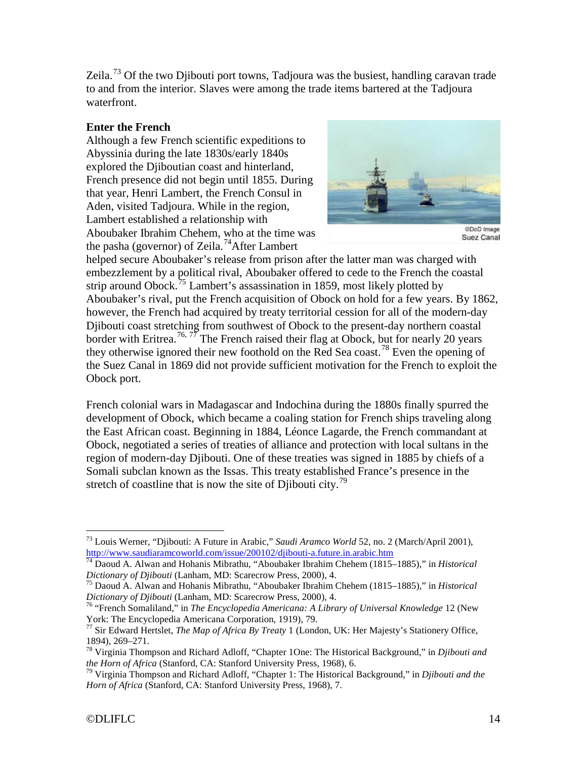Zeila.<sup>[73](#page-13-1)</sup> Of the two Djibouti port towns, Tadjoura was the busiest, handling caravan trade to and from the interior. Slaves were among the trade items bartered at the Tadjoura waterfront.

# <span id="page-13-0"></span>**Enter the French**

Although a few French scientific expeditions to Abyssinia during the late 1830s/early 1840s explored the Diiboutian coast and hinterland, French presence did not begin until 1855. During that year, Henri Lambert, the French Consul in Aden, visited Tadjoura. While in the region, Lambert established a relationship with Aboubaker Ibrahim Chehem, who at the time was the pasha (governor) of Zeila.<sup>74</sup>After Lambert



Suez Canal

helped secure Aboubaker's release from prison after the latter man was charged with embezzlement by a political rival, Aboubaker offered to cede to the French the coastal strip around Obock.<sup>[75](#page-13-3)</sup> Lambert's assassination in 1859, most likely plotted by Aboubaker's rival, put the French acquisition of Obock on hold for a few years. By 1862, however, the French had acquired by treaty territorial cession for all of the modern-day Djibouti coast stretching from southwest of Obock to the present-day northern coastal border with Eritrea.<sup>[76,](#page-13-4) [77](#page-13-5)</sup> The French raised their flag at Obock, but for nearly 20 years they otherwise ignored their new foothold on the Red Sea coast.<sup>[78](#page-13-6)</sup> Even the opening of the Suez Canal in 1869 did not provide sufficient motivation for the French to exploit the Obock port.

French colonial wars in Madagascar and Indochina during the 1880s finally spurred the development of Obock, which became a coaling station for French ships traveling along the East African coast. Beginning in 1884, Léonce Lagarde, the French commandant at Obock, negotiated a series of treaties of alliance and protection with local sultans in the region of modern-day Djibouti. One of these treaties was signed in 1885 by chiefs of a Somali subclan known as the Issas. This treaty established France's presence in the stretch of coastline that is now the site of Djibouti city.<sup>[79](#page-13-7)</sup>

<span id="page-13-3"></span><sup>75</sup> Daoud A. Alwan and Hohanis Mibrathu, "Aboubaker Ibrahim Chehem (1815–1885)," in *Historical Dictionary of Djibouti* (Lanham, MD: Scarecrow Press, 2000), 4.

<span id="page-13-4"></span><sup>76</sup> "French Somaliland," in *The Encyclopedia Americana: A Library of Universal Knowledge* 12 (New York: The Encyclopedia Americana Corporation, 1919), 79.

<span id="page-13-1"></span> <sup>73</sup> Louis Werner, "Djibouti: A Future in Arabic," *Saudi Aramco World* 52, no. 2 (March/April 2001),

<span id="page-13-2"></span><http://www.saudiaramcoworld.com/issue/200102/djibouti-a.future.in.arabic.htm><br>
<sup>74</sup> Daoud A. Alwan and Hohanis Mibrathu, "Aboubaker Ibrahim Chehem (1815–1885)," in *Historical Dictionary of Djibouti* (Lanham, MD: Scarecro

<span id="page-13-5"></span><sup>77</sup> Sir Edward Hertslet, *The Map of Africa By Treaty* 1 (London, UK: Her Majesty's Stationery Office,

<span id="page-13-6"></span><sup>&</sup>lt;sup>78</sup> Virginia Thompson and Richard Adloff, "Chapter 1One: The Historical Background," in *Djibouti and the Horn of Africa* (Stanford, CA: Stanford University Press, 1968), 6.<br><sup>79</sup> Virginia Thompson and Richard Adloff, "Chapter 1: The Historical Background," in *Djibouti and the* 

<span id="page-13-7"></span>*Horn of Africa* (Stanford, CA: Stanford University Press, 1968), 7.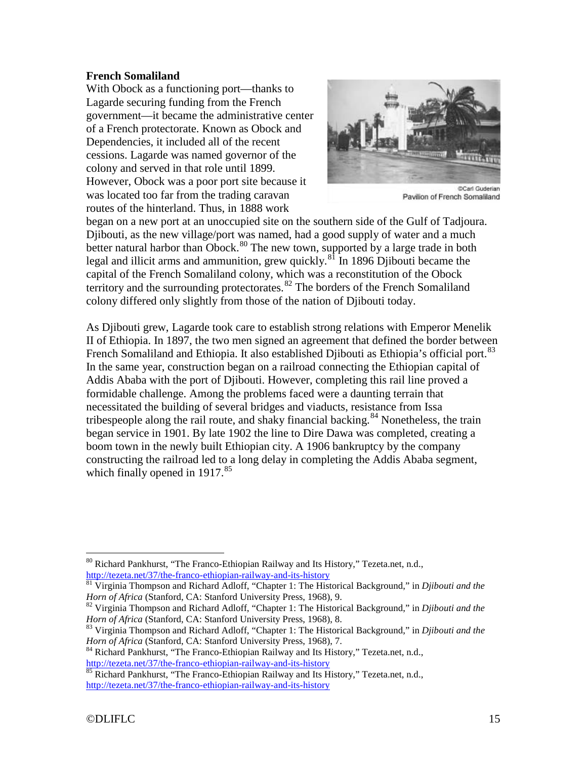#### <span id="page-14-0"></span>**French Somaliland**

With Obock as a functioning port—thanks to Lagarde securing funding from the French government—it became the administrative center of a French protectorate. Known as Obock and Dependencies, it included all of the recent cessions. Lagarde was named governor of the colony and served in that role until 1899. However, Obock was a poor port site because it was located too far from the trading caravan routes of the hinterland. Thus, in 1888 work



Pavilion of French Somaliland

began on a new port at an unoccupied site on the southern side of the Gulf of Tadjoura. Djibouti, as the new village/port was named, had a good supply of water and a much better natural harbor than Obock.<sup>[80](#page-14-1)</sup> The new town, supported by a large trade in both legal and illicit arms and ammunition, grew quickly.<sup>[81](#page-14-2)</sup> In 1896 Djibouti became the capital of the French Somaliland colony, which was a reconstitution of the Obock territory and the surrounding protectorates. $82$  The borders of the French Somaliland colony differed only slightly from those of the nation of Djibouti today.

As Djibouti grew, Lagarde took care to establish strong relations with Emperor Menelik II of Ethiopia. In 1897, the two men signed an agreement that defined the border between French Somaliland and Ethiopia. It also established Djibouti as Ethiopia's official port.<sup>[83](#page-14-4)</sup> In the same year, construction began on a railroad connecting the Ethiopian capital of Addis Ababa with the port of Djibouti. However, completing this rail line proved a formidable challenge. Among the problems faced were a daunting terrain that necessitated the building of several bridges and viaducts, resistance from Issa tribespeople along the rail route, and shaky financial backing.<sup>[84](#page-14-5)</sup> Nonetheless, the train began service in 1901. By late 1902 the line to Dire Dawa was completed, creating a boom town in the newly built Ethiopian city. A 1906 bankruptcy by the company constructing the railroad led to a long delay in completing the Addis Ababa segment, which finally opened in  $1917$ <sup>[85](#page-14-6)</sup>

<span id="page-14-1"></span><sup>&</sup>lt;sup>80</sup> Richard Pankhurst, "The Franco-Ethiopian Railway and Its History," Tezeta.net, n.d., http://tezeta.net/37/the-franco-ethiopian-railway-and-its-history

<span id="page-14-2"></span><sup>&</sup>lt;sup>81</sup> Virginia Thompson and Richard Adloff, "Chapter 1: The Historical Background," in *Djibouti and the Horn of Africa* (Stanford, CA: Stanford University Press, 1968), 9.

<span id="page-14-3"></span><sup>&</sup>lt;sup>82</sup> Virginia Thompson and Richard Adloff, "Chapter 1: The Historical Background," in *Djibouti and the Horn of Africa* (Stanford, CA: Stanford University Press, 1968), 8.

<span id="page-14-4"></span><sup>&</sup>lt;sup>83</sup> Virginia Thompson and Richard Adloff, "Chapter 1: The Historical Background," in *Djibouti and the Horn of Africa* (Stanford, CA: Stanford University Press, 1968), 7.

<span id="page-14-5"></span><sup>&</sup>lt;sup>84</sup> Richard Pankhurst, "The Franco-Ethiopian Railway and Its History," Tezeta.net, n.d., <http://tezeta.net/37/the-franco-ethiopian-railway-and-its-history><br><sup>85</sup> Richard Pankhurst, "The Franco-Ethiopian Railway and Its History," Tezeta.net, n.d.,

<span id="page-14-6"></span><http://tezeta.net/37/the-franco-ethiopian-railway-and-its-history>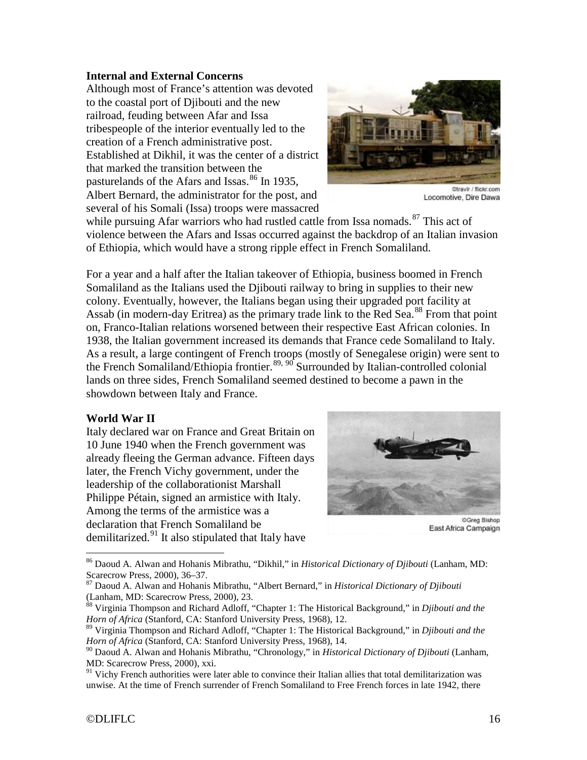#### <span id="page-15-0"></span>**Internal and External Concerns**

Although most of France's attention was devoted to the coastal port of Djibouti and the new railroad, feuding between Afar and Issa tribespeople of the interior eventually led to the creation of a French administrative post. Established at Dikhil, it was the center of a district that marked the transition between the pasturelands of the Afars and Issas.<sup>[86](#page-15-2)</sup> In 1935, Albert Bernard, the administrator for the post, and several of his Somali (Issa) troops were massacred



Locomotive, Dire Dawa

while pursuing Afar warriors who had rustled cattle from Issa nomads.<sup>[87](#page-15-3)</sup> This act of violence between the Afars and Issas occurred against the backdrop of an Italian invasion of Ethiopia, which would have a strong ripple effect in French Somaliland.

For a year and a half after the Italian takeover of Ethiopia, business boomed in French Somaliland as the Italians used the Djibouti railway to bring in supplies to their new colony. Eventually, however, the Italians began using their upgraded port facility at Assab (in modern-day Eritrea) as the primary trade link to the Red Sea.<sup>[88](#page-15-4)</sup> From that point on, Franco-Italian relations worsened between their respective East African colonies. In 1938, the Italian government increased its demands that France cede Somaliland to Italy. As a result, a large contingent of French troops (mostly of Senegalese origin) were sent to the French Somaliland/Ethiopia frontier.<sup>[89](#page-15-5), [90](#page-15-6)</sup> Surrounded by Italian-controlled colonial lands on three sides, French Somaliland seemed destined to become a pawn in the showdown between Italy and France.

#### <span id="page-15-1"></span>**World War II**

Italy declared war on France and Great Britain on 10 June 1940 when the French government was already fleeing the German advance. Fifteen days later, the French Vichy government, under the leadership of the collaborationist Marshall Philippe Pétain, signed an armistice with Italy. Among the terms of the armistice was a declaration that French Somaliland be demilitarized.<sup>[91](#page-15-7)</sup> It also stipulated that Italy have



©Greg Bishop East Africa Campaign

<span id="page-15-2"></span> 86 Daoud A. Alwan and Hohanis Mibrathu, "Dikhil," in *Historical Dictionary of Djibouti* (Lanham, MD: Scarecrow Press, 2000), 36–37.

<span id="page-15-3"></span><sup>87</sup> Daoud A. Alwan and Hohanis Mibrathu, "Albert Bernard," in *Historical Dictionary of Djibouti* (Lanham, MD: Scarecrow Press, 2000), 23.

<span id="page-15-4"></span><sup>88</sup> Virginia Thompson and Richard Adloff, "Chapter 1: The Historical Background," in *Djibouti and the Horn of Africa* (Stanford, CA: Stanford University Press, 1968), 12.

<span id="page-15-5"></span><sup>89</sup> Virginia Thompson and Richard Adloff, "Chapter 1: The Historical Background," in *Djibouti and the Horn of Africa* (Stanford, CA: Stanford University Press, 1968), 14.

<span id="page-15-6"></span><sup>90</sup> Daoud A. Alwan and Hohanis Mibrathu, "Chronology," in *Historical Dictionary of Djibouti* (Lanham, MD: Scarecrow Press, 2000), xxi.

<span id="page-15-7"></span><sup>&</sup>lt;sup>91</sup> Vichy French authorities were later able to convince their Italian allies that total demilitarization was unwise. At the time of French surrender of French Somaliland to Free French forces in late 1942, there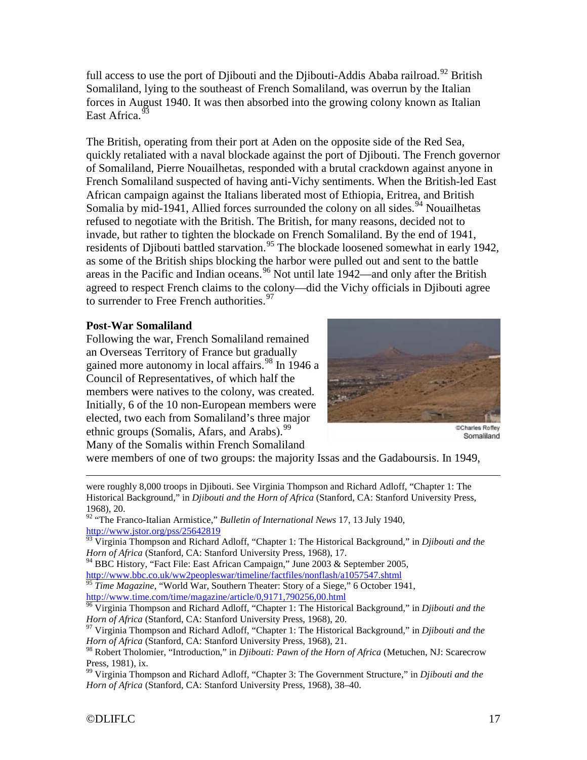full access to use the port of Djibouti and the Djibouti-Addis Ababa railroad.<sup>[92](#page-16-1)</sup> British Somaliland, lying to the southeast of French Somaliland, was overrun by the Italian forces in August 1940. It was then absorbed into the growing colony known as Italian East Africa.<sup>[93](#page-16-2)</sup>

The British, operating from their port at Aden on the opposite side of the Red Sea, quickly retaliated with a naval blockade against the port of Djibouti. The French governor of Somaliland, Pierre Nouailhetas, responded with a brutal crackdown against anyone in French Somaliland suspected of having anti-Vichy sentiments. When the British-led East African campaign against the Italians liberated most of Ethiopia, Eritrea, and British Somalia by mid-1[94](#page-16-3)1, Allied forces surrounded the colony on all sides.<sup>94</sup> Nouailhetas refused to negotiate with the British. The British, for many reasons, decided not to invade, but rather to tighten the blockade on French Somaliland. By the end of 1941, residents of Djibouti battled starvation.<sup>[95](#page-16-4)</sup> The blockade loosened somewhat in early 1942, as some of the British ships blocking the harbor were pulled out and sent to the battle areas in the Pacific and Indian oceans.<sup>[96](#page-16-5)</sup> Not until late 1942—and only after the British agreed to respect French claims to the colony—did the Vichy officials in Djibouti agree to surrender to Free French authorities.<sup>[97](#page-16-6)</sup>

# <span id="page-16-0"></span>**Post-War Somaliland**

Following the war, French Somaliland remained an Overseas Territory of France but gradually gained more autonomy in local affairs.<sup>[98](#page-16-7)</sup> In 1946 a Council of Representatives, of which half the members were natives to the colony, was created. Initially, 6 of the 10 non-European members were elected, two each from Somaliland's three major ethnic groups (Somalis, Afars, and Arabs).  $99$ Many of the Somalis within French Somaliland



**Charles Roffey** Somaliland

were members of one of two groups: the majority Issas and the Gadaboursis. In 1949,

 $\overline{a}$ were roughly 8,000 troops in Djibouti. See Virginia Thompson and Richard Adloff, "Chapter 1: The Historical Background," in *Djibouti and the Horn of Africa* (Stanford, CA: Stanford University Press, 1968), 20.

<span id="page-16-1"></span><sup>92</sup> "The Franco-Italian Armistice," *Bulletin of International News* 17, 13 July 1940, <http://www.jstor.org/pss/25642819>

<span id="page-16-3"></span> $94$  BBC History, "Fact File: East African Campaign," June 2003 & September 2005, <http://www.bbc.co.uk/ww2peopleswar/timeline/factfiles/nonflash/a1057547.shtml>

<span id="page-16-4"></span><sup>95</sup> Time Magazine, "World War, Southern Theater: Story of a Siege," 6 October 1941, <http://www.time.com/time/magazine/article/0,9171,790256,00.html>

<span id="page-16-2"></span><sup>93</sup> Virginia Thompson and Richard Adloff, "Chapter 1: The Historical Background," in *Djibouti and the Horn of Africa* (Stanford, CA: Stanford University Press, 1968), 17.

<span id="page-16-5"></span><sup>&</sup>lt;sup>96</sup> Virginia Thompson and Richard Adloff, "Chapter 1: The Historical Background," in *Djibouti and the Horn of Africa* (Stanford, CA: Stanford University Press, 1968), 20.

<span id="page-16-6"></span><sup>&</sup>lt;sup>97</sup> Virginia Thompson and Richard Adloff, "Chapter 1: The Historical Background," in *Djibouti and the Horn of Africa* (Stanford, CA: Stanford University Press, 1968), 21.

<span id="page-16-7"></span><sup>98</sup> Robert Tholomier, "Introduction," in *Djibouti: Pawn of the Horn of Africa* (Metuchen, NJ: Scarecrow Press, 1981), ix.

<span id="page-16-8"></span><sup>99</sup> Virginia Thompson and Richard Adloff, "Chapter 3: The Government Structure," in *Djibouti and the Horn of Africa* (Stanford, CA: Stanford University Press, 1968), 38–40.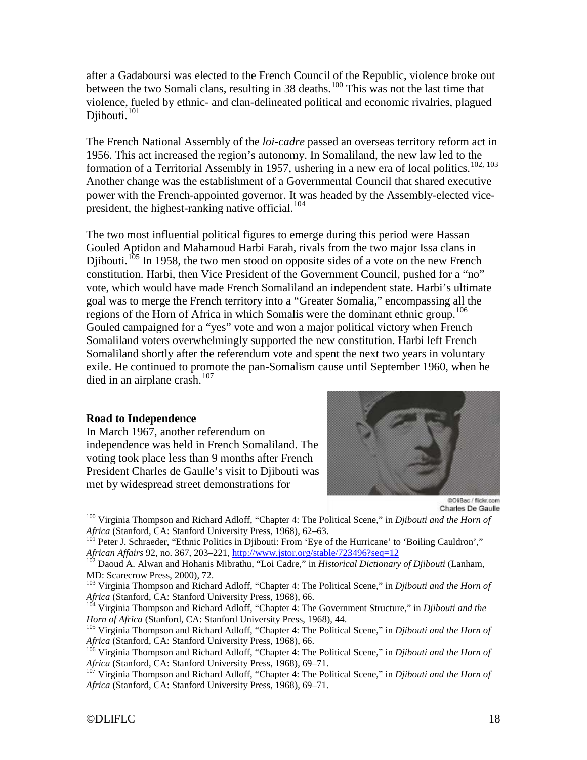after a Gadaboursi was elected to the French Council of the Republic, violence broke out between the two Somali clans, resulting in 38 deaths.<sup>[100](#page-17-1)</sup> This was not the last time that violence, fueled by ethnic- and clan-delineated political and economic rivalries, plagued Djibouti.<sup>[101](#page-17-2)</sup>

The French National Assembly of the *loi-cadre* passed an overseas territory reform act in 1956. This act increased the region's autonomy. In Somaliland, the new law led to the formation of a Territorial Assembly in 1957, ushering in a new era of local politics.<sup>[102](#page-17-3), [103](#page-17-4)</sup> Another change was the establishment of a Governmental Council that shared executive power with the French-appointed governor. It was headed by the Assembly-elected vice-president, the highest-ranking native official.<sup>[104](#page-17-5)</sup>

The two most influential political figures to emerge during this period were Hassan Gouled Aptidon and Mahamoud Harbi Farah, rivals from the two major Issa clans in Diibouti.<sup>[105](#page-17-6)</sup> In 1958, the two men stood on opposite sides of a vote on the new French constitution. Harbi, then Vice President of the Government Council, pushed for a "no" vote, which would have made French Somaliland an independent state. Harbi's ultimate goal was to merge the French territory into a "Greater Somalia," encompassing all the regions of the Horn of Africa in which Somalis were the dominant ethnic group.<sup>[106](#page-17-7)</sup> Gouled campaigned for a "yes" vote and won a major political victory when French Somaliland voters overwhelmingly supported the new constitution. Harbi left French Somaliland shortly after the referendum vote and spent the next two years in voluntary exile. He continued to promote the pan-Somalism cause until September 1960, when he died in an airplane crash.<sup>[107](#page-17-8)</sup>

#### <span id="page-17-0"></span>**Road to Independence**

In March 1967, another referendum on independence was held in French Somaliland. The voting took place less than 9 months after French President Charles de Gaulle's visit to Djibouti was met by widespread street demonstrations for



@OliBac / flickr.com

<span id="page-17-1"></span> <sup>100</sup> Virginia Thompson and Richard Adloff, "Chapter 4: The Political Scene," in *Djibouti and the Horn of Africa* (Stanford, CA: Stanford University Press, 1968), 62–63.<br><sup>101</sup> Peter J. Schraeder, "Ethnic Politics in Djibouti: From 'Eye of the Hurricane' to 'Boiling Cauldron',"

<span id="page-17-2"></span>*African Affairs* 92, no. 367, 203–221,<http://www.jstor.org/stable/723496?seq=12><br><sup>102</sup> Daoud A. Alwan and Hohanis Mibrathu, "Loi Cadre," in *Historical Dictionary of Djibouti* (Lanham,

<span id="page-17-3"></span>MD: Scarecrow Press, 2000), 72.

<span id="page-17-4"></span><sup>&</sup>lt;sup>103</sup> Virginia Thompson and Richard Adloff, "Chapter 4: The Political Scene," in *Djibouti and the Horn of Africa* (Stanford, CA: Stanford University Press, 1968), 66.

<span id="page-17-5"></span><sup>&</sup>lt;sup>104</sup> Virginia Thompson and Richard Adloff, "Chapter 4: The Government Structure," in *Djibouti and the Horn of Africa* (Stanford, CA: Stanford University Press, 1968), 44.

<span id="page-17-6"></span><sup>&</sup>lt;sup>105</sup> Virginia Thompson and Richard Adloff, "Chapter 4: The Political Scene," in *Djibouti and the Horn of Africa* (Stanford, CA: Stanford University Press, 1968), 66.

<span id="page-17-7"></span><sup>&</sup>lt;sup>106</sup> Virginia Thompson and Richard Adloff, "Chapter 4: The Political Scene," in *Djibouti and the Horn of Africa* (Stanford, CA: Stanford University Press, 1968), 69–71.<br><sup>107</sup> Virginia Thompson and Richard Adloff, "Chapter 4: The Political Scene," in *Djibouti and the Horn of* 

<span id="page-17-8"></span>*Africa* (Stanford, CA: Stanford University Press, 1968), 69–71.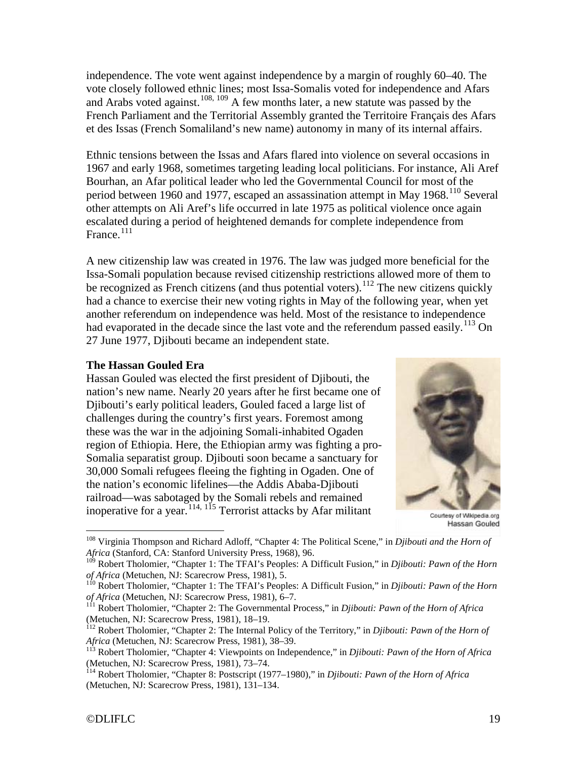independence. The vote went against independence by a margin of roughly 60–40. The vote closely followed ethnic lines; most Issa-Somalis voted for independence and Afars and Arabs voted against.<sup>[108](#page-18-1), [109](#page-18-2)</sup> A few months later, a new statute was passed by the French Parliament and the Territorial Assembly granted the Territoire Français des Afars et des Issas (French Somaliland's new name) autonomy in many of its internal affairs.

Ethnic tensions between the Issas and Afars flared into violence on several occasions in 1967 and early 1968, sometimes targeting leading local politicians. For instance, Ali Aref Bourhan, an Afar political leader who led the Governmental Council for most of the period between 1960 and 1977, escaped an assassination attempt in May  $1968$ <sup>[110](#page-18-3)</sup> Several other attempts on Ali Aref's life occurred in late 1975 as political violence once again escalated during a period of heightened demands for complete independence from France.<sup>[111](#page-18-4)</sup>

A new citizenship law was created in 1976. The law was judged more beneficial for the Issa-Somali population because revised citizenship restrictions allowed more of them to be recognized as French citizens (and thus potential voters).<sup>[112](#page-18-5)</sup> The new citizens quickly had a chance to exercise their new voting rights in May of the following year, when yet another referendum on independence was held. Most of the resistance to independence had evaporated in the decade since the last vote and the referendum passed easily.<sup>[113](#page-18-6)</sup> On 27 June 1977, Djibouti became an independent state.

#### <span id="page-18-0"></span>**The Hassan Gouled Era**

<span id="page-18-8"></span>Hassan Gouled was elected the first president of Djibouti, the nation's new name. Nearly 20 years after he first became one of Djibouti's early political leaders, Gouled faced a large list of challenges during the country's first years. Foremost among these was the war in the adjoining Somali-inhabited Ogaden region of Ethiopia. Here, the Ethiopian army was fighting a pro-Somalia separatist group. Djibouti soon became a sanctuary for 30,000 Somali refugees fleeing the fighting in Ogaden. One of the nation's economic lifelines—the Addis Ababa-Djibouti railroad—was sabotaged by the Somali rebels and remained inoperative for a year.<sup>[114,](#page-18-7) [115](#page-18-8)</sup> Terrorist attacks by Afar militant



Courtesy of Wikipedia.org

<span id="page-18-1"></span> <sup>108</sup> Virginia Thompson and Richard Adloff, "Chapter 4: The Political Scene," in *Djibouti and the Horn of Africa* (Stanford, CA: Stanford University Press, 1968), 96.

<span id="page-18-2"></span><sup>&</sup>lt;sup>109</sup> Robert Tholomier, "Chapter 1: The TFAI's Peoples: A Difficult Fusion," in *Djibouti: Pawn of the Horn of Africa* (Metuchen, NJ: Scarecrow Press, 1981), 5.<br><sup>110</sup> Robert Tholomier, "Chapter 1: The TFAI's Peoples: A Difficult Fusion," in *Djibouti: Pawn of the Horn* 

<span id="page-18-4"></span><span id="page-18-3"></span>*of Africa* (Metuchen, NJ: Scarecrow Press, 1981), 6–7.<br><sup>111</sup> Robert Tholomier, "Chapter 2: The Governmental Process," in *Djibouti: Pawn of the Horn of Africa*<br>(Metuchen, NJ: Scarecrow Press, 1981), 18–19.

<span id="page-18-5"></span><sup>&</sup>lt;sup>112</sup> Robert Tholomier, "Chapter 2: The Internal Policy of the Territory," in *Djibouti: Pawn of the Horn of Africa* (Metuchen, NJ: Scarecrow Press, 1981), 38–39.

<span id="page-18-6"></span><sup>&</sup>lt;sup>113</sup> Robert Tholomier, "Chapter 4: Viewpoints on Independence," in *Djibouti: Pawn of the Horn of Africa* (Metuchen, NJ: Scarecrow Press, 1981), 73–74.

<span id="page-18-7"></span><sup>&</sup>lt;sup>114</sup> Robert Tholomier, "Chapter 8: Postscript (1977–1980)," in *Djibouti: Pawn of the Horn of Africa* (Metuchen, NJ: Scarecrow Press, 1981), 131–134.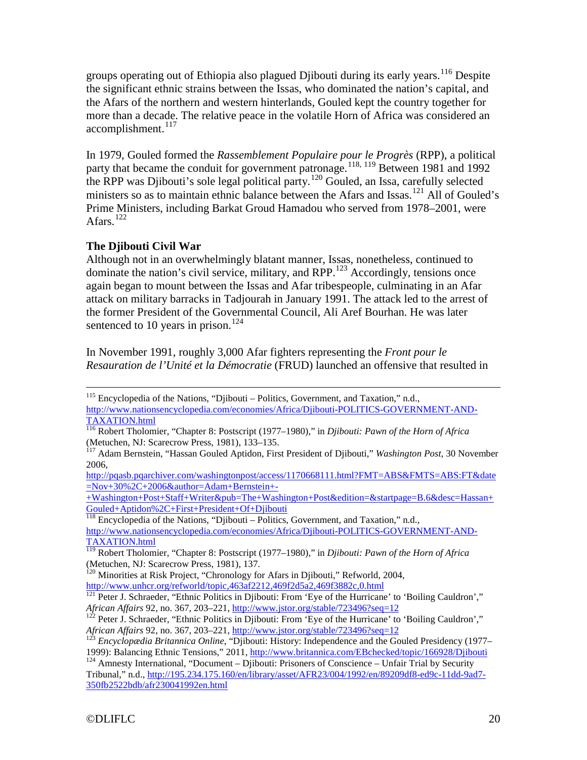groups operating out of Ethiopia also plagued Djibouti during its early years.<sup>[116](#page-19-1)</sup> Despite the significant ethnic strains between the Issas, who dominated the nation's capital, and the Afars of the northern and western hinterlands, Gouled kept the country together for more than a decade. The relative peace in the volatile Horn of Africa was considered an accomplishment.<sup>[117](#page-19-2)</sup>

In 1979, Gouled formed the *Rassemblement Populaire pour le Progrès* (RPP), a political party that became the conduit for government patronage.<sup>[118](#page-19-3), [119](#page-19-4)</sup> Between 1981 and 1992 the RPP was Djibouti's sole legal political party.<sup>[120](#page-19-5)</sup> Gouled, an Issa, carefully selected ministers so as to maintain ethnic balance between the Afars and Issas.<sup>[121](#page-19-6)</sup> All of Gouled's Prime Ministers, including Barkat Groud Hamadou who served from 1978–2001, were Afars.<sup>[122](#page-19-7)</sup>

# <span id="page-19-0"></span>**The Djibouti Civil War**

Although not in an overwhelmingly blatant manner, Issas, nonetheless, continued to dominate the nation's civil service, military, and RPP.<sup>[123](#page-19-8)</sup> Accordingly, tensions once again began to mount between the Issas and Afar tribespeople, culminating in an Afar attack on military barracks in Tadjourah in January 1991. The attack led to the arrest of the former President of the Governmental Council, Ali Aref Bourhan. He was later sentenced to 10 years in prison.<sup>[124](#page-19-9)</sup>

In November 1991, roughly 3,000 Afar fighters representing the *Front pour le Resauration de l'Unité et la Démocratie* (FRUD) launched an offensive that resulted in

[http://www.nationsencyclopedia.com/economies/Africa/Djibouti-POLITICS-GOVERNMENT-AND-](http://www.nationsencyclopedia.com/economies/Africa/Djibouti-POLITICS-GOVERNMENT-AND-TAXATION.html)[TAXATION.html](http://www.nationsencyclopedia.com/economies/Africa/Djibouti-POLITICS-GOVERNMENT-AND-TAXATION.html)

[+Washington+Post+Staff+Writer&pub=The+Washington+Post&edition=&startpage=B.6&desc=Hassan+](http://pqasb.pqarchiver.com/washingtonpost/access/1170668111.html?FMT=ABS&FMTS=ABS:FT&date=Nov+30%2C+2006&author=Adam+Bernstein+-+Washington+Post+Staff+Writer&pub=The+Washington+Post&edition=&startpage=B.6&desc=Hassan+Gouled+Aptidon%2C+First+President+Of+Djibouti)<br>Gouled+Aptidon%2C+First+President+Of+Djibouti

<span id="page-19-3"></span> $\frac{1}{18}$  Encyclopedia of the Nations, "Djibouti – Politics, Government, and Taxation," n.d., [http://www.nationsencyclopedia.com/economies/Africa/Djibouti-POLITICS-GOVERNMENT-AND-](http://www.nationsencyclopedia.com/economies/Africa/Djibouti-POLITICS-GOVERNMENT-AND-TAXATION.html)[TAXATION.html](http://www.nationsencyclopedia.com/economies/Africa/Djibouti-POLITICS-GOVERNMENT-AND-TAXATION.html)

<span id="page-19-5"></span> $120$  Minorities at Risk Project, "Chronology for Afars in Djibouti," Refworld, 2004, <http://www.unhcr.org/refworld/topic,463af2212,469f2d5a2,469f3882c,0.html>

<sup>&</sup>lt;sup>115</sup> Encyclopedia of the Nations, "Djibouti – Politics, Government, and Taxation," n.d.,

<span id="page-19-1"></span><sup>116</sup> Robert Tholomier, "Chapter 8: Postscript (1977–1980)," in *Djibouti: Pawn of the Horn of Africa*<br>(Metuchen, NJ: Scarecrow Press, 1981), 133–135.

<span id="page-19-2"></span><sup>&</sup>lt;sup>117</sup> Adam Bernstein, "Hassan Gouled Aptidon, First President of Djibouti," *Washington Post*, 30 November 2006,

[http://pqasb.pqarchiver.com/washingtonpost/access/1170668111.html?FMT=ABS&FMTS=ABS:FT&date](http://pqasb.pqarchiver.com/washingtonpost/access/1170668111.html?FMT=ABS&FMTS=ABS:FT&date=Nov+30%2C+2006&author=Adam+Bernstein+-+Washington+Post+Staff+Writer&pub=The+Washington+Post&edition=&startpage=B.6&desc=Hassan+Gouled+Aptidon%2C+First+President+Of+Djibouti) [=Nov+30%2C+2006&author=Adam+Bernstein+-](http://pqasb.pqarchiver.com/washingtonpost/access/1170668111.html?FMT=ABS&FMTS=ABS:FT&date=Nov+30%2C+2006&author=Adam+Bernstein+-+Washington+Post+Staff+Writer&pub=The+Washington+Post&edition=&startpage=B.6&desc=Hassan+Gouled+Aptidon%2C+First+President+Of+Djibouti)

<span id="page-19-4"></span><sup>119</sup> Robert Tholomier, "Chapter 8: Postscript (1977–1980)," in *Djibouti: Pawn of the Horn of Africa* (Metuchen, NJ: Scarecrow Press, 1981), 137.

<sup>&</sup>lt;sup>121</sup> Peter J. Schraeder, "Ethnic Politics in Djibouti: From 'Eye of the Hurricane' to 'Boiling Cauldron',"

<span id="page-19-7"></span><span id="page-19-6"></span>*African Affairs* 92, no. 367, 203–221, *http://www.jstor.org/stable/723496?seq=12*<br><sup>122</sup> Peter J. Schraeder, "Ethnic Politics in Djibouti: From 'Eye of the Hurricane' to 'Boiling Cauldron',"<br>*African Affairs* 92, no. 367,

<span id="page-19-8"></span><sup>&</sup>lt;sup>123</sup> *Encyclopædia Britannica Online*, "Djibouti: History: Independence and the Gouled Presidency (1977–1999): Balancing Ethnic Tensions," 2011, http://www.britannica.com/EBchecked/topic/166928/Djibouti

<span id="page-19-9"></span><sup>&</sup>lt;sup>124</sup> Amnesty International, "Document – Djibouti: Prisoners of Conscience – Unfair Trial by Security Tribunal," n.d., [http://195.234.175.160/en/library/asset/AFR23/004/1992/en/89209df8-ed9c-11dd-9ad7-](http://195.234.175.160/en/library/asset/AFR23/004/1992/en/89209df8-ed9c-11dd-9ad7-350fb2522bdb/afr230041992en.html) [350fb2522bdb/afr230041992en.html](http://195.234.175.160/en/library/asset/AFR23/004/1992/en/89209df8-ed9c-11dd-9ad7-350fb2522bdb/afr230041992en.html)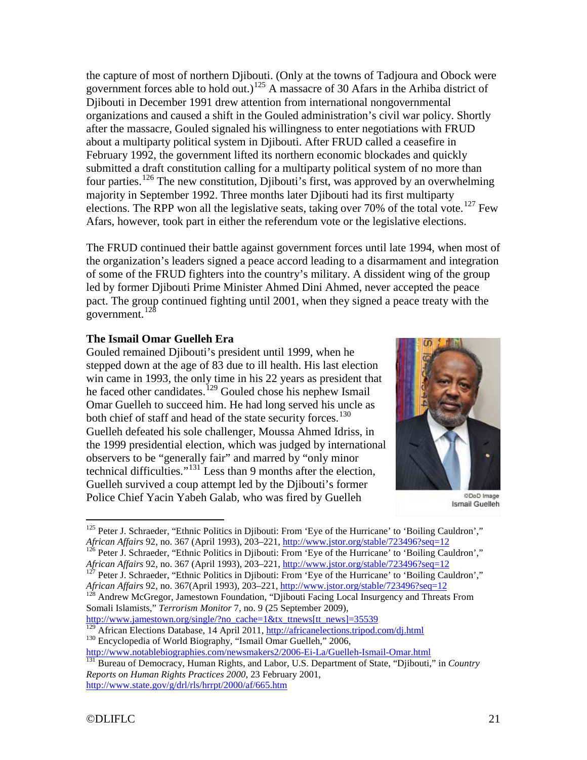the capture of most of northern Djibouti. (Only at the towns of Tadjoura and Obock were government forces able to hold out.)<sup>[125](#page-20-1)</sup> A massacre of 30 Afars in the Arhiba district of Djibouti in December 1991 drew attention from international nongovernmental organizations and caused a shift in the Gouled administration's civil war policy. Shortly after the massacre, Gouled signaled his willingness to enter negotiations with FRUD about a multiparty political system in Djibouti. After FRUD called a ceasefire in February 1992, the government lifted its northern economic blockades and quickly submitted a draft constitution calling for a multiparty political system of no more than four parties.<sup>[126](#page-20-2)</sup> The new constitution, Djibouti's first, was approved by an overwhelming majority in September 1992. Three months later Djibouti had its first multiparty elections. The RPP won all the legislative seats, taking over 70% of the total vote.<sup>[127](#page-20-3)</sup> Few Afars, however, took part in either the referendum vote or the legislative elections.

The FRUD continued their battle against government forces until late 1994, when most of the organization's leaders signed a peace accord leading to a disarmament and integration of some of the FRUD fighters into the country's military. A dissident wing of the group led by former Djibouti Prime Minister Ahmed Dini Ahmed, never accepted the peace pact. The group continued fighting until 2001, when they signed a peace treaty with the government.<sup>[128](#page-20-4)</sup>

# <span id="page-20-0"></span>**The Ismail Omar Guelleh Era**

Gouled remained Djibouti's president until 1999, when he stepped down at the age of 83 due to ill health. His last election win came in 1993, the only time in his 22 years as president that he faced other candidates.<sup>[129](#page-20-5)</sup> Gouled chose his nephew Ismail Omar Guelleh to succeed him. He had long served his uncle as both chief of staff and head of the state security forces.<sup>[130](#page-20-6)</sup> Guelleh defeated his sole challenger, Moussa Ahmed Idriss, in the 1999 presidential election, which was judged by international observers to be "generally fair" and marred by "only minor technical difficulties."[131](#page-20-7) Less than 9 months after the election, Guelleh survived a coup attempt led by the Djibouti's former Police Chief Yacin Yabeh Galab, who was fired by Guelleh



@DoD Image Ismail Guelleh

<span id="page-20-2"></span>*African Affairs* 92, no. 367 (April 1993), 203–221, *http://www.jstor.org/stable/723496?seq=12*<br><sup>127</sup> Peter J. Schraeder, "Ethnic Politics in Djibouti: From 'Eye of the Hurricane' to 'Boiling Cauldron',"

<span id="page-20-3"></span>*African Affairs* 92, no. 367(April 1993), 203–221[, http://www.jstor.org/stable/723496?seq=12](http://www.jstor.org/stable/723496?seq=12)<br><sup>128</sup> Andrew McGregor, Jamestown Foundation, "Djibouti Facing Local Insurgency and Threats From

<span id="page-20-4"></span>Somali Islamists," *Terrorism Monitor* 7, no. 9 (25 September 2009),

[http://www.jamestown.org/single/?no\\_cache=1&tx\\_ttnews\[tt\\_news\]=35539](http://www.jamestown.org/single/?no_cache=1&tx_ttnews%5btt_news%5d=35539)<br><sup>[29</sup> African Elections Database, 14 April 2011, http://africanelections.tripod.com/dj.html

<span id="page-20-6"></span><span id="page-20-5"></span><sup>130</sup> Encyclopedia of World Biography, "Ismail Omar Guelleh," 2006,  $\frac{http://www.notablebiographies.com/newsmakes2/2006-Ei-La/Guelleh-Ismail-Omar.html}{http://www.notablebiographies.com/newsmakes2/2006-Ei-La/Guelleh-Ismail-Omar.html}$ 

<span id="page-20-7"></span><sup>131</sup> Bureau of Democracy, Human Rights, and Labor, U.S. Department of State, "Djibouti," in *Country Reports on Human Rights Practices 2000*, 23 February 2001, <http://www.state.gov/g/drl/rls/hrrpt/2000/af/665.htm>

<span id="page-20-1"></span><sup>&</sup>lt;sup>125</sup> Peter J. Schraeder, "Ethnic Politics in Djibouti: From 'Eye of the Hurricane' to 'Boiling Cauldron'," *African Affairs* 92, no. 367 (April 1993), 203–221, <sup>126</sup> Peter J. Schraeder, "Ethnic Politics in Djibouti: From 'Eye of the Hurricane' to 'Boiling Cauldron',"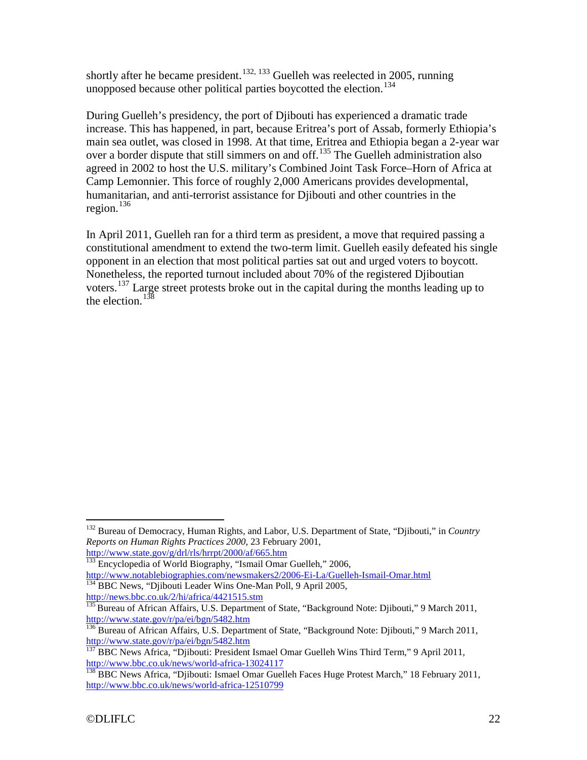shortly after he became president.<sup>[132](#page-21-0), [133](#page-21-1)</sup> Guelleh was reelected in 2005, running unopposed because other political parties boycotted the election.<sup>[134](#page-21-2)</sup>

During Guelleh's presidency, the port of Djibouti has experienced a dramatic trade increase. This has happened, in part, because Eritrea's port of Assab, formerly Ethiopia's main sea outlet, was closed in 1998. At that time, Eritrea and Ethiopia began a 2-year war over a border dispute that still simmers on and off.<sup>[135](#page-21-3)</sup> The Guelleh administration also agreed in 2002 to host the U.S. military's Combined Joint Task Force–Horn of Africa at Camp Lemonnier. This force of roughly 2,000 Americans provides developmental, humanitarian, and anti-terrorist assistance for Djibouti and other countries in the region. $136$ 

In April 2011, Guelleh ran for a third term as president, a move that required passing a constitutional amendment to extend the two-term limit. Guelleh easily defeated his single opponent in an election that most political parties sat out and urged voters to boycott. Nonetheless, the reported turnout included about 70% of the registered Djiboutian voters.<sup>[137](#page-21-5)</sup> Large street protests broke out in the capital during the months leading up to the election.<sup>[138](#page-21-6)</sup>

<http://www.state.gov/g/drl/rls/hrrpt/2000/af/665.htm>

<span id="page-21-2"></span><http://news.bbc.co.uk/2/hi/africa/4421515.stm>

<span id="page-21-0"></span> <sup>132</sup> Bureau of Democracy, Human Rights, and Labor, U.S. Department of State, "Djibouti," in *Country Reports on Human Rights Practices 2000*, 23 February 2001,

<span id="page-21-1"></span><sup>&</sup>lt;sup>133</sup> Encyclopedia of World Biography, "Ismail Omar Guelleh," 2006, <http://www.notablebiographies.com/newsmakers2/2006-Ei-La/Guelleh-Ismail-Omar.html> <sup>134</sup> BBC News, "Djibouti Leader Wins One-Man Poll, 9 April 2005,

<span id="page-21-3"></span><sup>&</sup>lt;sup>135</sup> Bureau of African Affairs, U.S. Department of State, "Background Note: Djibouti," 9 March 2011, <http://www.state.gov/r/pa/ei/bgn/5482.htm>

<span id="page-21-4"></span> $\frac{136}{136}$ Bureau of African Affairs, U.S. Department of State, "Background Note: Djibouti," 9 March 2011, http://www.state.gov/r/pa/ei/bgn/5482.htm

<span id="page-21-5"></span> $\frac{137}{137}$ BBC News Africa, "Djibouti: President Ismael Omar Guelleh Wins Third Term," 9 April 2011, http://www.bbc.co.uk/news/world-africa-13024117

<span id="page-21-6"></span><sup>&</sup>lt;sup>138</sup> BBC News Africa, "Djibouti: Ismael Omar Guelleh Faces Huge Protest March," 18 February 2011, <http://www.bbc.co.uk/news/world-africa-12510799>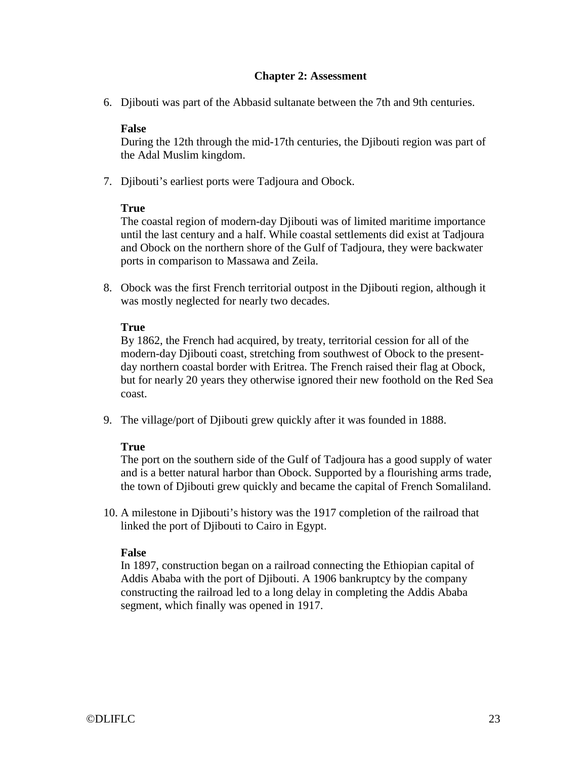#### **Chapter 2: Assessment**

6. Djibouti was part of the Abbasid sultanate between the 7th and 9th centuries.

#### **False**

During the 12th through the mid-17th centuries, the Djibouti region was part of the Adal Muslim kingdom.

7. Djibouti's earliest ports were Tadjoura and Obock.

#### **True**

The coastal region of modern-day Djibouti was of limited maritime importance until the last century and a half. While coastal settlements did exist at Tadjoura and Obock on the northern shore of the Gulf of Tadjoura, they were backwater ports in comparison to Massawa and Zeila.

8. Obock was the first French territorial outpost in the Djibouti region, although it was mostly neglected for nearly two decades.

#### **True**

By 1862, the French had acquired, by treaty, territorial cession for all of the modern-day Djibouti coast, stretching from southwest of Obock to the presentday northern coastal border with Eritrea. The French raised their flag at Obock, but for nearly 20 years they otherwise ignored their new foothold on the Red Sea coast.

9. The village/port of Djibouti grew quickly after it was founded in 1888.

#### **True**

The port on the southern side of the Gulf of Tadjoura has a good supply of water and is a better natural harbor than Obock. Supported by a flourishing arms trade, the town of Djibouti grew quickly and became the capital of French Somaliland.

10. A milestone in Djibouti's history was the 1917 completion of the railroad that linked the port of Djibouti to Cairo in Egypt.

#### **False**

In 1897, construction began on a railroad connecting the Ethiopian capital of Addis Ababa with the port of Djibouti. A 1906 bankruptcy by the company constructing the railroad led to a long delay in completing the Addis Ababa segment, which finally was opened in 1917.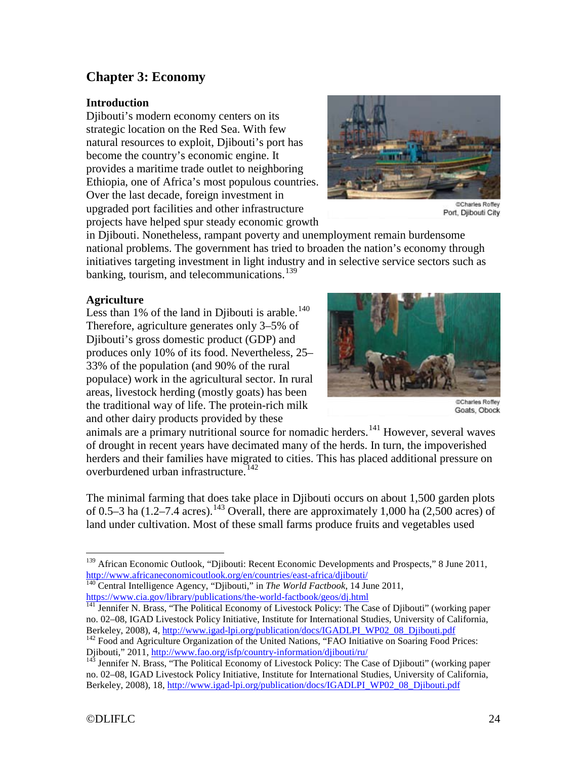# <span id="page-23-0"></span>**Chapter 3: Economy**

#### <span id="page-23-1"></span>**Introduction**

Djibouti's modern economy centers on its strategic location on the Red Sea. With few natural resources to exploit, Djibouti's port has become the country's economic engine. It provides a maritime trade outlet to neighboring Ethiopia, one of Africa's most populous countries. Over the last decade, foreign investment in upgraded port facilities and other infrastructure projects have helped spur steady economic growth



**Charles Roffey** Port, Djibouti City

in Djibouti. Nonetheless, rampant poverty and unemployment remain burdensome national problems. The government has tried to broaden the nation's economy through initiatives targeting investment in light industry and in selective service sectors such as banking, tourism, and telecommunications.<sup>[139](#page-23-3)</sup>

# <span id="page-23-2"></span>**Agriculture**

Less than  $1\%$  of the land in Djibouti is arable.<sup>[140](#page-23-4)</sup> Therefore, agriculture generates only 3–5% of Djibouti's gross domestic product (GDP) and produces only 10% of its food. Nevertheless, 25– 33% of the population (and 90% of the rural populace) work in the agricultural sector. In rural areas, livestock herding (mostly goats) has been the traditional way of life. The protein-rich milk and other dairy products provided by these



**Charles Roffey** Goats, Obock

animals are a primary nutritional source for nomadic herders.<sup>[141](#page-23-5)</sup> However, several waves of drought in recent years have decimated many of the herds. In turn, the impoverished herders and their families have migrated to cities. This has placed additional pressure on overburdened urban infrastructure.<sup>[142](#page-23-6)</sup>

The minimal farming that does take place in Djibouti occurs on about 1,500 garden plots of 0.5–3 ha  $(1.2-7.4 \text{ acres})$ .<sup>[143](#page-23-7)</sup> Overall, there are approximately 1,000 ha  $(2,500 \text{ acres})$  of land under cultivation. Most of these small farms produce fruits and vegetables used

<span id="page-23-3"></span><sup>&</sup>lt;sup>139</sup> African Economic Outlook, "Djibouti: Recent Economic Developments and Prospects," 8 June 2011, http://www.africaneconomicoutlook.org/en/countries/east-africa/djibouti/

<span id="page-23-4"></span>https://www.cia.gov/library/publications/the-world-factbook/geos/dj.html<br>https://www.cia.gov/library/publications/the-world-factbook/geos/dj.html

<span id="page-23-5"></span> $\overline{P_{141}}$  Jennifer N. Brass, "The Political Economy of Livestock Policy: The Case of Djibouti" (working paper no. 02–08, IGAD Livestock Policy Initiative, Institute for International Studies, University of California, Berkeley, 2008), 4, http://www.igad-lpi.org/publication/docs/IGADLPI WP02 08 Djibouti.pdf

<span id="page-23-6"></span><sup>&</sup>lt;sup>142</sup> Food and Agriculture Organization of the United Nations, "FAO Initiative on Soaring Food Prices:<br>Djibouti," 2011, http://www.fao.org/isfp/country-information/djibouti/ru/

<span id="page-23-7"></span><sup>&</sup>lt;sup>143</sup> Jennifer N. Brass, "The Political Economy of Livestock Policy: The Case of Djibouti" (working paper no. 02–08, IGAD Livestock Policy Initiative, Institute for International Studies, University of California, Berkeley, 2008), 18[, http://www.igad-lpi.org/publication/docs/IGADLPI\\_WP02\\_08\\_Djibouti.pdf](http://www.igad-lpi.org/publication/docs/IGADLPI_WP02_08_Djibouti.pdf)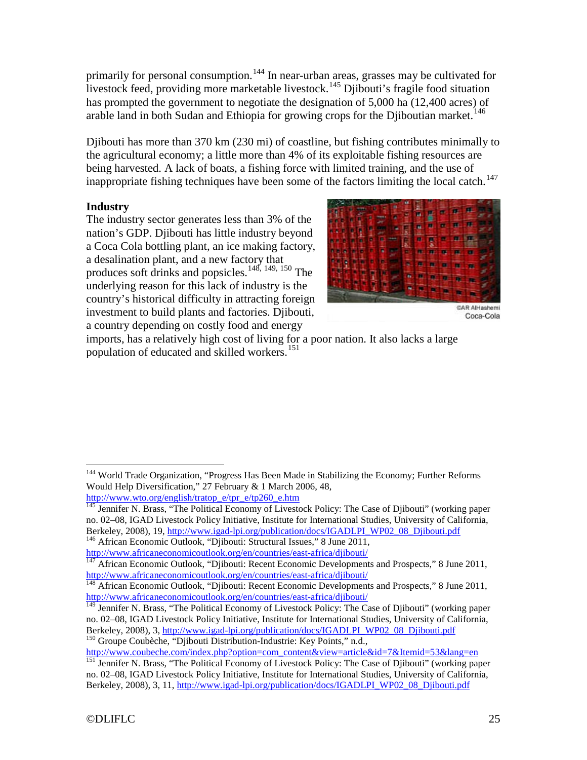primarily for personal consumption.<sup>[144](#page-24-1)</sup> In near-urban areas, grasses may be cultivated for livestock feed, providing more marketable livestock.<sup>[145](#page-24-2)</sup> Djibouti's fragile food situation has prompted the government to negotiate the designation of 5,000 ha (12,400 acres) of arable land in both Sudan and Ethiopia for growing crops for the Djiboutian market.<sup>[146](#page-24-3)</sup>

Djibouti has more than 370 km (230 mi) of coastline, but fishing contributes minimally to the agricultural economy; a little more than 4% of its exploitable fishing resources are being harvested. A lack of boats, a fishing force with limited training, and the use of inappropriate fishing techniques have been some of the factors limiting the local catch.<sup>[147](#page-24-4)</sup>

# <span id="page-24-0"></span>**Industry**

The industry sector generates less than 3% of the nation's GDP. Djibouti has little industry beyond a Coca Cola bottling plant, an ice making factory, a desalination plant, and a new factory that produces soft drinks and popsicles.[148,](#page-24-5) [149,](#page-24-6) [150](#page-24-7) The underlying reason for this lack of industry is the country's historical difficulty in attracting foreign investment to build plants and factories. Djibouti, a country depending on costly food and energy



Coca-Cola

imports, has a relatively high cost of living for a poor nation. It also lacks a large population of educated and skilled workers.<sup>[151](#page-24-8)</sup>

<span id="page-24-7"></span>[http://www.coubeche.com/index.php?option=com\\_content&view=article&id=7&Itemid=53&lang=en](http://www.coubeche.com/index.php?option=com_content&view=article&id=7&Itemid=53&lang=en)

<span id="page-24-1"></span><sup>&</sup>lt;sup>144</sup> World Trade Organization, "Progress Has Been Made in Stabilizing the Economy; Further Reforms Would Help Diversification," 27 February & 1 March 2006, 48, [http://www.wto.org/english/tratop\\_e/tpr\\_e/tp260\\_e.htm](http://www.wto.org/english/tratop_e/tpr_e/tp260_e.htm)

<span id="page-24-2"></span><sup>&</sup>lt;sup>145</sup> Jennifer N. Brass, "The Political Economy of Livestock Policy: The Case of Djibouti" (working paper no. 02–08, IGAD Livestock Policy Initiative, Institute for International Studies, University of California, Berkeley, 2008), 19[, http://www.igad-lpi.org/publication/docs/IGADLPI\\_WP02\\_08\\_Djibouti.pdf](http://www.igad-lpi.org/publication/docs/IGADLPI_WP02_08_Djibouti.pdf) <sup>146</sup> African Economic Outlook, "Djibouti: Structural Issues," 8 June 2011,

<span id="page-24-4"></span><span id="page-24-3"></span><http://www.africaneconomicoutlook.org/en/countries/east-africa/djibouti/><br><sup>147</sup> African Economic Outlook, "Djibouti: Recent Economic Developments and Prospects," 8 June 2011,<br>http://www.africaneconomicoutlook.org/en/countri

<span id="page-24-5"></span><sup>&</sup>lt;sup>148</sup> African Economic Outlook, "Djibouti: Recent Economic Developments and Prospects," 8 June 2011, <http://www.africaneconomicoutlook.org/en/countries/east-africa/djibouti/>

<span id="page-24-6"></span> $\frac{149}{149}$  Jennifer N. Brass, "The Political Economy of Livestock Policy: The Case of Djibouti" (working paper no. 02–08, IGAD Livestock Policy Initiative, Institute for International Studies, University of California, Berkeley, 2008), 3, http://www.igad-lpi.org/publication/docs/IGADLPI WP02 08 Djibouti.pdf <sup>150</sup> Groupe Coubèche, "Djibouti Distribution-Industrie: Key Points," n.d.,

<span id="page-24-8"></span><sup>&</sup>lt;sup>151</sup> Jennifer N. Brass, "The Political Economy of Livestock Policy: The Case of Djibouti" (working paper no. 02–08, IGAD Livestock Policy Initiative, Institute for International Studies, University of California, Berkeley, 2008), 3, 11, [http://www.igad-lpi.org/publication/docs/IGADLPI\\_WP02\\_08\\_Djibouti.pdf](http://www.igad-lpi.org/publication/docs/IGADLPI_WP02_08_Djibouti.pdf)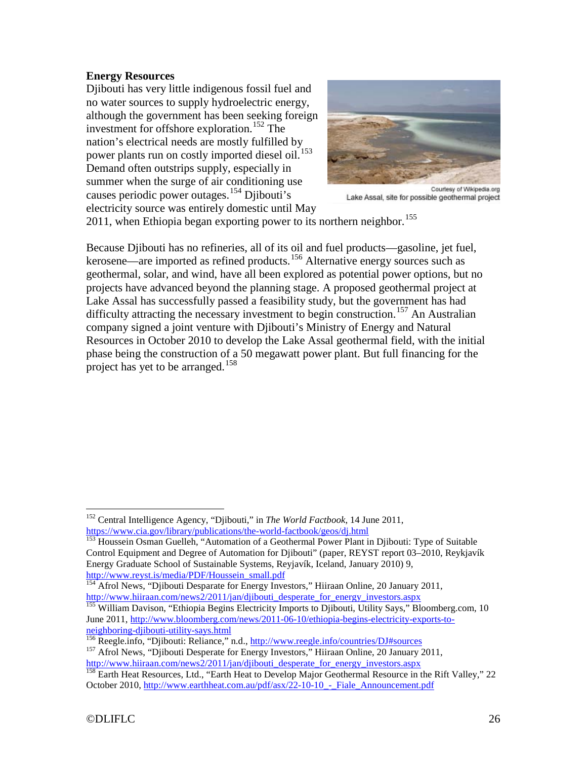#### <span id="page-25-0"></span>**Energy Resources**

Djibouti has very little indigenous fossil fuel and no water sources to supply hydroelectric energy, although the government has been seeking foreign investment for offshore exploration.<sup>[152](#page-25-1)</sup> The nation's electrical needs are mostly fulfilled by power plants run on costly imported diesel oil.<sup>[153](#page-25-2)</sup> Demand often outstrips supply, especially in summer when the surge of air conditioning use causes periodic power outages.<sup>[154](#page-25-3)</sup> Djibouti's electricity source was entirely domestic until May



Courtesy of Wikipedia.org Lake Assal, site for possible geothermal project

2011, when Ethiopia began exporting power to its northern neighbor.<sup>[155](#page-25-4)</sup>

Because Djibouti has no refineries, all of its oil and fuel products—gasoline, jet fuel, kerosene—are imported as refined products.<sup>[156](#page-25-5)</sup> Alternative energy sources such as geothermal, solar, and wind, have all been explored as potential power options, but no projects have advanced beyond the planning stage. A proposed geothermal project at Lake Assal has successfully passed a feasibility study, but the government has had difficulty attracting the necessary investment to begin construction.<sup>[157](#page-25-6)</sup> An Australian company signed a joint venture with Djibouti's Ministry of Energy and Natural Resources in October 2010 to develop the Lake Assal geothermal field, with the initial phase being the construction of a 50 megawatt power plant. But full financing for the project has yet to be arranged.<sup>[158](#page-25-7)</sup>

<span id="page-25-1"></span><sup>&</sup>lt;sup>152</sup> Central Intelligence Agency, "Djibouti," in *The World Factbook*, 14 June 2011, https://www.cia.gov/library/publications/the-world-factbook/geos/dj.html

<span id="page-25-2"></span><sup>&</sup>lt;sup>153</sup> Houssein Osman Guelleh, "Automation of a Geothermal Power Plant in Djibouti: Type of Suitable Control Equipment and Degree of Automation for Djibouti" (paper, REYST report 03–2010, Reykjavík Energy Graduate School of Sustainable Systems, Reyjavík, Iceland, January 2010) 9, [http://www.reyst.is/media/PDF/Houssein\\_small.pdf](http://www.reyst.is/media/PDF/Houssein_small.pdf)

<span id="page-25-3"></span><sup>&</sup>lt;sup>154</sup> Afrol News, "Djibouti Desparate for Energy Investors," Hiiraan Online, 20 January 2011, [http://www.hiiraan.com/news2/2011/jan/djibouti\\_desperate\\_for\\_energy\\_investors.aspx](http://www.hiiraan.com/news2/2011/jan/djibouti_desperate_for_energy_investors.aspx)

<span id="page-25-4"></span><sup>&</sup>lt;sup>155</sup> William Davison, "Ethiopia Begins Electricity Imports to Djibouti, Utility Says," Bloomberg.com, 10 June 2011, [http://www.bloomberg.com/news/2011-06-10/ethiopia-begins-electricity-exports-to](http://www.bloomberg.com/news/2011-06-10/ethiopia-begins-electricity-exports-to-neighboring-djibouti-utility-says.html)[neighboring-djibouti-utility-says.html](http://www.bloomberg.com/news/2011-06-10/ethiopia-begins-electricity-exports-to-neighboring-djibouti-utility-says.html)<br>
<sup>156</sup> Reegle.info, "Djibouti: Reliance," n.d., <u>http://www.reegle.info/countries/DJ#sources</u><br>
<sup>157</sup> Afrol News, "Djibouti Desperate for Energy Investors," Hiiraan Online, 20 January

<span id="page-25-5"></span>

<span id="page-25-6"></span>[http://www.hiiraan.com/news2/2011/jan/djibouti\\_desperate\\_for\\_energy\\_investors.aspx](http://www.hiiraan.com/news2/2011/jan/djibouti_desperate_for_energy_investors.aspx)

<span id="page-25-7"></span><sup>&</sup>lt;sup>158</sup> Earth Heat Resources, Ltd., "Earth Heat to Develop Major Geothermal Resource in the Rift Valley," 22 October 2010[, http://www.earthheat.com.au/pdf/asx/22-10-10\\_-\\_Fiale\\_Announcement.pdf](http://www.earthheat.com.au/pdf/asx/22-10-10_-_Fiale_Announcement.pdf)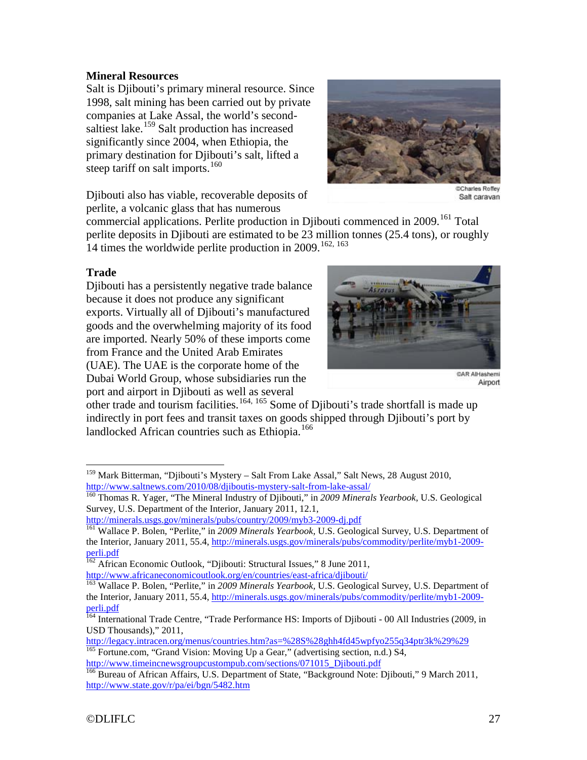#### <span id="page-26-0"></span>**Mineral Resources**

Salt is Djibouti's primary mineral resource. Since 1998, salt mining has been carried out by private companies at Lake Assal, the world's second-saltiest lake.<sup>[159](#page-26-2)</sup> Salt production has increased significantly since 2004, when Ethiopia, the primary destination for Djibouti's salt, lifted a steep tariff on salt imports.<sup>[160](#page-26-3)</sup>



Salt caravan

Djibouti also has viable, recoverable deposits of perlite, a volcanic glass that has numerous

commercial applications. Perlite production in Djibouti commenced in 2009.<sup>[161](#page-26-4)</sup> Total perlite deposits in Djibouti are estimated to be 23 million tonnes (25.4 tons), or roughly 14 times the worldwide perlite production in 2009.[162,](#page-26-5) [163](#page-26-6)

#### <span id="page-26-1"></span>**Trade**

Djibouti has a persistently negative trade balance because it does not produce any significant exports. Virtually all of Djibouti's manufactured goods and the overwhelming majority of its food are imported. Nearly 50% of these imports come from France and the United Arab Emirates (UAE). The UAE is the corporate home of the Dubai World Group, whose subsidiaries run the port and airport in Djibouti as well as several



Airport

other trade and tourism facilities.<sup>[164,](#page-26-7) [165](#page-26-8)</sup> Some of Djibouti's trade shortfall is made up indirectly in port fees and transit taxes on goods shipped through Djibouti's port by landlocked African countries such as Ethiopia.<sup>[166](#page-26-9)</sup>

<http://legacy.intracen.org/menus/countries.htm?as=%28S%28ghh4fd45wpfyo255q34ptr3k%29%29>

<span id="page-26-8"></span><sup>165</sup> Fortune.com, "Grand Vision: Moving Up a Gear," (advertising section, n.d.) S4, [http://www.timeincnewsgroupcustompub.com/sections/071015\\_Djibouti.pdf](http://www.timeincnewsgroupcustompub.com/sections/071015_Djibouti.pdf)

<span id="page-26-2"></span><sup>&</sup>lt;sup>159</sup> Mark Bitterman, "Djibouti's Mystery – Salt From Lake Assal," Salt News, 28 August 2010, http://www.saltnews.com/2010/08/djiboutis-mystery-salt-from-lake-assal/

<span id="page-26-3"></span><sup>&</sup>lt;sup>160</sup> Thomas R. Yager, "The Mineral Industry of Djibouti," in 2009 Minerals Yearbook, U.S. Geological Survey, U.S. Department of the Interior, January 2011, 12.1,<br>http://minerals.usgs.gov/minerals/pubs/country/2009/myb3-2009-dj.pdf

<span id="page-26-4"></span><sup>&</sup>lt;sup>161</sup> Wallace P. Bolen, "Perlite," in 2009 Minerals Yearbook, U.S. Geological Survey, U.S. Department of the Interior, January 2011, 55.4, [http://minerals.usgs.gov/minerals/pubs/commodity/perlite/myb1-2009](http://minerals.usgs.gov/minerals/pubs/commodity/perlite/myb1-2009-perli.pdf) [perli.pdf](http://minerals.usgs.gov/minerals/pubs/commodity/perlite/myb1-2009-perli.pdf)

<sup>&</sup>lt;sup>162</sup> African Economic Outlook, "Djibouti: Structural Issues," 8 June 2011,

<span id="page-26-6"></span><span id="page-26-5"></span><http://www.africaneconomicoutlook.org/en/countries/east-africa/djibouti/> <sup>163</sup> Wallace P. Bolen, "Perlite," in *2009 Minerals Yearbook,* U.S. Geological Survey, U.S. Department of the Interior, January 2011, 55.4, [http://minerals.usgs.gov/minerals/pubs/commodity/perlite/myb1-2009](http://minerals.usgs.gov/minerals/pubs/commodity/perlite/myb1-2009-perli.pdf) [perli.pdf](http://minerals.usgs.gov/minerals/pubs/commodity/perlite/myb1-2009-perli.pdf)

<span id="page-26-7"></span><sup>&</sup>lt;sup>164</sup> International Trade Centre, "Trade Performance HS: Imports of Djibouti - 00 All Industries (2009, in USD Thousands)," 2011,

<span id="page-26-9"></span><sup>&</sup>lt;sup>166</sup> Bureau of African Affairs, U.S. Department of State, "Background Note: Djibouti," 9 March 2011, <http://www.state.gov/r/pa/ei/bgn/5482.htm>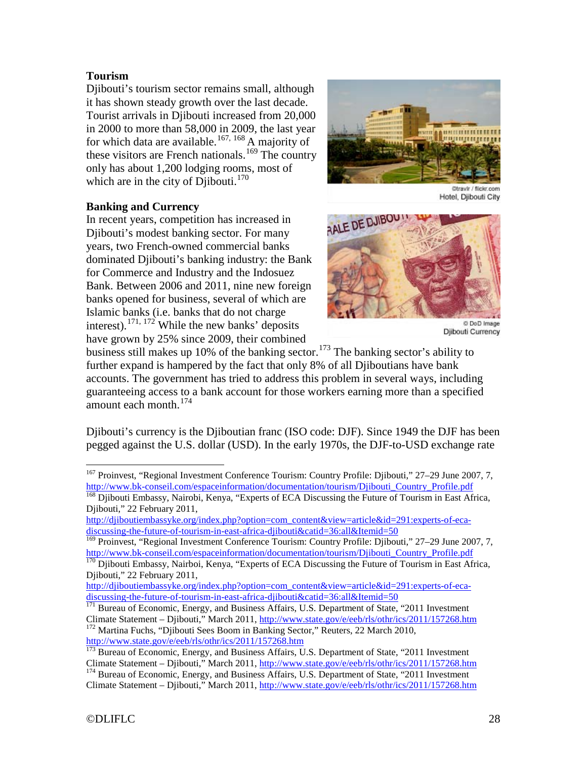# <span id="page-27-0"></span>**Tourism**

Djibouti's tourism sector remains small, although it has shown steady growth over the last decade. Tourist arrivals in Djibouti increased from 20,000 in 2000 to more than 58,000 in 2009, the last year for which data are available.<sup>[167,](#page-27-2) [168](#page-27-3)</sup> A majority of these visitors are French nationals.<sup>[169](#page-27-4)</sup> The country only has about 1,200 lodging rooms, most of which are in the city of Djibouti. $170$ 

#### <span id="page-27-1"></span>**Banking and Currency**

In recent years, competition has increased in Djibouti's modest banking sector. For many years, two French-owned commercial banks dominated Djibouti's banking industry: the Bank for Commerce and Industry and the Indosuez Bank. Between 2006 and 2011, nine new foreign banks opened for business, several of which are Islamic banks (i.e. banks that do not charge interest).<sup>[171](#page-27-6), [172](#page-27-7)</sup> While the new banks' deposits have grown by 25% since 2009, their combined



Hotel, Djibouti City



© DoD Image Djibouti Currency

business still makes up 10% of the banking sector.<sup>[173](#page-27-8)</sup> The banking sector's ability to further expand is hampered by the fact that only 8% of all Djiboutians have bank accounts. The government has tried to address this problem in several ways, including guaranteeing access to a bank account for those workers earning more than a specified amount each month.<sup>[174](#page-27-9)</sup>

Djibouti's currency is the Djiboutian franc (ISO code: DJF). Since 1949 the DJF has been pegged against the U.S. dollar (USD). In the early 1970s, the DJF-to-USD exchange rate

<sup>169</sup> Proinvest, "Regional Investment Conference Tourism: Country Profile: Djibouti," 27–29 June 2007, 7,

http://djiboutiembassyke.org/index.php?option=com\_content&view=article&id=291:experts-of-eca-<br>discussing-the-future-of-tourism-in-east-africa-djibouti&catid=36:all&Itemid=50

<span id="page-27-2"></span><sup>&</sup>lt;sup>167</sup> Proinvest, "Regional Investment Conference Tourism: Country Profile: Djibouti," 27–29 June 2007, 7, http://www.bk-conseil.com/espaceinformation/documentation/tourism/Djibouti\_Country\_Profile.pdf

<span id="page-27-3"></span><sup>&</sup>lt;sup>168</sup> Djibouti Embassy, Nairobi, Kenya, "Experts of ECA Discussing the Future of Tourism in East Africa, Djibouti," 22 February 2011,

[http://djiboutiembassyke.org/index.php?option=com\\_content&view=article&id=291:experts-of-eca](http://djiboutiembassyke.org/index.php?option=com_content&view=article&id=291:experts-of-eca-discussing-the-future-of-tourism-in-east-africa-djibouti&catid=36:all&Itemid=50)[discussing-the-future-of-tourism-in-east-africa-djibouti&catid=36:all&Itemid=50](http://djiboutiembassyke.org/index.php?option=com_content&view=article&id=291:experts-of-eca-discussing-the-future-of-tourism-in-east-africa-djibouti&catid=36:all&Itemid=50)

<span id="page-27-5"></span><span id="page-27-4"></span>[http://www.bk-conseil.com/espaceinformation/documentation/tourism/Djibouti\\_Country\\_Profile.pdf](http://www.bk-conseil.com/espaceinformation/documentation/tourism/Djibouti_Country_Profile.pdf) <sup>170</sup> Djibouti Embassy, Nairboi, Kenya, "Experts of ECA Discussing the Future of Tourism in East Africa, Djibouti," 22 February 2011,

<span id="page-27-6"></span><sup>&</sup>lt;sup>171</sup> Bureau of Economic, Energy, and Business Affairs, U.S. Department of State, "2011 Investment<br>Climate Statement – Djibouti," March 2011, http://www.state.gov/e/eeb/rls/othr/ics/2011/157268.htm <sup>172</sup> Martina Fuchs, "Djibouti Sees Boom in Banking Sector," Reuters, 22 March 2010, <http://www.state.gov/e/eeb/rls/othr/ics/2011/157268.htm>

<span id="page-27-8"></span><span id="page-27-7"></span> $\frac{173}{173}$  Bureau of Economic, Energy, and Business Affairs, U.S. Department of State, "2011 Investment<br>Climate Statement – Djibouti," March 2011, http://www.state.gov/e/eeb/rls/othr/ics/2011/157268.htm <sup>174</sup> Bureau of Economic, Energy, and Business Affairs, U.S. Department of State, "2011 Investment

<span id="page-27-9"></span>Climate Statement – Djibouti," March 2011[, http://www.state.gov/e/eeb/rls/othr/ics/2011/157268.htm](http://www.state.gov/e/eeb/rls/othr/ics/2011/157268.htm)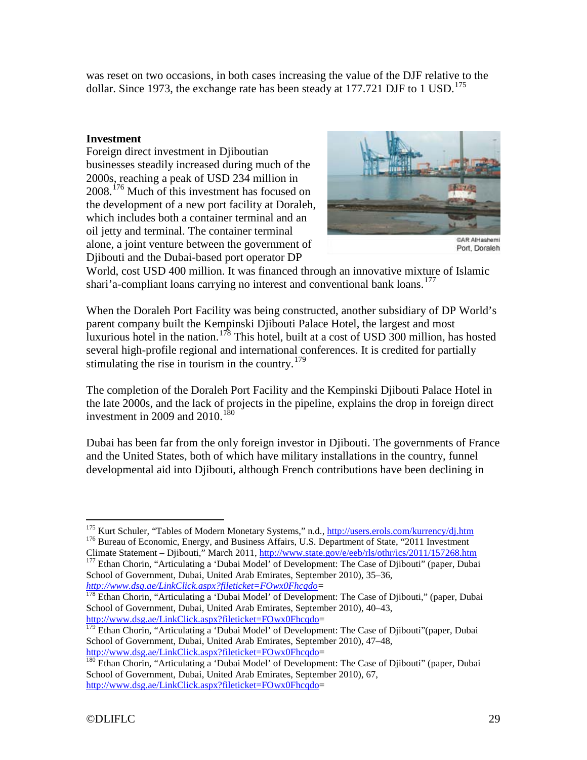was reset on two occasions, in both cases increasing the value of the DJF relative to the dollar. Since 1973, the exchange rate has been steady at  $177.721$  DJF to 1 USD.<sup>[175](#page-28-1)</sup>

#### <span id="page-28-0"></span>**Investment**

Foreign direct investment in Djiboutian businesses steadily increased during much of the 2000s, reaching a peak of USD 234 million in  $2008$ <sup>[176](#page-28-2)</sup> Much of this investment has focused on the development of a new port facility at Doraleh, which includes both a container terminal and an oil jetty and terminal. The container terminal alone, a joint venture between the government of Djibouti and the Dubai-based port operator DP



Port, Doraleh

World, cost USD 400 million. It was financed through an innovative mixture of Islamic shari'a-compliant loans carrying no interest and conventional bank loans.<sup>[177](#page-28-3)</sup>

When the Doraleh Port Facility was being constructed, another subsidiary of DP World's parent company built the Kempinski Djibouti Palace Hotel, the largest and most luxurious hotel in the nation.<sup>[178](#page-28-4)</sup> This hotel, built at a cost of USD 300 million, has hosted several high-profile regional and international conferences. It is credited for partially stimulating the rise in tourism in the country. $179$ 

The completion of the Doraleh Port Facility and the Kempinski Djibouti Palace Hotel in the late 2000s, and the lack of projects in the pipeline, explains the drop in foreign direct investment in 2009 and  $2010^{180}$  $2010^{180}$  $2010^{180}$ 

Dubai has been far from the only foreign investor in Djibouti. The governments of France and the United States, both of which have military installations in the country, funnel developmental aid into Djibouti, although French contributions have been declining in

<span id="page-28-4"></span>*[http://www.dsg.ae/LinkClick.aspx?fileticket=FOwx0Fhcqdo=](http://www.dsg.ae/LinkClick.aspx?fileticket=FOwx0Fhcqdo)* <sup>178</sup> Ethan Chorin, "Articulating a 'Dubai Model' of Development: The Case of Djibouti," (paper, Dubai School of Government, Dubai, United Arab Emirates, September 2010), 40–43, http://www.dsg.ae/LinkClick.aspx?fileticket=FOwx0Fhcqdo=

<span id="page-28-5"></span><sup>179</sup> Ethan Chorin, "Articulating a 'Dubai Model' of Development: The Case of Djibouti"(paper, Dubai School of Government, Dubai, United Arab Emirates, September 2010), 47–48,

<span id="page-28-1"></span><sup>&</sup>lt;sup>175</sup> Kurt Schuler, "Tables of Modern Monetary Systems," n.d.,<http://users.erols.com/kurrency/dj.htm> <sup>176</sup> Bureau of Economic, Energy, and Business Affairs, U.S. Department of State, "2011 Investment

<span id="page-28-3"></span><span id="page-28-2"></span>Climate Statement – Djibouti," March 2011[, http://www.state.gov/e/eeb/rls/othr/ics/2011/157268.htm](http://www.state.gov/e/eeb/rls/othr/ics/2011/157268.htm) 177 Ethan Chorin, "Articulating a 'Dubai Model' of Development: The Case of Djibouti" (paper, Dubai School of Government, Dubai, United Arab Emirates, September 2010), 35–36,

<span id="page-28-6"></span>[http://www.dsg.ae/LinkClick.aspx?fileticket=FOwx0Fhcqdo=](http://www.dsg.ae/LinkClick.aspx?fileticket=FOwx0Fhcqdo)<br><sup>180</sup> Ethan Chorin, "Articulating a 'Dubai Model' of Development: The Case of Djibouti" (paper, Dubai School of Government, Dubai, United Arab Emirates, September 2010), 67, [http://www.dsg.ae/LinkClick.aspx?fileticket=FOwx0Fhcqdo=](http://www.dsg.ae/LinkClick.aspx?fileticket=FOwx0Fhcqdo)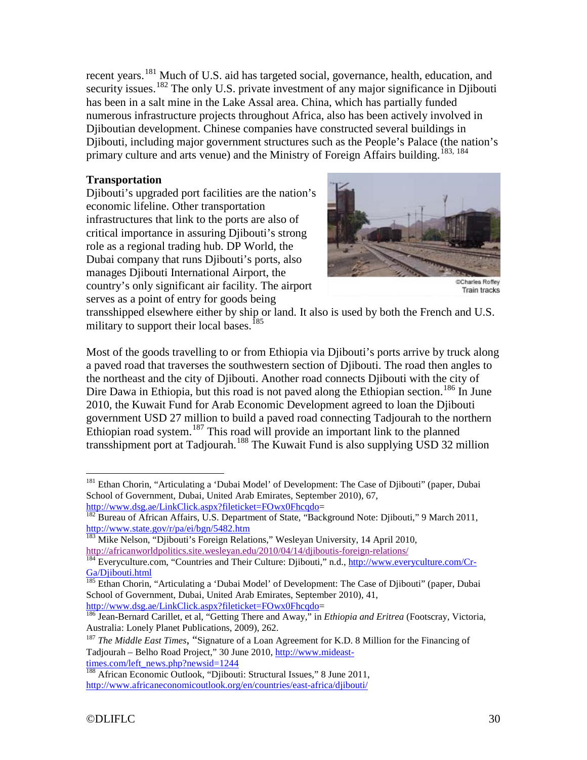recent years.<sup>[181](#page-29-1)</sup> Much of U.S. aid has targeted social, governance, health, education, and security issues.<sup>[182](#page-29-2)</sup> The only U.S. private investment of any major significance in Djibouti has been in a salt mine in the Lake Assal area. China, which has partially funded numerous infrastructure projects throughout Africa, also has been actively involved in Djiboutian development. Chinese companies have constructed several buildings in Djibouti, including major government structures such as the People's Palace (the nation's primary culture and arts venue) and the Ministry of Foreign Affairs building.<sup>[183,](#page-29-3) [184](#page-29-4)</sup>

# <span id="page-29-0"></span>**Transportation**

Djibouti's upgraded port facilities are the nation's economic lifeline. Other transportation infrastructures that link to the ports are also of critical importance in assuring Djibouti's strong role as a regional trading hub. DP World, the Dubai company that runs Djibouti's ports, also manages Djibouti International Airport, the country's only significant air facility. The airport serves as a point of entry for goods being



Train tracks

transshipped elsewhere either by ship or land. It also is used by both the French and U.S. military to support their local bases.<sup>[185](#page-29-5)</sup>

Most of the goods travelling to or from Ethiopia via Djibouti's ports arrive by truck along a paved road that traverses the southwestern section of Djibouti. The road then angles to the northeast and the city of Djibouti. Another road connects Djibouti with the city of Dire Dawa in Ethiopia, but this road is not paved along the Ethiopian section.<sup>[186](#page-29-6)</sup> In June 2010, the Kuwait Fund for Arab Economic Development agreed to loan the Djibouti government USD 27 million to build a paved road connecting Tadjourah to the northern Ethiopian road system.<sup>[187](#page-29-7)</sup> This road will provide an important link to the planned transshipment port at Tadjourah.<sup>[188](#page-29-8)</sup> The Kuwait Fund is also supplying USD 32 million

<span id="page-29-1"></span><sup>&</sup>lt;sup>181</sup> Ethan Chorin, "Articulating a 'Dubai Model' of Development: The Case of Djibouti" (paper, Dubai School of Government, Dubai, United Arab Emirates, September 2010), 67, http://www.dsg.ae/LinkClick.aspx?fileticket=FOwx0Fhcqdo=

<span id="page-29-2"></span><sup>&</sup>lt;sup>182</sup> Bureau of African Affairs, U.S. Department of State, "Background Note: Djibouti," 9 March 2011, <http://www.state.gov/r/pa/ei/bgn/5482.htm>

<sup>&</sup>lt;sup>183</sup> Mike Nelson, "Djibouti's Foreign Relations," Wesleyan University, 14 April 2010,

<span id="page-29-4"></span><span id="page-29-3"></span><http://africanworldpolitics.site.wesleyan.edu/2010/04/14/djiboutis-foreign-relations/><br><sup>184</sup> Everyculture.com, "Countries and Their Culture: Djibouti," n.d.[, http://www.everyculture.com/Cr-](http://www.everyculture.com/Cr-Ga/Djibouti.html)[Ga/Djibouti.html](http://www.everyculture.com/Cr-Ga/Djibouti.html)

<span id="page-29-5"></span><sup>&</sup>lt;sup>185</sup> Ethan Chorin, "Articulating a 'Dubai Model' of Development: The Case of Djibouti" (paper, Dubai School of Government, Dubai, United Arab Emirates, September 2010), 41, http://www.dsg.ae/LinkClick.aspx?fileticket=FOwx0Fhcqdo=

<span id="page-29-6"></span><sup>&</sup>lt;sup>186</sup> Jean-Bernard Carillet, et al, "Getting There and Away," in *Ethiopia and Eritrea* (Footscray, Victoria, Australia: Lonely Planet Publications, 2009), 262.

<span id="page-29-7"></span><sup>&</sup>lt;sup>187</sup> *The Middle East Times*, "Signature of a Loan Agreement for K.D. 8 Million for the Financing of Tadjourah – Belho Road Project," 30 June 2010, [http://www.mideast](http://www.mideast-times.com/left_news.php?newsid=1244)[times.com/left\\_news.php?newsid=1244](http://www.mideast-times.com/left_news.php?newsid=1244)

<span id="page-29-8"></span><sup>188</sup> African Economic Outlook, "Djibouti: Structural Issues," 8 June 2011, <http://www.africaneconomicoutlook.org/en/countries/east-africa/djibouti/>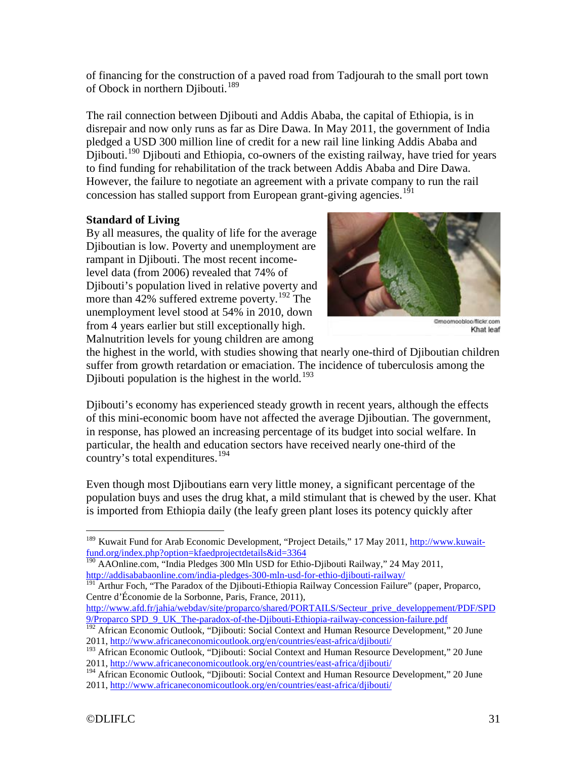of financing for the construction of a paved road from Tadjourah to the small port town of Obock in northern Djibouti.<sup>[189](#page-30-1)</sup>

The rail connection between Djibouti and Addis Ababa, the capital of Ethiopia, is in disrepair and now only runs as far as Dire Dawa. In May 2011, the government of India pledged a USD 300 million line of credit for a new rail line linking Addis Ababa and Djibouti.<sup>[190](#page-30-2)</sup> Djibouti and Ethiopia, co-owners of the existing railway, have tried for years to find funding for rehabilitation of the track between Addis Ababa and Dire Dawa. However, the failure to negotiate an agreement with a private company to run the rail concession has stalled support from European grant-giving agencies.<sup>[191](#page-30-3)</sup>

# <span id="page-30-0"></span>**Standard of Living**

By all measures, the quality of life for the average Djiboutian is low. Poverty and unemployment are rampant in Djibouti. The most recent incomelevel data (from 2006) revealed that 74% of Djibouti's population lived in relative poverty and more than  $42\%$  suffered extreme poverty.<sup>[192](#page-30-4)</sup> The unemployment level stood at 54% in 2010, down from 4 years earlier but still exceptionally high. Malnutrition levels for young children are among



Khat leaf

the highest in the world, with studies showing that nearly one-third of Djiboutian children suffer from growth retardation or emaciation. The incidence of tuberculosis among the Djibouti population is the highest in the world.<sup>[193](#page-30-5)</sup>

Djibouti's economy has experienced steady growth in recent years, although the effects of this mini-economic boom have not affected the average Djiboutian. The government, in response, has plowed an increasing percentage of its budget into social welfare. In particular, the health and education sectors have received nearly one-third of the country's total expenditures.[194](#page-30-6)

Even though most Djiboutians earn very little money, a significant percentage of the population buys and uses the drug khat, a mild stimulant that is chewed by the user. Khat is imported from Ethiopia daily (the leafy green plant loses its potency quickly after

<span id="page-30-3"></span><sup>191</sup> Arthur Foch, "The Paradox of the Djibouti-Ethiopia Railway Concession Failure" (paper, Proparco, Centre d'Économie de la Sorbonne, Paris, France, 2011),

http://www.afd.fr/jahia/webdav/site/proparco/shared/PORTAILS/Secteur\_prive\_developpement/PDF/SPD [9/Proparco SPD\\_9\\_UK\\_The-paradox-of-the-Djibouti-Ethiopia-railway-concession-failure.pdf](http://www.afd.fr/jahia/webdav/site/proparco/shared/PORTAILS/Secteur_prive_developpement/PDF/SPD%209/Proparco%20SPD_9_UK_The-paradox-of-the-Djibouti-Ethiopia-railway-concession-failure.pdf)

<span id="page-30-6"></span><sup>194</sup> African Economic Outlook, "Diibouti: Social Context and Human Resource Development," 20 June 2011, <http://www.africaneconomicoutlook.org/en/countries/east-africa/djibouti/>

<span id="page-30-1"></span><sup>&</sup>lt;sup>189</sup> Kuwait Fund for Arab Economic Development, "Project Details," 17 May 2011[, http://www.kuwait](http://www.kuwait-fund.org/index.php?option=kfaedprojectdetails&id=3364)[fund.org/index.php?option=kfaedprojectdetails&id=3364](http://www.kuwait-fund.org/index.php?option=kfaedprojectdetails&id=3364)

<span id="page-30-2"></span><sup>&</sup>lt;sup>190</sup> AAOnline.com, "India Pledges 300 Mln USD for Ethio-Djibouti Railway," 24 May 2011, <http://addisababaonline.com/india-pledges-300-mln-usd-for-ethio-djibouti-railway/>

<span id="page-30-4"></span><sup>&</sup>lt;sup>192</sup> African Economic Outlook, "Djibouti: Social Context and Human Resource Development," 20 June 2011, <http://www.africaneconomicoutlook.org/en/countries/east-africa/djibouti/>

<span id="page-30-5"></span><sup>&</sup>lt;sup>193</sup> African Economic Outlook, "Djibouti: Social Context and Human Resource Development," 20 June 2011, <http://www.africaneconomicoutlook.org/en/countries/east-africa/djibouti/>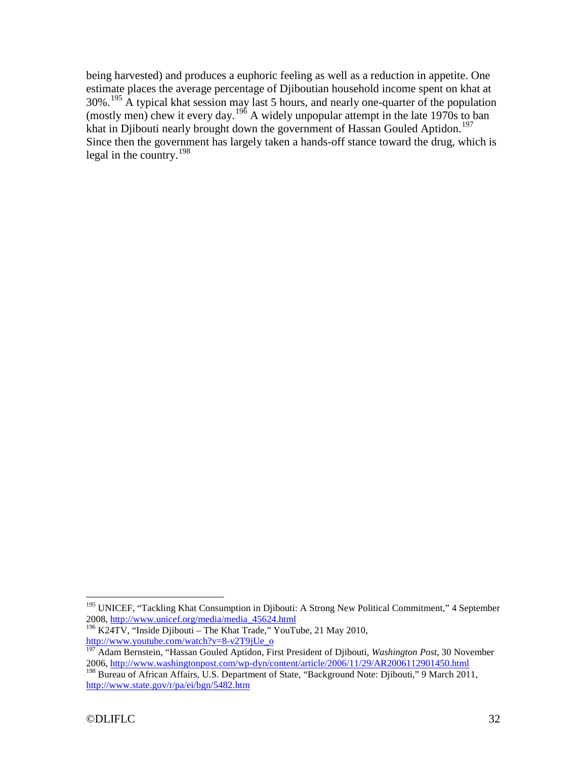being harvested) and produces a euphoric feeling as well as a reduction in appetite. One estimate places the average percentage of Djiboutian household income spent on khat at 30%.<sup>[195](#page-31-0)</sup> A typical khat session may last 5 hours, and nearly one-quarter of the population (mostly men) chew it every day.<sup>[196](#page-31-1)</sup> A widely unpopular attempt in the late 1970s to ban khat in Djibouti nearly brought down the government of Hassan Gouled Aptidon.<sup>[197](#page-31-2)</sup> Since then the government has largely taken a hands-off stance toward the drug, which is legal in the country.<sup>[198](#page-31-3)</sup>

<span id="page-31-0"></span><sup>&</sup>lt;sup>195</sup> UNICEF, "Tackling Khat Consumption in Djibouti: A Strong New Political Commitment," 4 September 2008, [http://www.unicef.org/media/media\\_45624.html](http://www.unicef.org/media/media_45624.html)

<span id="page-31-1"></span><sup>196</sup> K24TV, "Inside Djibouti – The Khat Trade," YouTube, 21 May 2010, [http://www.youtube.com/watch?v=8-v2T9jUe\\_o](http://www.youtube.com/watch?v=8-v2T9jUe_o)

<span id="page-31-2"></span><sup>197</sup> Adam Bernstein, "Hassan Gouled Aptidon, First President of Djibouti, *Washington Post*, 30 November 2006,<http://www.washingtonpost.com/wp-dyn/content/article/2006/11/29/AR2006112901450.html>

<span id="page-31-3"></span><sup>&</sup>lt;sup>198</sup> Bureau of African Affairs, U.S. Department of State, "Background Note: Djibouti," 9 March 2011, <http://www.state.gov/r/pa/ei/bgn/5482.htm>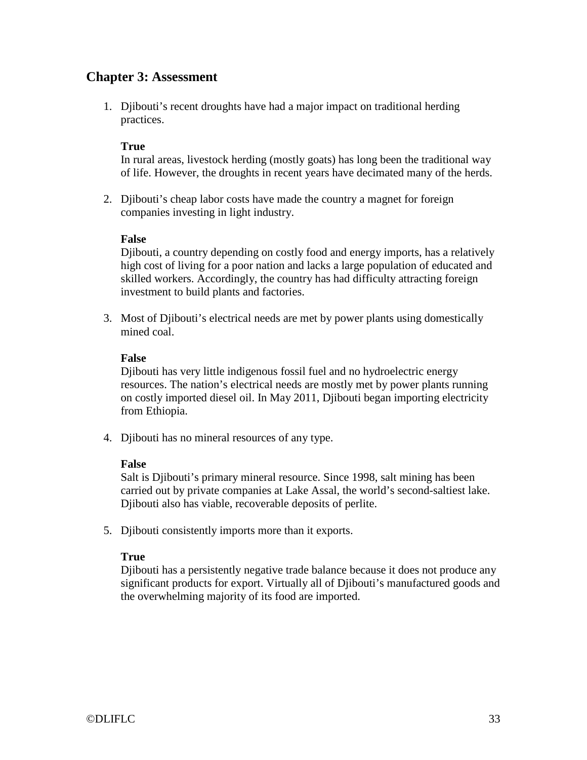# <span id="page-32-0"></span>**Chapter 3: Assessment**

1. Djibouti's recent droughts have had a major impact on traditional herding practices.

#### **True**

In rural areas, livestock herding (mostly goats) has long been the traditional way of life. However, the droughts in recent years have decimated many of the herds.

2. Djibouti's cheap labor costs have made the country a magnet for foreign companies investing in light industry.

#### **False**

Djibouti, a country depending on costly food and energy imports, has a relatively high cost of living for a poor nation and lacks a large population of educated and skilled workers. Accordingly, the country has had difficulty attracting foreign investment to build plants and factories.

3. Most of Djibouti's electrical needs are met by power plants using domestically mined coal.

#### **False**

Djibouti has very little indigenous fossil fuel and no hydroelectric energy resources. The nation's electrical needs are mostly met by power plants running on costly imported diesel oil. In May 2011, Djibouti began importing electricity from Ethiopia.

4. Djibouti has no mineral resources of any type.

#### **False**

Salt is Djibouti's primary mineral resource. Since 1998, salt mining has been carried out by private companies at Lake Assal, the world's second-saltiest lake. Djibouti also has viable, recoverable deposits of perlite.

5. Djibouti consistently imports more than it exports.

#### **True**

Djibouti has a persistently negative trade balance because it does not produce any significant products for export. Virtually all of Djibouti's manufactured goods and the overwhelming majority of its food are imported.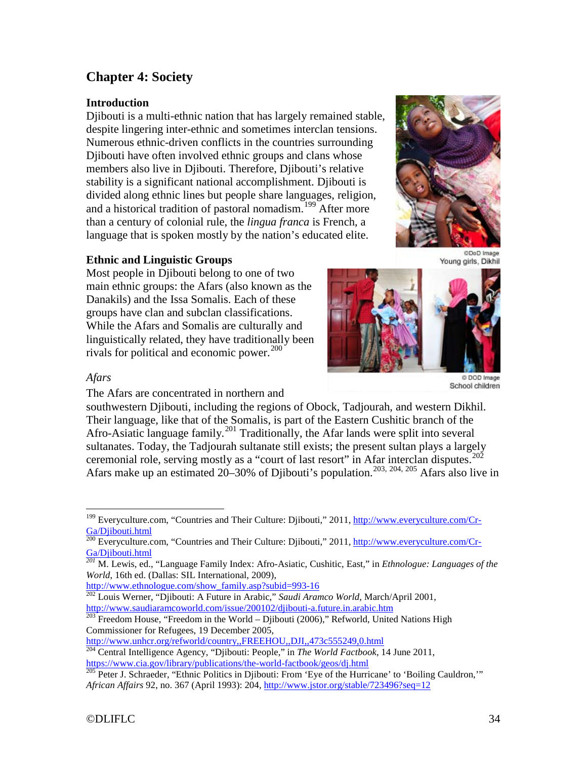# <span id="page-33-0"></span>**Chapter 4: Society**

# <span id="page-33-1"></span>**Introduction**

Djibouti is a multi-ethnic nation that has largely remained stable, despite lingering inter-ethnic and sometimes interclan tensions. Numerous ethnic-driven conflicts in the countries surrounding Djibouti have often involved ethnic groups and clans whose members also live in Djibouti. Therefore, Djibouti's relative stability is a significant national accomplishment. Djibouti is divided along ethnic lines but people share languages, religion, and a historical tradition of pastoral nomadism.<sup>[199](#page-33-4)</sup> After more than a century of colonial rule, the *lingua franca* is French, a language that is spoken mostly by the nation's educated elite.



<span id="page-33-2"></span>**Ethnic and Linguistic Groups**

Most people in Djibouti belong to one of two main ethnic groups: the Afars (also known as the Danakils) and the Issa Somalis. Each of these groups have clan and subclan classifications. While the Afars and Somalis are culturally and linguistically related, they have traditionally been rivals for political and economic power. $^{200}$  $^{200}$  $^{200}$ 

@DoD Image Young girls, Dikhil



@ DOD Image School children

# <span id="page-33-3"></span>*Afars*

The Afars are concentrated in northern and

southwestern Djibouti, including the regions of Obock, Tadjourah, and western Dikhil. Their language, like that of the Somalis, is part of the Eastern Cushitic branch of the Afro-Asiatic language family.[201](#page-33-6) Traditionally, the Afar lands were split into several sultanates. Today, the Tadjourah sultanate still exists; the present sultan plays a largely ceremonial role, serving mostly as a "court of last resort" in Afar interclan disputes.<sup>[202](#page-33-7)</sup> Afars make up an estimated 20–30% of Djibouti's population.<sup>[203,](#page-33-8) [204,](#page-33-9) [205](#page-33-10)</sup> Afars also live in

<span id="page-33-8"></span> $\frac{1}{203}$  Freedom House, "Freedom in the World – Djibouti (2006)," Refworld, United Nations High Commissioner for Refugees, 19 December 2005,<br>http://www.unhcr.org/refworld/country,,FREEHOU,,DJI,,473c555249.0.html

<span id="page-33-9"></span>http://www.unducreationscenceuntry, "Djibouti: People," in *The World Factbook*, 14 June 2011, <https://www.cia.gov/library/publications/the-world-factbook/geos/dj.html><br><sup>205</sup> Peter J. Schraeder, "Ethnic Politics in Djibouti: From 'Eye of the Hurricane' to 'Boiling Cauldron,'"

<span id="page-33-4"></span><sup>199</sup> Everyculture.com, "Countries and Their Culture: Djibouti," 2011, [http://www.everyculture.com/Cr-](http://www.everyculture.com/Cr-Ga/Djibouti.html)[Ga/Djibouti.html](http://www.everyculture.com/Cr-Ga/Djibouti.html)

<span id="page-33-5"></span><sup>&</sup>lt;sup>200</sup> Everyculture.com, "Countries and Their Culture: Djibouti," 2011[, http://www.everyculture.com/Cr-](http://www.everyculture.com/Cr-Ga/Djibouti.html)

<span id="page-33-6"></span>[Ga/Djibouti.html](http://www.everyculture.com/Cr-Ga/Djibouti.html) *<sup>201</sup>* M. Lewis, ed., "Language Family Index: Afro-Asiatic, Cushitic, East*,*" in *Ethnologue: Languages of the World*, 16th ed. (Dallas: SIL International, 2009),

<span id="page-33-7"></span>[http://www.ethnologue.com/show\\_family.asp?subid=993-16](http://www.ethnologue.com/show_family.asp?subid=993-16)<br><sup>202</sup> Louis Werner, "Djibouti: A Future in Arabic," *Saudi Aramco World*, March/April 2001,<br>http://www.saudiaramcoworld.com/issue/200102/djibouti-a.future.in.arabic.ht

<span id="page-33-10"></span>*African Affairs* 92, no. 367 (April 1993): 204,<http://www.jstor.org/stable/723496?seq=12>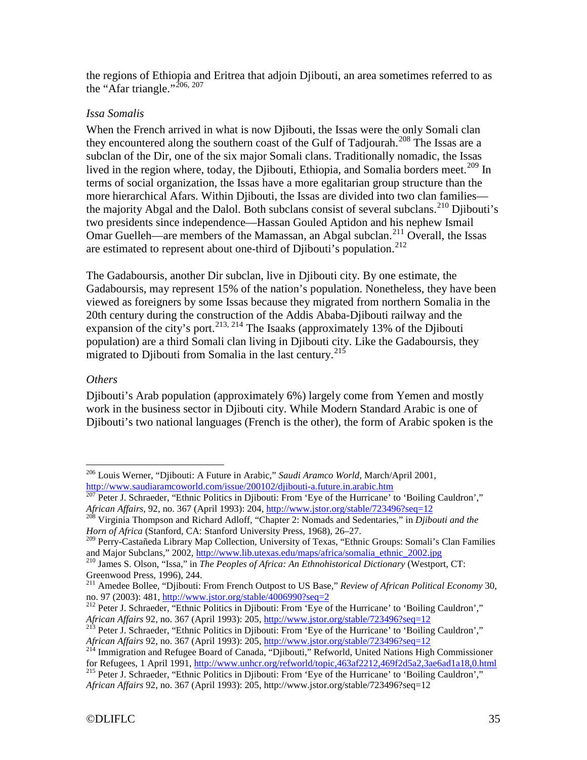the regions of Ethiopia and Eritrea that adjoin Djibouti, an area sometimes referred to as the "Afar triangle."<sup>[206,](#page-34-2) [207](#page-34-3)</sup>

# <span id="page-34-0"></span>*Issa Somalis*

When the French arrived in what is now Djibouti, the Issas were the only Somali clan they encountered along the southern coast of the Gulf of Tadjourah.<sup>[208](#page-34-4)</sup> The Issas are a subclan of the Dir, one of the six major Somali clans. Traditionally nomadic, the Issas lived in the region where, today, the Djibouti, Ethiopia, and Somalia borders meet.<sup>[209](#page-34-5)</sup> In terms of social organization, the Issas have a more egalitarian group structure than the more hierarchical Afars. Within Djibouti, the Issas are divided into two clan families— the majority Abgal and the Dalol. Both subclans consist of several subclans.<sup>[210](#page-34-6)</sup> Djibouti's two presidents since independence—Hassan Gouled Aptidon and his nephew Ismail Omar Guelleh—are members of the Mamassan, an Abgal subclan.[211](#page-34-7) Overall, the Issas are estimated to represent about one-third of Djibouti's population.<sup>[212](#page-34-8)</sup>

The Gadaboursis, another Dir subclan, live in Djibouti city. By one estimate, the Gadaboursis, may represent 15% of the nation's population. Nonetheless, they have been viewed as foreigners by some Issas because they migrated from northern Somalia in the 20th century during the construction of the Addis Ababa-Djibouti railway and the expansion of the city's port.<sup>[213,](#page-34-9) [214](#page-34-10)</sup> The Isaaks (approximately 13% of the Djibouti population) are a third Somali clan living in Djibouti city. Like the Gadaboursis, they migrated to Djibouti from Somalia in the last century.<sup>[215](#page-34-11)</sup>

# <span id="page-34-1"></span>*Others*

Djibouti's Arab population (approximately 6%) largely come from Yemen and mostly work in the business sector in Djibouti city. While Modern Standard Arabic is one of Djibouti's two national languages (French is the other), the form of Arabic spoken is the

<span id="page-34-2"></span><sup>&</sup>lt;sup>206</sup> Louis Werner, "Djibouti: A Future in Arabic," *Saudi Aramco World*, March/April 2001, http://www.saudiaramcoworld.com/issue/200102/djibouti-a.future.in.arabic.htm

<span id="page-34-3"></span>http://www.saudiaramcomorromance.com/issue/2007-02/divideo-2012-02/divideo-2012<br>2007 Peter J. Schraeder, "Ethnic Politics in Djibouti: From 'Eye of the Hurricane' to 'Boiling Cauldron',"<br>African Affairs, 92, no. 367 (Apri

<span id="page-34-4"></span><sup>&</sup>lt;sup>208</sup> Virginia Thompson and Richard Adloff, "Chapter 2: Nomads and Sedentaries," in *Djibouti and the Horn of Africa* (Stanford, CA: Stanford University Press, 1968), 26–27.

<span id="page-34-5"></span><sup>&</sup>lt;sup>209</sup> Perry-Castañeda Library Map Collection, University of Texas, "Ethnic Groups: Somali's Clan Families and Major Subclans," 2002[, http://www.lib.utexas.edu/maps/africa/somalia\\_ethnic\\_2002.jpg](http://www.lib.utexas.edu/maps/africa/somalia_ethnic_2002.jpg) <sup>210</sup> James S. Olson, "Issa," in *The Peoples of Africa: An Ethnohistorical Dictionary* (Westport, CT:

<span id="page-34-6"></span>Greenwood Press, 1996), 244.

<span id="page-34-7"></span><sup>&</sup>lt;sup>211</sup> Amedee Bollee, "Djibouti: From French Outpost to US Base," *Review of African Political Economy* 30, no. 97 (2003): 481, http://www.jstor.org/stable/4006990?seq=2

<span id="page-34-8"></span><sup>&</sup>lt;sup>212</sup> Peter J. Schraeder, "Ethnic Politics in Djibouti: From 'Eye of the Hurricane' to 'Boiling Cauldron',"<br>African Affairs 92, no. 367 (April 1993): 205, http://www.jstor.org/stable/723496?seq=12

<span id="page-34-9"></span><sup>&</sup>lt;sup>213</sup> Peter J. Schraeder, "Ethnic Politics in Djibouti: From 'Eye of the Hurricane' to 'Boiling Cauldron',"<br>African Affairs 92, no. 367 (April 1993): 205,<http://www.jstor.org/stable/723496?seq=12>

<span id="page-34-10"></span>African Affairs 92, no. 367 (April 1993): 200, <u>http://www.jstor.org/stable/7234467.</u><br><sup>214</sup> Immigration and Refugee Board of Canada, "Djibouti," Refworld, United Nations High Commissioner for Refugees, 1 April 1991,<http://www.unhcr.org/refworld/topic,463af2212,469f2d5a2,3ae6ad1a18,0.html> <sup>215</sup> Peter J. Schraeder, "Ethnic Politics in Djibouti: From 'Eye of the Hurricane' to 'Boiling Cauldron',"

<span id="page-34-11"></span>*African Affairs* 92, no. 367 (April 1993): 205, http://www.jstor.org/stable/723496?seq=12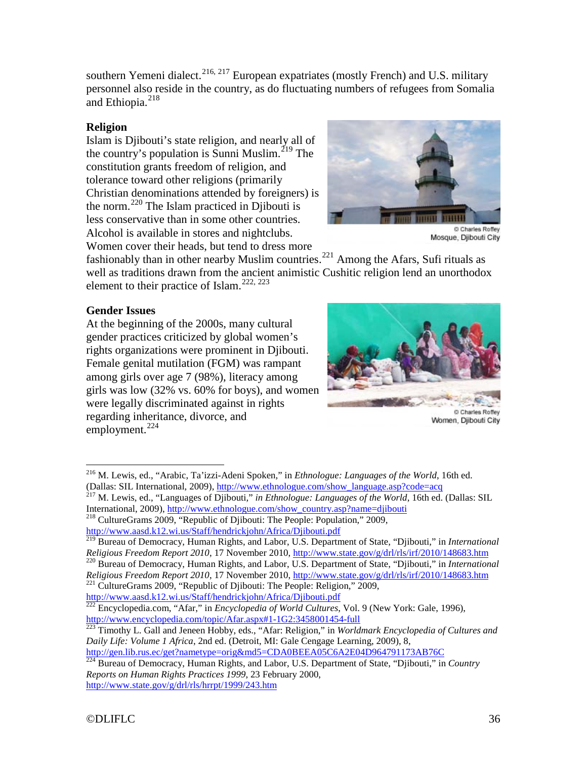southern Yemeni dialect.<sup>[216](#page-35-2), [217](#page-35-3)</sup> European expatriates (mostly French) and U.S. military personnel also reside in the country, as do fluctuating numbers of refugees from Somalia and Ethiopia. $^{218}$  $^{218}$  $^{218}$ 

# <span id="page-35-0"></span>**Religion**

Islam is Djibouti's state religion, and nearly all of the country's population is Sunni Muslim.<sup>[219](#page-35-5)</sup> The constitution grants freedom of religion, and tolerance toward other religions (primarily Christian denominations attended by foreigners) is the norm.[220](#page-35-6) The Islam practiced in Djibouti is less conservative than in some other countries. Alcohol is available in stores and nightclubs. Women cover their heads, but tend to dress more



Charles Roffey Mosque, Djibouti City

fashionably than in other nearby Muslim countries.<sup>[221](#page-35-7)</sup> Among the Afars, Sufi rituals as well as traditions drawn from the ancient animistic Cushitic religion lend an unorthodox element to their practice of Islam.<sup>[222,](#page-35-8) [223](#page-35-9)</sup>

# <span id="page-35-1"></span>**Gender Issues**

At the beginning of the 2000s, many cultural gender practices criticized by global women's rights organizations were prominent in Djibouti. Female genital mutilation (FGM) was rampant among girls over age 7 (98%), literacy among girls was low (32% vs. 60% for boys), and women were legally discriminated against in rights regarding inheritance, divorce, and employment. $^{224}$  $^{224}$  $^{224}$ 



Charles Roffey Women, Djibouti City

<span id="page-35-2"></span> <sup>216</sup> M. Lewis, ed., "Arabic, Ta'izzi-Adeni Spoken*,*" in *Ethnologue: Languages of the World*, 16th ed.

<span id="page-35-3"></span><sup>(</sup>Dallas: SIL International, 2009), <u>http://www.ethnologue.com/show\_language.asp?code=acq</u> <sup>217</sup> M. Lewis, ed., "Languages of Djibouti," *in Ethnologue: Languages of the World*, 16th ed. (Dallas: SIL International, 2009), h

<span id="page-35-4"></span><sup>&</sup>lt;sup>218</sup> CultureGrams 2009, "Republic of Djibouti: The People: Population," 2009, <http://www.aasd.k12.wi.us/Staff/hendrickjohn/Africa/Djibouti.pdf>

<span id="page-35-5"></span><sup>219</sup> Bureau of Democracy, Human Rights, and Labor, U.S. Department of State, "Djibouti," in *International Religious Freedom Report 2010*, 17 November 2010,<http://www.state.gov/g/drl/rls/irf/2010/148683.htm> <sup>220</sup> Bureau of Democracy, Human Rights, and Labor, U.S. Department of State, "Djibouti," in *International* 

<span id="page-35-7"></span><span id="page-35-6"></span>*Religious Freedom Report 2010*, 17 November 2010,<http://www.state.gov/g/drl/rls/irf/2010/148683.htm> <sup>221</sup> CultureGrams 2009, "Republic of Djibouti: The People: Religion," 2009, <http://www.aasd.k12.wi.us/Staff/hendrickjohn/Africa/Djibouti.pdf>

<sup>222</sup> Encyclopedia.com, "Afar," in *Encyclopedia of World Cultures*, Vol. 9 (New York: Gale, 1996),

<span id="page-35-9"></span><span id="page-35-8"></span><http://www.encyclopedia.com/topic/Afar.aspx#1-1G2:3458001454-full><br><sup>223</sup> Timothy L. Gall and Jeneen Hobby, eds., "Afar: Religion," in *Worldmark Encyclopedia of Cultures and Daily Life: Volume 1 Africa*, 2nd ed. (Detroit, MI: Gale Cengage Learning, 2009), 8,<br>http://gen.lib.rus.ec/get?nametype=orig&md5=CDA0BEEA05C6A2E04D964791173AB76C

<span id="page-35-10"></span><sup>&</sup>lt;sup>224</sup> Bureau of Democracy, Human Rights, and Labor, U.S. Department of State, "Djibouti," in *Country Reports on Human Rights Practices 1999*, 23 February 2000, <http://www.state.gov/g/drl/rls/hrrpt/1999/243.htm>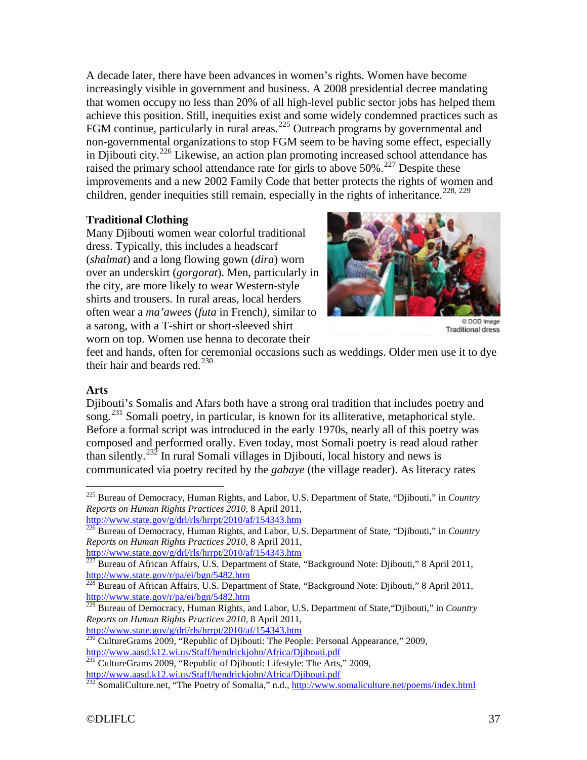A decade later, there have been advances in women's rights. Women have become increasingly visible in government and business. A 2008 presidential decree mandating that women occupy no less than 20% of all high-level public sector jobs has helped them achieve this position. Still, inequities exist and some widely condemned practices such as FGM continue, particularly in rural areas.<sup>[225](#page-36-2)</sup> Outreach programs by governmental and non-governmental organizations to stop FGM seem to be having some effect, especially in Djibouti city.<sup>[226](#page-36-3)</sup> Likewise, an action plan promoting increased school attendance has raised the primary school attendance rate for girls to above  $50\%$ .<sup>[227](#page-36-4)</sup> Despite these improvements and a new 2002 Family Code that better protects the rights of women and children, gender inequities still remain, especially in the rights of inheritance.<sup>[228](#page-36-5), [229](#page-36-6)</sup>

# <span id="page-36-0"></span>**Traditional Clothing**

Many Djibouti women wear colorful traditional dress. Typically, this includes a headscarf (*shalmat*) and a long flowing gown (*dira*) worn over an underskirt (*gorgorat*). Men, particularly in the city, are more likely to wear Western-style shirts and trousers. In rural areas, local herders often wear a *ma'awees* (*futa* in French*)*, similar to a sarong, with a T-shirt or short-sleeved shirt worn on top. Women use henna to decorate their



**Traditional dress** 

feet and hands, often for ceremonial occasions such as weddings. Older men use it to dye their hair and beards red. $230$ 

#### <span id="page-36-1"></span>**Arts**

Djibouti's Somalis and Afars both have a strong oral tradition that includes poetry and song.<sup>[231](#page-36-8)</sup> Somali poetry, in particular, is known for its alliterative, metaphorical style. Before a formal script was introduced in the early 1970s, nearly all of this poetry was composed and performed orally. Even today, most Somali poetry is read aloud rather than silently.<sup>[232](#page-36-9)</sup> In rural Somali villages in Djibouti, local history and news is communicated via poetry recited by the *gabaye* (the village reader). As literacy rates

<http://www.state.gov/g/drl/rls/hrrpt/2010/af/154343.htm>

<span id="page-36-2"></span> <sup>225</sup> Bureau of Democracy, Human Rights, and Labor, U.S. Department of State, "Djibouti," in *Country Reports on Human Rights Practices 2010*, 8 April 2011,

<span id="page-36-3"></span><sup>226</sup> Bureau of Democracy, Human Rights, and Labor, U.S. Department of State, "Djibouti," in *Country Reports on Human Rights Practices 2010*, 8 April 2011, <http://www.state.gov/g/drl/rls/hrrpt/2010/af/154343.htm>

<span id="page-36-4"></span>Bureau of African Affairs, U.S. Department of State, "Background Note: Djibouti," 8 April 2011, <http://www.state.gov/r/pa/ei/bgn/5482.htm>

<span id="page-36-5"></span><sup>&</sup>lt;sup>228</sup> Bureau of African Affairs, U.S. Department of State, "Background Note: Djibouti," 8 April 2011, <http://www.state.gov/r/pa/ei/bgn/5482.htm>

<span id="page-36-6"></span><sup>&</sup>lt;sup>229</sup> Bureau of Democracy, Human Rights, and Labor, U.S. Department of State, "Djibouti," in *Country Reports on Human Rights Practices 2010*, 8 April 2011,

<span id="page-36-7"></span><http://www.state.gov/g/drl/rls/hrrpt/2010/af/154343.htm><br><sup>230</sup> CultureGrams 2009, "Republic of Djibouti: The People: Personal Appearance," 2009, <http://www.aasd.k12.wi.us/Staff/hendrickjohn/Africa/Djibouti.pdf><br><sup>231</sup> CultureGrams 2009, "Republic of Djibouti: Lifestyle: The Arts," 2009,

<span id="page-36-8"></span>

<http://www.aasd.k12.wi.us/Staff/hendrickjohn/Africa/Djibouti.pdf>

<span id="page-36-9"></span><sup>&</sup>lt;sup>232</sup> SomaliCulture.net, "The Poetry of Somalia," n.d.,<http://www.somaliculture.net/poems/index.html>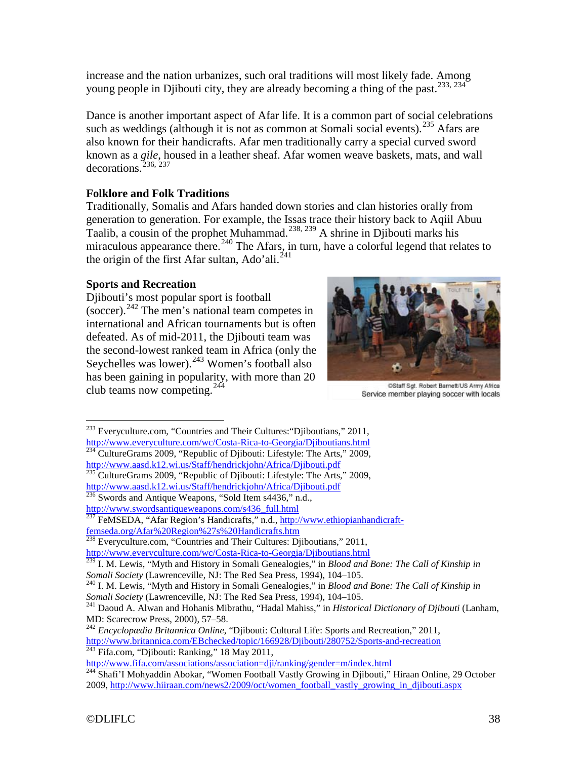increase and the nation urbanizes, such oral traditions will most likely fade. Among young people in Djibouti city, they are already becoming a thing of the past.<sup>[233](#page-37-2), [234](#page-37-3)</sup>

Dance is another important aspect of Afar life. It is a common part of social celebrations such as weddings (although it is not as common at Somali social events).<sup>[235](#page-37-4)</sup> Afars are also known for their handicrafts. Afar men traditionally carry a special curved sword known as a *gile*, housed in a leather sheaf. Afar women weave baskets, mats, and wall decorations<sup>[236](#page-37-5), [237](#page-37-6)</sup>

# <span id="page-37-0"></span>**Folklore and Folk Traditions**

Traditionally, Somalis and Afars handed down stories and clan histories orally from generation to generation. For example, the Issas trace their history back to Aqiil Abuu Taalib, a cousin of the prophet Muhammad.<sup>[238](#page-37-7), [239](#page-37-8)</sup> A shrine in Djibouti marks his miraculous appearance there.<sup>[240](#page-37-9)</sup> The Afars, in turn, have a colorful legend that relates to the origin of the first Afar sultan, Ado'ali. $^{241}$  $^{241}$  $^{241}$ 

# <span id="page-37-1"></span>**Sports and Recreation**

Djibouti's most popular sport is football  $\frac{1}{2}$  (soccer).<sup>[242](#page-37-11)</sup> The men's national team competes in international and African tournaments but is often defeated. As of mid-2011, the Djibouti team was the second-lowest ranked team in Africa (only the Seychelles was lower). $243$  Women's football also has been gaining in popularity, with more than 20 club teams now competing. $244$ 



@Staff Sgt. Robert Barnett/US Army Africa Service member playing soccer with locals

<span id="page-37-2"></span><sup>&</sup>lt;sup>233</sup> Everyculture.com, "Countries and Their Cultures: "Djiboutians," 2011, http://www.everyculture.com/wc/Costa-Rica-to-Georgia/Djiboutians.html

<span id="page-37-3"></span> $\frac{1}{234}$  CultureGrams 2009, "Republic of Djibouti: Lifestyle: The Arts," 2009,

<http://www.aasd.k12.wi.us/Staff/hendrickjohn/Africa/Djibouti.pdf>

<span id="page-37-4"></span> $^{235}$ CultureGrams 2009, "Republic of Djibouti: Lifestyle: The Arts," 2009, <http://www.aasd.k12.wi.us/Staff/hendrickjohn/Africa/Djibouti.pdf> <sup>236</sup> Swords and Antique Weapons, "Sold Item s4436," n.d.,

<span id="page-37-5"></span>[http://www.swordsantiqueweapons.com/s436\\_full.html](http://www.swordsantiqueweapons.com/s436_full.html)

<span id="page-37-6"></span><sup>237</sup> FeMSEDA, "Afar Region's Handicrafts," n.d., [http://www.ethiopianhandicraft](http://www.ethiopianhandicraft-femseda.org/Afar%20Region%27s%20Handicrafts.htm)[femseda.org/Afar%20Region%27s%20Handicrafts.htm](http://www.ethiopianhandicraft-femseda.org/Afar%20Region%27s%20Handicrafts.htm)

<span id="page-37-7"></span> $^{238}$  Everyculture.com, "Countries and Their Cultures: Djiboutians," 2011, <http://www.everyculture.com/wc/Costa-Rica-to-Georgia/Djiboutians.html>

<sup>239</sup> I. M. Lewis, "Myth and History in Somali Genealogies," in *Blood and Bone: The Call of Kinship in* 

<span id="page-37-9"></span><span id="page-37-8"></span>*Somali Society* (Lawrenceville, NJ: The Red Sea Press, 1994), 104–105.<br><sup>240</sup> I. M. Lewis, "Myth and History in Somali Genealogies," in *Blood and Bone: The Call of Kinship in Somali Society* (Lawrenceville, NJ: The Red Se

<span id="page-37-10"></span><sup>&</sup>lt;sup>241</sup> Daoud A. Alwan and Hohanis Mibrathu, "Hadal Mahiss," in *Historical Dictionary of Djibouti* (Lanham, MD: Scarecrow Press, 2000), 57–58.

<span id="page-37-11"></span><sup>&</sup>lt;sup>242</sup> *Encyclopædia Britannica Online*, "Djibouti: Cultural Life: Sports and Recreation," 2011, http://www.britannica.com/EBchecked/topic/166928/Diibouti/280752/Sports-and-recreation  $\frac{243}{243}$ Fifa.com, "Djibouti: Ranking," 18 May 2011,

<span id="page-37-12"></span><http://www.fifa.com/associations/association=dji/ranking/gender=m/index.html>

<span id="page-37-13"></span><sup>&</sup>lt;sup>244</sup> Shafi'I Mohyaddin Abokar, "Women Football Vastly Growing in Djibouti," Hiraan Online, 29 October 2009, [http://www.hiiraan.com/news2/2009/oct/women\\_football\\_vastly\\_growing\\_in\\_djibouti.aspx](http://www.hiiraan.com/news2/2009/oct/women_football_vastly_growing_in_djibouti.aspx)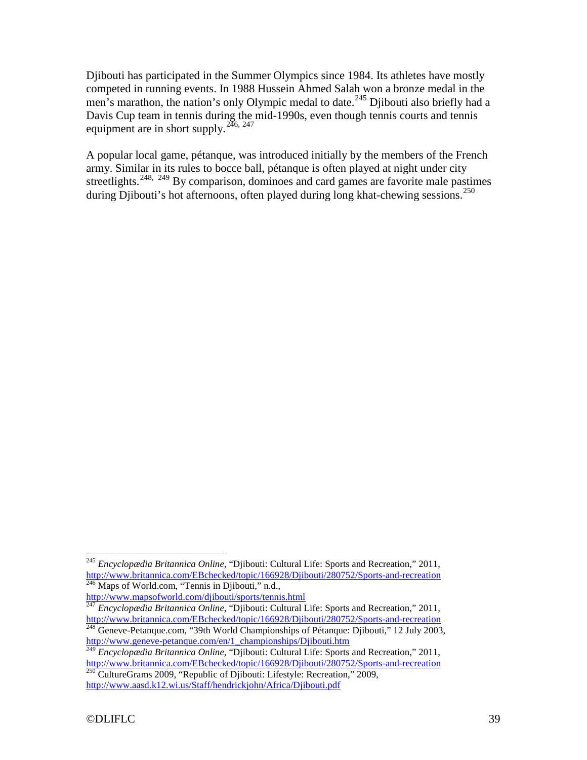Djibouti has participated in the Summer Olympics since 1984. Its athletes have mostly competed in running events. In 1988 Hussein Ahmed Salah won a bronze medal in the men's marathon, the nation's only Olympic medal to date.<sup>[245](#page-38-0)</sup> Djibouti also briefly had a Davis Cup team in tennis during the mid-1990s, even though tennis courts and tennis equipment are in short supply.<sup>[246](#page-38-1), [247](#page-38-2)</sup>

A popular local game, pétanque, was introduced initially by the members of the French army. Similar in its rules to bocce ball, pétanque is often played at night under city streetlights.<sup>[248](#page-38-3), [249](#page-38-4)</sup> By comparison, dominoes and card games are favorite male pastimes during Djibouti's hot afternoons, often played during long khat-chewing sessions.<sup>[250](#page-38-5)</sup>

<span id="page-38-1"></span><http://www.mapsofworld.com/djibouti/sports/tennis.html>

<span id="page-38-2"></span><sup>247</sup> *Encyclopædia Britannica Online*, "Djibouti: Cultural Life: Sports and Recreation," 2011, <http://www.britannica.com/EBchecked/topic/166928/Djibouti/280752/Sports-and-recreation> <sup>248</sup> Geneve-Petanque.com, "39th World Championships of Pétanque: Djibouti," 12 July 2003, http://www.geneve-petanque.com/en/1 champion

<span id="page-38-0"></span> <sup>245</sup> *Encyclopædia Britannica Online*, "Djibouti: Cultural Life: Sports and Recreation," 2011, <http://www.britannica.com/EBchecked/topic/166928/Djibouti/280752/Sports-and-recreation> <sup>246</sup> Maps of World.com, "Tennis in Djibouti," n.d.,

<span id="page-38-3"></span>

<span id="page-38-4"></span>http://www.westerpermancemance.com/en/2011/249 *Encyclopædia Britannica Online*, "Djibouti: Cultural Life: Sports and Recreation," 2011, <http://www.britannica.com/EBchecked/topic/166928/Djibouti/280752/Sports-and-recreation> <sup>250</sup> CultureGrams 2009, "Republic of Djibouti: Lifestyle: Recreation," 2009,

<span id="page-38-5"></span><http://www.aasd.k12.wi.us/Staff/hendrickjohn/Africa/Djibouti.pdf>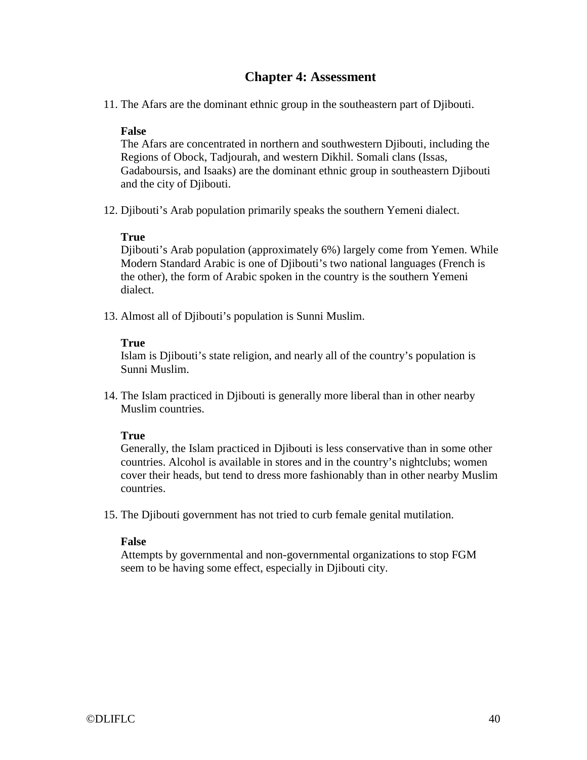# **Chapter 4: Assessment**

11. The Afars are the dominant ethnic group in the southeastern part of Djibouti.

#### **False**

The Afars are concentrated in northern and southwestern Djibouti, including the Regions of Obock, Tadjourah, and western Dikhil. Somali clans (Issas, Gadaboursis, and Isaaks) are the dominant ethnic group in southeastern Djibouti and the city of Djibouti.

12. Djibouti's Arab population primarily speaks the southern Yemeni dialect.

#### **True**

Djibouti's Arab population (approximately 6%) largely come from Yemen. While Modern Standard Arabic is one of Djibouti's two national languages (French is the other), the form of Arabic spoken in the country is the southern Yemeni dialect.

13. Almost all of Djibouti's population is Sunni Muslim.

#### **True**

Islam is Djibouti's state religion, and nearly all of the country's population is Sunni Muslim.

14. The Islam practiced in Djibouti is generally more liberal than in other nearby Muslim countries.

#### **True**

Generally, the Islam practiced in Djibouti is less conservative than in some other countries. Alcohol is available in stores and in the country's nightclubs; women cover their heads, but tend to dress more fashionably than in other nearby Muslim countries.

15. The Djibouti government has not tried to curb female genital mutilation.

#### **False**

Attempts by governmental and non-governmental organizations to stop FGM seem to be having some effect, especially in Djibouti city.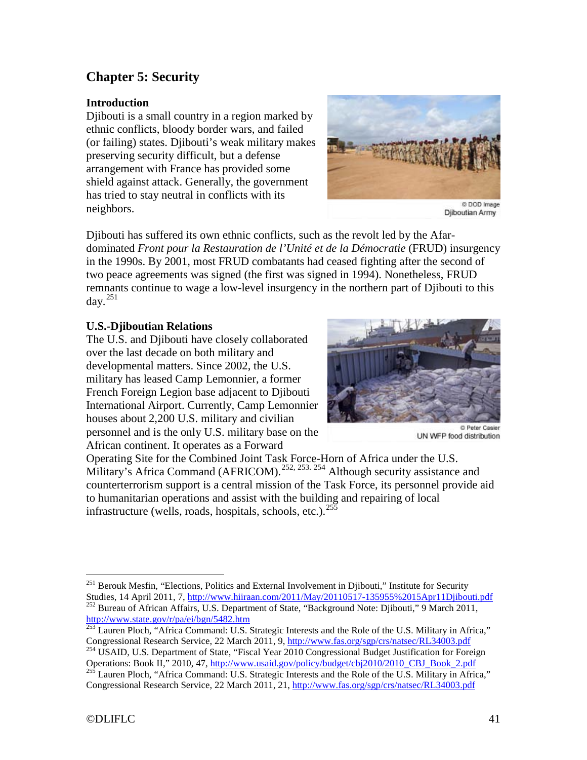# <span id="page-40-0"></span>**Chapter 5: Security**

# <span id="page-40-1"></span>**Introduction**

Djibouti is a small country in a region marked by ethnic conflicts, bloody border wars, and failed (or failing) states. Djibouti's weak military makes preserving security difficult, but a defense arrangement with France has provided some shield against attack. Generally, the government has tried to stay neutral in conflicts with its neighbors.



Djiboutian Army

Djibouti has suffered its own ethnic conflicts, such as the revolt led by the Afardominated *Front pour la Restauration de l'Unité et de la Démocratie* (FRUD) insurgency in the 1990s. By 2001, most FRUD combatants had ceased fighting after the second of two peace agreements was signed (the first was signed in 1994). Nonetheless, FRUD remnants continue to wage a low-level insurgency in the northern part of Djibouti to this day. $251$ 

# <span id="page-40-2"></span>**U.S.-Djiboutian Relations**

The U.S. and Djibouti have closely collaborated over the last decade on both military and developmental matters. Since 2002, the U.S. military has leased Camp Lemonnier, a former French Foreign Legion base adjacent to Djibouti International Airport. Currently, Camp Lemonnier houses about 2,200 U.S. military and civilian personnel and is the only U.S. military base on the African continent. It operates as a Forward



C Peter Casier UN WFP food distribution

Operating Site for the Combined Joint Task Force-Horn of Africa under the U.S. Military's Africa Command (AFRICOM).<sup>[252](#page-40-4), 253, [254](#page-40-6)</sup> Although security assistance and counterterrorism support is a central mission of the Task Force, its personnel provide aid to humanitarian operations and assist with the building and repairing of local infrastructure (wells, roads, hospitals, schools, etc.). $^{255}$  $^{255}$  $^{255}$ 

<span id="page-40-3"></span><sup>&</sup>lt;sup>251</sup> Berouk Mesfin, "Elections, Politics and External Involvement in Djibouti," Institute for Security Studies, 14 April 2011, 7, http://www.hiiraan.com/2011/May/20110517-135955% 2015Apr11Djibouti.pdf <sup>252</sup> Bureau of African Affairs, U.S. Department of State, "Background Note: Djibouti," 9 March 2011,

<span id="page-40-5"></span><span id="page-40-4"></span><http://www.state.gov/r/pa/ei/bgn/5482.htm><br>
<sup>253</sup> Lauren Ploch, "Africa Command: U.S. Strategic Interests and the Role of the U.S. Military in Africa,"<br>
Congressional Research Service, 22 March 2011, 9, http://www.fas.org/s

<span id="page-40-6"></span><sup>&</sup>lt;sup>254</sup> USAID, U.S. Department of State, "Fiscal Year 2010 Congressional Budget Justification for Foreign<br>Operations: Book II," 2010, 47, http://www.usaid.gov/policy/budget/cbj2010/2010 CBJ Book 2.pdf

<span id="page-40-7"></span><sup>&</sup>lt;sup>255</sup> Lauren Ploch, "Africa Command: U.S. Strategic Interests and the Role of the U.S. Military in Africa," Congressional Research Service, 22 March 2011, 21,<http://www.fas.org/sgp/crs/natsec/RL34003.pdf>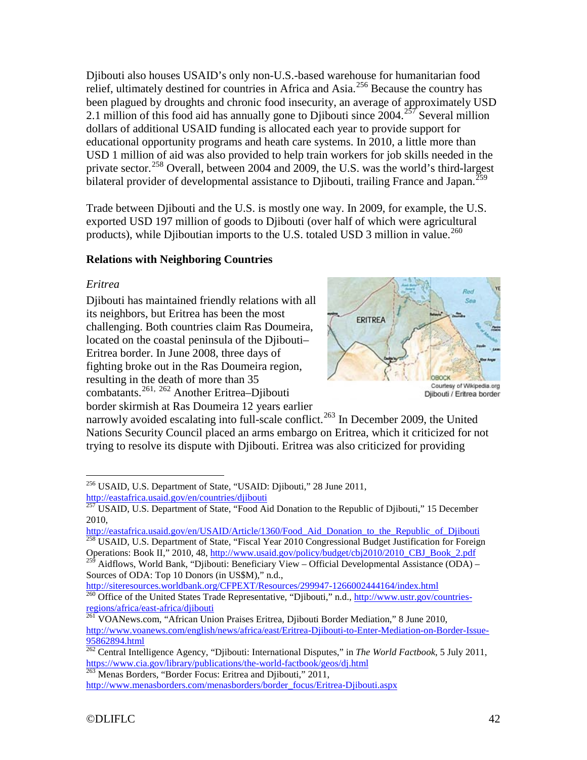Djibouti also houses USAID's only non-U.S.-based warehouse for humanitarian food relief, ultimately destined for countries in Africa and Asia.<sup>[256](#page-41-2)</sup> Because the country has been plagued by droughts and chronic food insecurity, an average of approximately USD 2.1 million of this food aid has annually gone to Djibouti since  $2004$ .<sup>[257](#page-41-3)</sup> Several million dollars of additional USAID funding is allocated each year to provide support for educational opportunity programs and heath care systems. In 2010, a little more than USD 1 million of aid was also provided to help train workers for job skills needed in the private sector.<sup>[258](#page-41-4)</sup> Overall, between 2004 and 2009, the U.S. was the world's third-largest bilateral provider of developmental assistance to Djibouti, trailing France and Japan.<sup>[259](#page-41-5)</sup>

Trade between Djibouti and the U.S. is mostly one way. In 2009, for example, the U.S. exported USD 197 million of goods to Djibouti (over half of which were agricultural products), while Djiboutian imports to the U.S. totaled USD 3 million in value.<sup>[260](#page-41-6)</sup>

# <span id="page-41-1"></span><span id="page-41-0"></span>**Relations with Neighboring Countries**

#### *Eritrea*

Djibouti has maintained friendly relations with all its neighbors, but Eritrea has been the most challenging. Both countries claim Ras Doumeira, located on the coastal peninsula of the Djibouti– Eritrea border. In June 2008, three days of fighting broke out in the Ras Doumeira region, resulting in the death of more than 35 combatants.<sup>[261](#page-41-7), [262](#page-41-8)</sup> Another Eritrea–Djibouti border skirmish at Ras Doumeira 12 years earlier



narrowly avoided escalating into full-scale conflict.<sup>[263](#page-41-9)</sup> In December 2009, the United Nations Security Council placed an arms embargo on Eritrea, which it criticized for not trying to resolve its dispute with Djibouti. Eritrea was also criticized for providing

[http://eastafrica.usaid.gov/en/USAID/Article/1360/Food\\_Aid\\_Donation\\_to\\_the\\_Republic\\_of\\_Djibouti](http://eastafrica.usaid.gov/en/USAID/Article/1360/Food_Aid_Donation_to_the_Republic_of_Djibouti) <sup>258</sup> USAID, U.S. Department of State, "Fiscal Year 2010 Congressional Budget Justification for Foreign

<span id="page-41-5"></span><span id="page-41-4"></span>Operations: Book II," 2010, 48, [http://www.usaid.gov/policy/budget/cbj2010/2010\\_CBJ\\_Book\\_2.pdf](http://www.usaid.gov/policy/budget/cbj2010/2010_CBJ_Book_2.pdf)<br>259 Aidflows World Pork (Dilbook, Co. 2008) <sup>259</sup> Aidflows, World Bank, "Djibouti: Beneficiary View – Official Developmental Assistance (ODA) – Sources of ODA: Top 10 Donors (in US\$M)," n.d.,

<span id="page-41-2"></span> <sup>256</sup> USAID, U.S. Department of State, "USAID: Djibouti," 28 June 2011, <http://eastafrica.usaid.gov/en/countries/djibouti>

<span id="page-41-3"></span><sup>&</sup>lt;sup>257</sup> USAID, U.S. Department of State, "Food Aid Donation to the Republic of Djibouti," 15 December 2010,

<span id="page-41-6"></span><http://siteresources.worldbank.org/CFPEXT/Resources/299947-1266002444164/index.html> <sup>260</sup> Office of the United States Trade Representative, "Djibouti," n.d., http://www.ustr.gov/countries-<br>regions/africa/east-africa/djibou

<span id="page-41-7"></span>[regions/africa/east-africa/djibouti](http://www.ustr.gov/countries-regions/africa/east-africa/djibouti) <sup>261</sup> VOANews.com, "African Union Praises Eritrea, Djibouti Border Mediation," 8 June 2010, [http://www.voanews.com/english/news/africa/east/Eritrea-Djibouti-to-Enter-Mediation-on-Border-Issue-](http://www.voanews.com/english/news/africa/east/Eritrea-Djibouti-to-Enter-Mediation-on-Border-Issue-95862894.html)[95862894.html](http://www.voanews.com/english/news/africa/east/Eritrea-Djibouti-to-Enter-Mediation-on-Border-Issue-95862894.html)

<span id="page-41-8"></span><sup>262</sup> Central Intelligence Agency, "Djibouti: International Disputes," in *The World Factbook*, 5 July 2011, <https://www.cia.gov/library/publications/the-world-factbook/geos/dj.html> 263 Menas Borders, "Border Focus: Eritrea and Djibouti," 2011,

<span id="page-41-9"></span>[http://www.menasborders.com/menasborders/border\\_focus/Eritrea-Djibouti.aspx](http://www.menasborders.com/menasborders/border_focus/Eritrea-Djibouti.aspx)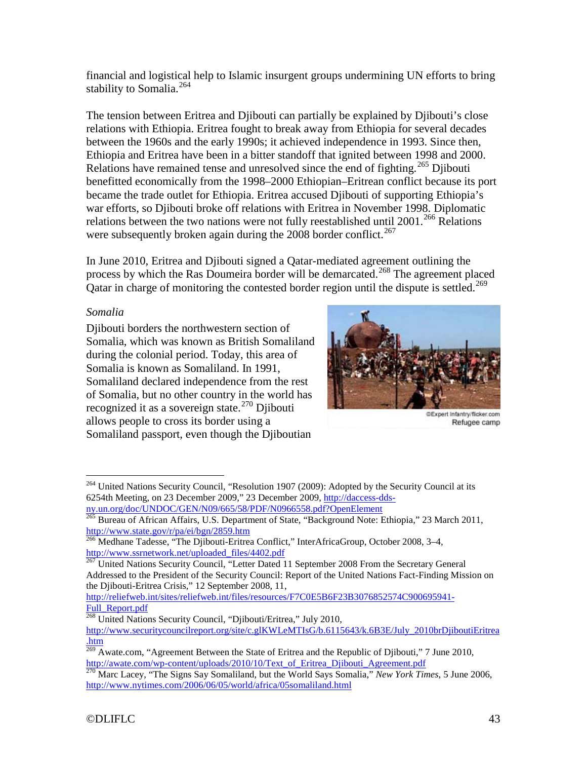financial and logistical help to Islamic insurgent groups undermining UN efforts to bring stability to Somalia.<sup>[264](#page-42-1)</sup>

The tension between Eritrea and Djibouti can partially be explained by Djibouti's close relations with Ethiopia. Eritrea fought to break away from Ethiopia for several decades between the 1960s and the early 1990s; it achieved independence in 1993. Since then, Ethiopia and Eritrea have been in a bitter standoff that ignited between 1998 and 2000. Relations have remained tense and unresolved since the end of fighting.<sup>[265](#page-42-2)</sup> Djibouti benefitted economically from the 1998–2000 Ethiopian–Eritrean conflict because its port became the trade outlet for Ethiopia. Eritrea accused Djibouti of supporting Ethiopia's war efforts, so Djibouti broke off relations with Eritrea in November 1998. Diplomatic relations between the two nations were not fully reestablished until  $2001$ .<sup>[266](#page-42-3)</sup> Relations were subsequently broken again during the  $2008$  border conflict.<sup>[267](#page-42-4)</sup>

In June 2010, Eritrea and Djibouti signed a Qatar-mediated agreement outlining the process by which the Ras Doumeira border will be demarcated.<sup>[268](#page-42-5)</sup> The agreement placed Qatar in charge of monitoring the contested border region until the dispute is settled.<sup>[269](#page-42-6)</sup>

# <span id="page-42-0"></span>*Somalia*

Djibouti borders the northwestern section of Somalia, which was known as British Somaliland during the colonial period. Today, this area of Somalia is known as Somaliland. In 1991, Somaliland declared independence from the rest of Somalia, but no other country in the world has recognized it as a sovereign state.<sup>[270](#page-42-7)</sup> Djibouti allows people to cross its border using a Somaliland passport, even though the Djiboutian



@Expert Infantry/flicker.com Refugee camp

[http://reliefweb.int/sites/reliefweb.int/files/resources/F7C0E5B6F23B3076852574C900695941-](http://reliefweb.int/sites/reliefweb.int/files/resources/F7C0E5B6F23B3076852574C900695941-Full_Report.pdf) [Full\\_Report.pdf](http://reliefweb.int/sites/reliefweb.int/files/resources/F7C0E5B6F23B3076852574C900695941-Full_Report.pdf)

<span id="page-42-5"></span><sup>268</sup> United Nations Security Council, "Djibouti/Eritrea," July 2010, [http://www.securitycouncilreport.org/site/c.glKWLeMTIsG/b.6115643/k.6B3E/July\\_2010brDjiboutiEritrea](http://www.securitycouncilreport.org/site/c.glKWLeMTIsG/b.6115643/k.6B3E/July_2010brDjiboutiEritrea.htm) [.htm](http://www.securitycouncilreport.org/site/c.glKWLeMTIsG/b.6115643/k.6B3E/July_2010brDjiboutiEritrea.htm)

<span id="page-42-1"></span><sup>&</sup>lt;sup>264</sup> United Nations Security Council, "Resolution 1907 (2009): Adopted by the Security Council at its 6254th Meeting, on 23 December 2009," 23 December 2009, [http://daccess-dds](http://daccess-dds-ny.un.org/doc/UNDOC/GEN/N09/665/58/PDF/N0966558.pdf?OpenElement)[ny.un.org/doc/UNDOC/GEN/N09/665/58/PDF/N0966558.pdf?OpenElement](http://daccess-dds-ny.un.org/doc/UNDOC/GEN/N09/665/58/PDF/N0966558.pdf?OpenElement)

<span id="page-42-2"></span><sup>265</sup> Bureau of African Affairs, U.S. Department of State, "Background Note: Ethiopia," 23 March 2011, <http://www.state.gov/r/pa/ei/bgn/2859.htm>

<span id="page-42-3"></span><sup>&</sup>lt;sup>266</sup> Medhane Tadesse, "The Djibouti-Eritrea Conflict," InterAfricaGroup, October 2008, 3-4, [http://www.ssrnetwork.net/uploaded\\_files/4402.pdf](http://www.ssrnetwork.net/uploaded_files/4402.pdf)

<span id="page-42-4"></span><sup>&</sup>lt;sup>267</sup> United Nations Security Council, "Letter Dated 11 September 2008 From the Secretary General Addressed to the President of the Security Council: Report of the United Nations Fact-Finding Mission on the Djibouti-Eritrea Crisis," 12 September 2008, 11,

<span id="page-42-6"></span> $\frac{269}{269}$  Awate.com, "Agreement Between the State of Eritrea and the Republic of Djibouti," 7 June 2010, [http://awate.com/wp-content/uploads/2010/10/Text\\_of\\_Eritrea\\_Djibouti\\_Agreement.pdf](http://awate.com/wp-content/uploads/2010/10/Text_of_Eritrea_Djibouti_Agreement.pdf) <sup>270</sup> Marc Lacey, "The Signs Say Somaliland, but the World Says Somalia," *New York Times*, 5 June 2006,

<span id="page-42-7"></span><http://www.nytimes.com/2006/06/05/world/africa/05somaliland.html>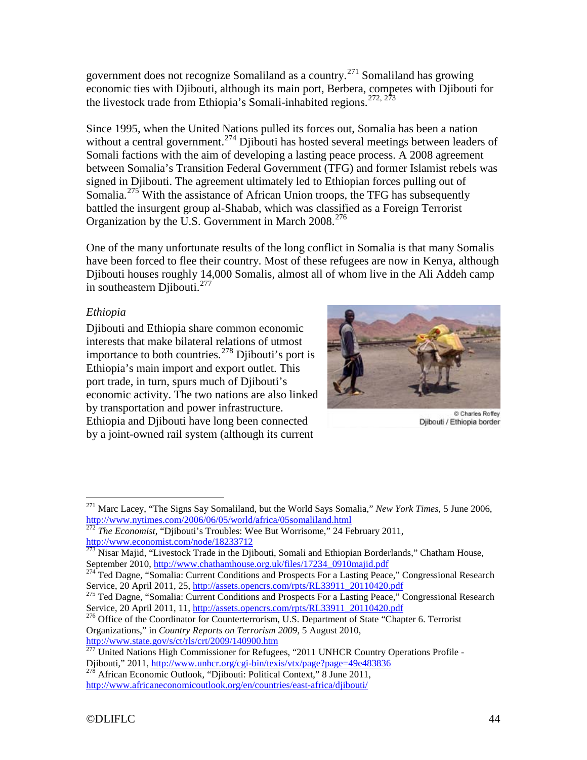government does not recognize Somaliland as a country.<sup>[271](#page-43-1)</sup> Somaliland has growing economic ties with Djibouti, although its main port, Berbera, competes with Djibouti for the livestock trade from Ethiopia's Somali-inhabited regions.<sup>[272](#page-43-2), [273](#page-43-3)</sup>

Since 1995, when the United Nations pulled its forces out, Somalia has been a nation without a central government.<sup>[274](#page-43-4)</sup> Djibouti has hosted several meetings between leaders of Somali factions with the aim of developing a lasting peace process. A 2008 agreement between Somalia's Transition Federal Government (TFG) and former Islamist rebels was signed in Djibouti. The agreement ultimately led to Ethiopian forces pulling out of Somalia.<sup>[275](#page-43-5)</sup> With the assistance of African Union troops, the TFG has subsequently battled the insurgent group al-Shabab, which was classified as a Foreign Terrorist Organization by the U.S. Government in March  $2008.<sup>276</sup>$  $2008.<sup>276</sup>$  $2008.<sup>276</sup>$ 

One of the many unfortunate results of the long conflict in Somalia is that many Somalis have been forced to flee their country. Most of these refugees are now in Kenya, although Djibouti houses roughly 14,000 Somalis, almost all of whom live in the Ali Addeh camp in southeastern Diibouti.<sup>[277](#page-43-7)</sup>

# <span id="page-43-0"></span>*Ethiopia*

Djibouti and Ethiopia share common economic interests that make bilateral relations of utmost importance to both countries.<sup>[278](#page-43-8)</sup> Djibouti's port is Ethiopia's main import and export outlet. This port trade, in turn, spurs much of Djibouti's economic activity. The two nations are also linked by transportation and power infrastructure. Ethiopia and Djibouti have long been connected by a joint-owned rail system (although its current



C Charles Roffey Djibouti / Ethiopia border

<span id="page-43-1"></span> <sup>271</sup> Marc Lacey, "The Signs Say Somaliland, but the World Says Somalia," *New York Times*, 5 June 2006, <http://www.nytimes.com/2006/06/05/world/africa/05somaliland.html>

<span id="page-43-2"></span><sup>&</sup>lt;sup>272</sup> *The Economist*, "Djibouti's Troubles: Wee But Worrisome," 24 February 2011, <http://www.economist.com/node/18233712>

<sup>&</sup>lt;sup>273</sup> Nisar Majid, "Livestock Trade in the Djibouti, Somali and Ethiopian Borderlands," Chatham House,

<span id="page-43-4"></span><span id="page-43-3"></span>September 2010, [http://www.chathamhouse.org.uk/files/17234\\_0910majid.pdf](http://www.chathamhouse.org.uk/files/17234_0910majid.pdf)<br><sup>274</sup> Ted Dagne, "Somalia: Current Conditions and Prospects For a Lasting Peace," Congressional Research<br>Service, 20 April 2011, 25, http://assets.op

<span id="page-43-5"></span><sup>&</sup>lt;sup>275</sup> Ted Dagne, "Somalia: Current Conditions and Prospects For a Lasting Peace," Congressional Research Service, 20 April 2011, 11, [http://assets.opencrs.com/rpts/RL33911\\_20110420.pdf](http://assets.opencrs.com/rpts/RL33911_20110420.pdf)

<span id="page-43-6"></span><sup>&</sup>lt;sup>276</sup> Office of the Coordinator for Counterterrorism, U.S. Department of State "Chapter 6. Terrorist Organizations," in *Country Reports on Terrorism 2009*, 5 August 2010, http://www.state.gov/s/ct/rls/crt/2009/140900.htm

<span id="page-43-7"></span> $\frac{277}{277}$  United Nations High Commissioner for Refugees, "2011 UNHCR Country Operations Profile -<br>Diibouti," 2011, http://www.unhcr.org/cgi-bin/texis/vtx/page?page=49e483836

<span id="page-43-8"></span> $278$  African Economic Outlook, "Djibouti: Political Context," 8 June 2011, <http://www.africaneconomicoutlook.org/en/countries/east-africa/djibouti/>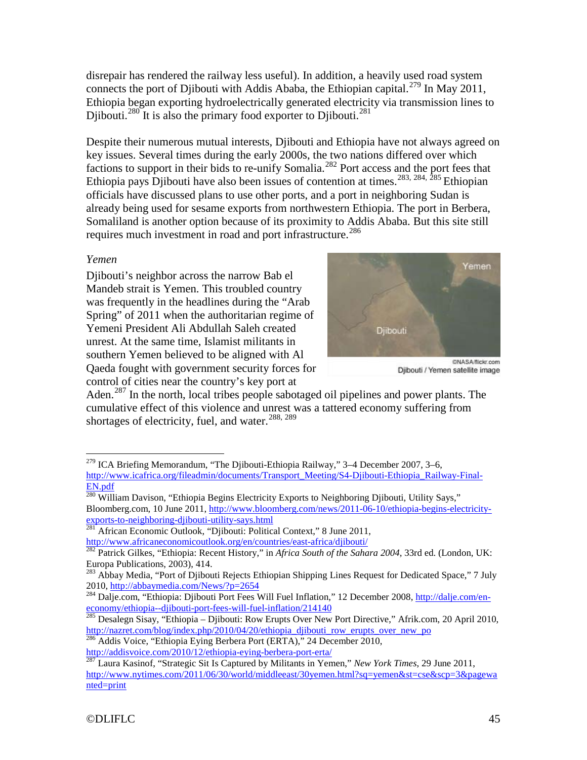disrepair has rendered the railway less useful). In addition, a heavily used road system connects the port of Djibouti with Addis Ababa, the Ethiopian capital.<sup>[279](#page-44-1)</sup> In May 2011, Ethiopia began exporting hydroelectrically generated electricity via transmission lines to Djibouti.<sup>[280](#page-44-2)</sup> It is also the primary food exporter to Djibouti.<sup>[281](#page-44-3)</sup>

Despite their numerous mutual interests, Djibouti and Ethiopia have not always agreed on key issues. Several times during the early 2000s, the two nations differed over which factions to support in their bids to re-unify Somalia.<sup>[282](#page-44-4)</sup> Port access and the port fees that Ethiopia pays Djibouti have also been issues of contention at times.<sup>[283](#page-44-5), [284,](#page-44-6) [285](#page-44-7)</sup> Ethiopian officials have discussed plans to use other ports, and a port in neighboring Sudan is already being used for sesame exports from northwestern Ethiopia. The port in Berbera, Somaliland is another option because of its proximity to Addis Ababa. But this site still requires much investment in road and port infrastructure.<sup>[286](#page-44-8)</sup>

#### <span id="page-44-0"></span>*Yemen*

Djibouti's neighbor across the narrow Bab el Mandeb strait is Yemen. This troubled country was frequently in the headlines during the "Arab Spring" of 2011 when the authoritarian regime of Yemeni President Ali Abdullah Saleh created unrest. At the same time, Islamist militants in southern Yemen believed to be aligned with Al Qaeda fought with government security forces for control of cities near the country's key port at



Djibouti / Yemen satellite image

Aden.<sup>[287](#page-44-9)</sup> In the north, local tribes people sabotaged oil pipelines and power plants. The cumulative effect of this violence and unrest was a tattered economy suffering from shortages of electricity, fuel, and water.<sup>[288,](#page-44-10) [289](#page-44-11)</sup>

[exports-to-neighboring-djibouti-utility-says.html](http://www.bloomberg.com/news/2011-06-10/ethiopia-begins-electricity-exports-to-neighboring-djibouti-utility-says.html) <sup>281</sup> African Economic Outlook, "Djibouti: Political Context," 8 June 2011,

<span id="page-44-10"></span><span id="page-44-1"></span><sup>&</sup>lt;sup>279</sup> ICA Briefing Memorandum, "The Djibouti-Ethiopia Railway," 3–4 December 2007, 3–6, [http://www.icafrica.org/fileadmin/documents/Transport\\_Meeting/S4-Djibouti-Ethiopia\\_Railway-Final-](http://www.icafrica.org/fileadmin/documents/Transport_Meeting/S4-Djibouti-Ethiopia_Railway-Final-EN.pdf)[EN.pdf](http://www.icafrica.org/fileadmin/documents/Transport_Meeting/S4-Djibouti-Ethiopia_Railway-Final-EN.pdf)

<span id="page-44-11"></span><span id="page-44-2"></span><sup>280</sup> William Davison, "Ethiopia Begins Electricity Exports to Neighboring Djibouti, Utility Says," Bloomberg.com, 10 June 2011, [http://www.bloomberg.com/news/2011-06-10/ethiopia-begins-electricity-](http://www.bloomberg.com/news/2011-06-10/ethiopia-begins-electricity-exports-to-neighboring-djibouti-utility-says.html)

<span id="page-44-4"></span><span id="page-44-3"></span><http://www.africaneconomicoutlook.org/en/countries/east-africa/djibouti/> <sup>282</sup> Patrick Gilkes, "Ethiopia: Recent History," in *Africa South of the Sahara 2004*, 33rd ed. (London, UK: Europa Publications, 2003), 414.

<span id="page-44-5"></span><sup>&</sup>lt;sup>283</sup> Abbay Media, "Port of Djibouti Rejects Ethiopian Shipping Lines Request for Dedicated Space," 7 July 2010,<http://abbaymedia.com/News/?p=2654><br><sup>284</sup> Dalje.com, "Ethiopia: Djibouti Port Fees Will Fuel Inflation," 12 December 2008, <u>http://dalje.com/en-</u>

<span id="page-44-7"></span><span id="page-44-6"></span>[economy/ethiopia--djibouti-port-fees-will-fuel-inflation/214140](http://dalje.com/en-economy/ethiopia--djibouti-port-fees-will-fuel-inflation/214140)<br>
<sup>285</sup> Desalegn Sisay, "Ethiopia – Djibouti: Row Erupts Over New Port Directive," Afrik.com, 20 April 2010,<br>
http://nazret.com/blog/index.php/2010/04/20/ethio

http://nazret.com/blog/index.php/2010/ethiopia\_ethiopia\_ethiopia\_ethera\_Port (ERTA)," 24 December 2010,

<span id="page-44-9"></span><span id="page-44-8"></span><http://addisvoice.com/2010/12/ethiopia-eying-berbera-port-erta/> <sup>287</sup> Laura Kasinof, "Strategic Sit Is Captured by Militants in Yemen," *New York Times*, 29 June 2011, [http://www.nytimes.com/2011/06/30/world/middleeast/30yemen.html?sq=yemen&st=cse&scp=3&pagewa](http://www.nytimes.com/2011/06/30/world/middleeast/30yemen.html?sq=yemen&st=cse&scp=3&pagewanted=print) [nted=print](http://www.nytimes.com/2011/06/30/world/middleeast/30yemen.html?sq=yemen&st=cse&scp=3&pagewanted=print)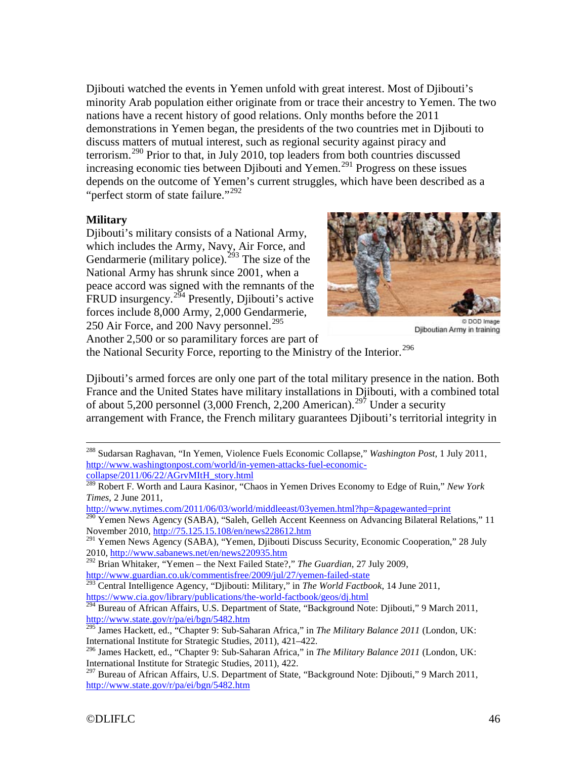Djibouti watched the events in Yemen unfold with great interest. Most of Djibouti's minority Arab population either originate from or trace their ancestry to Yemen. The two nations have a recent history of good relations. Only months before the 2011 demonstrations in Yemen began, the presidents of the two countries met in Djibouti to discuss matters of mutual interest, such as regional security against piracy and terrorism.[290](#page-45-1) Prior to that, in July 2010, top leaders from both countries discussed increasing economic ties between Djibouti and Yemen.<sup>[291](#page-45-2)</sup> Progress on these issues depends on the outcome of Yemen's current struggles, which have been described as a "perfect storm of state failure."<sup>[292](#page-45-3)</sup>

# <span id="page-45-0"></span>**Military**

Djibouti's military consists of a National Army, which includes the Army, Navy, Air Force, and Gendarmerie (military police).<sup>[293](#page-45-4)</sup> The size of the National Army has shrunk since 2001, when a peace accord was signed with the remnants of the FRUD insurgency.[294](#page-45-5) Presently, Djibouti's active forces include 8,000 Army, 2,000 Gendarmerie, 250 Air Force, and 200 Navy personnel.<sup>[295](#page-45-6)</sup> Another 2,500 or so paramilitary forces are part of



Djiboutian Army in training

the National Security Force, reporting to the Ministry of the Interior.<sup>[296](#page-45-7)</sup>

Djibouti's armed forces are only one part of the total military presence in the nation. Both France and the United States have military installations in Djibouti, with a combined total of about 5,200 personnel (3,000 French, 2,200 American).<sup>[297](#page-45-8)</sup> Under a security arrangement with France, the French military guarantees Djibouti's territorial integrity in

[collapse/2011/06/22/AGrvMItH\\_story.html](http://www.washingtonpost.com/world/in-yemen-attacks-fuel-economic-collapse/2011/06/22/AGrvMItH_story.html)

<http://www.nytimes.com/2011/06/03/world/middleeast/03yemen.html?hp=&pagewanted=print>

<span id="page-45-1"></span><sup>290</sup> Yemen News Agency (SABA), "Saleh, Gelleh Accent Keenness on Advancing Bilateral Relations," 11 November 2010[, http://75.125.15.108/en/news228612.htm](http://75.125.15.108/en/news228612.htm)

<span id="page-45-3"></span><sup>292</sup> Brian Whitaker, "Yemen – the Next Failed State?," *The Guardian*, 27 July 2009, <http://www.guardian.co.uk/commentisfree/2009/jul/27/yemen-failed-state>

<span id="page-45-4"></span><sup>293</sup> Central Intelligence Agency, "Djibouti: Military," in *The World Factbook*, 14 June 2011, <https://www.cia.gov/library/publications/the-world-factbook/geos/dj.html>

<span id="page-45-6"></span><sup>295</sup> James Hackett, ed., "Chapter 9: Sub-Saharan Africa," in *The Military Balance 2011* (London, UK: International Institute for Strategic Studies, 2011), 421–422.

 <sup>288</sup> Sudarsan Raghavan, "In Yemen, Violence Fuels Economic Collapse," *Washington Post*, 1 July 2011, [http://www.washingtonpost.com/world/in-yemen-attacks-fuel-economic-](http://www.washingtonpost.com/world/in-yemen-attacks-fuel-economic-collapse/2011/06/22/AGrvMItH_story.html)

<sup>289</sup> Robert F. Worth and Laura Kasinor, "Chaos in Yemen Drives Economy to Edge of Ruin," *New York Times*, 2 June 2011,

<span id="page-45-2"></span><sup>&</sup>lt;sup>291</sup> Yemen News Agency (SABA), "Yemen, Djibouti Discuss Security, Economic Cooperation," 28 July 2010,<http://www.sabanews.net/en/news220935.htm>

<span id="page-45-5"></span><sup>&</sup>lt;sup>294</sup> Bureau of African Affairs, U.S. Department of State, "Background Note: Djibouti," 9 March 2011, <http://www.state.gov/r/pa/ei/bgn/5482.htm>

<span id="page-45-7"></span><sup>296</sup> James Hackett, ed., "Chapter 9: Sub-Saharan Africa," in *The Military Balance 2011* (London, UK: International Institute for Strategic Studies, 2011), 422.

<span id="page-45-8"></span><sup>&</sup>lt;sup>297</sup> Bureau of African Affairs, U.S. Department of State, "Background Note: Djibouti," 9 March 2011, <http://www.state.gov/r/pa/ei/bgn/5482.htm>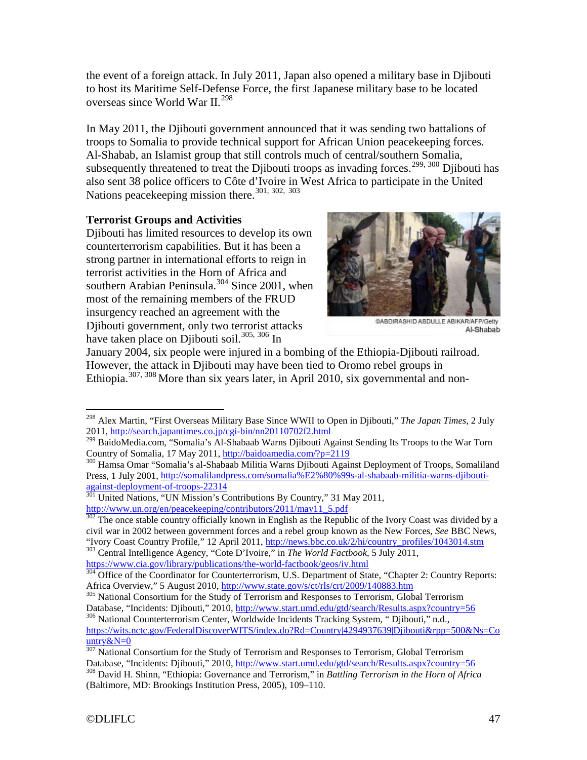the event of a foreign attack. In July 2011, Japan also opened a military base in Djibouti to host its Maritime Self-Defense Force, the first Japanese military base to be located overseas since World War II.<sup>[298](#page-46-1)</sup>

In May 2011, the Djibouti government announced that it was sending two battalions of troops to Somalia to provide technical support for African Union peacekeeping forces. Al-Shabab, an Islamist group that still controls much of central/southern Somalia, subsequently threatened to treat the Djibouti troops as invading forces.<sup>[299,](#page-46-2) [300](#page-46-3)</sup> Djibouti has also sent 38 police officers to Côte d'Ivoire in West Africa to participate in the United Nations peacekeeping mission there.<sup>[301,](#page-46-4) [302](#page-46-5), [303](#page-46-6)</sup>

# <span id="page-46-0"></span>**Terrorist Groups and Activities**

Djibouti has limited resources to develop its own counterterrorism capabilities. But it has been a strong partner in international efforts to reign in terrorist activities in the Horn of Africa and southern Arabian Peninsula.<sup>[304](#page-46-7)</sup> Since 2001, when most of the remaining members of the FRUD insurgency reached an agreement with the Djibouti government, only two terrorist attacks have taken place on Diibouti soil.<sup>[305,](#page-46-8) [306](#page-46-9)</sup> In



@ABDIRASHID ABDULLE ABIKAR/AFP/Getty Al-Shabab

January 2004, six people were injured in a bombing of the Ethiopia-Djibouti railroad. However, the attack in Djibouti may have been tied to Oromo rebel groups in Ethiopia.<sup>[307](#page-46-10), [308](#page-46-11)</sup> More than six years later, in April 2010, six governmental and non-

<span id="page-46-5"></span><sup>302</sup> The once stable country officially known in English as the Republic of the Ivory Coast was divided by a civil war in 2002 between government forces and a rebel group known as the New Forces, *See* BBC News, "Ivory Coast Country Profile," 12 April 2011, http://news.bbc.co.uk/2/hi/country profiles/1043014.stm <sup>303</sup> Central Intelligence Agency, "Cote D'Ivoire," in *The World Factbook*, 5 July 2011,

<span id="page-46-1"></span> <sup>298</sup> Alex Martin, "First Overseas Military Base Since WWII to Open in Djibouti," *The Japan Times*, 2 July 2011, <http://search.japantimes.co.jp/cgi-bin/nn20110702f2.html>

<span id="page-46-2"></span><sup>&</sup>lt;sup>299</sup> BaidoMedia.com, "Somalia's Al-Shabaab Warns Djibouti Against Sending Its Troops to the War Torn Country of Somalia, 17 May 2011,<http://baidoamedia.com/?p=2119><br><sup>300</sup> Hamsa Omar "Somalia's al-Shabaab Militia Warns Djibouti Against Deployment of Troops, Somaliland

<span id="page-46-3"></span>Press, 1 July 2001, [http://somalilandpress.com/somalia%E2%80%99s-al-shabaab-militia-warns-djibouti](http://somalilandpress.com/somalia%E2%80%99s-al-shabaab-militia-warns-djibouti-against-deployment-of-troops-22314)[against-deployment-of-troops-22314](http://somalilandpress.com/somalia%E2%80%99s-al-shabaab-militia-warns-djibouti-against-deployment-of-troops-22314)<br>
<sup>301</sup> United Nations, "UN Mission's Contributions By Country," 31 May 2011,

<span id="page-46-4"></span>[http://www.un.org/en/peacekeeping/contributors/2011/may11\\_5.pdf](http://www.un.org/en/peacekeeping/contributors/2011/may11_5.pdf)

<span id="page-46-7"></span><span id="page-46-6"></span><https://www.cia.gov/library/publications/the-world-factbook/geos/iv.html><br><sup>304</sup> Office of the Coordinator for Counterterrorism, U.S. Department of State, "Chapter 2: Country Reports:<br>Africa Overview," 5 August 2010, http://

<span id="page-46-8"></span><sup>&</sup>lt;sup>305</sup> National Consortium for the Study of Terrorism and Responses to Terrorism, Global Terrorism<br>Database, "Incidents: Djibouti," 2010, http://www.start.umd.edu/gtd/search/Results.aspx?country=56

<span id="page-46-9"></span><sup>&</sup>lt;sup>306</sup> National Counterterrorism Center, Worldwide Incidents Tracking System, " Djibouti," n.d., [https://wits.nctc.gov/FederalDiscoverWITS/index.do?Rd=Country|4294937639|Djibouti&rpp=500&Ns=Co](https://wits.nctc.gov/FederalDiscoverWITS/index.do?Rd=Country|4294937639|Djibouti&rpp=500&Ns=Country&N=0) untry $&N=0$ 

<span id="page-46-11"></span><span id="page-46-10"></span> $\frac{307}{307}$  National Consortium for the Study of Terrorism and Responses to Terrorism, Global Terrorism<br>Database, "Incidents: Djibouti," 2010, http://www.start.umd.edu/gtd/search/Results.aspx?country=56 <sup>308</sup> David H. Shinn, "Ethiopia: Governance and Terrorism," in *Battling Terrorism in the Horn of Africa* (Baltimore, MD: Brookings Institution Press, 2005), 109–110.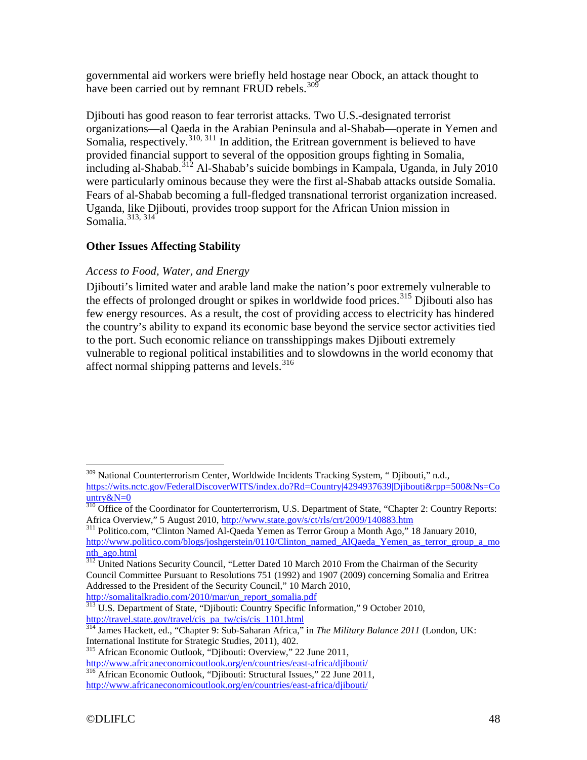governmental aid workers were briefly held hostage near Obock, an attack thought to have been carried out by remnant FRUD rebels.  $30\overline{9}$ 

Djibouti has good reason to fear terrorist attacks. Two U.S.-designated terrorist organizations—al Qaeda in the Arabian Peninsula and al-Shabab—operate in Yemen and Somalia, respectively.<sup>[310](#page-47-3), [311](#page-47-4)</sup> In addition, the Eritrean government is believed to have provided financial support to several of the opposition groups fighting in Somalia, including al-Shabab.<sup>[312](#page-47-5)</sup> Al-Shabab's suicide bombings in Kampala, Uganda, in July 2010 were particularly ominous because they were the first al-Shabab attacks outside Somalia. Fears of al-Shabab becoming a full-fledged transnational terrorist organization increased. Uganda, like Djibouti, provides troop support for the African Union mission in Somalia.[313](#page-47-6), [314](#page-47-7)

# <span id="page-47-1"></span><span id="page-47-0"></span>**Other Issues Affecting Stability**

# *Access to Food, Water, and Energy*

Djibouti's limited water and arable land make the nation's poor extremely vulnerable to the effects of prolonged drought or spikes in worldwide food prices.<sup>[315](#page-47-8)</sup> Djibouti also has few energy resources. As a result, the cost of providing access to electricity has hindered the country's ability to expand its economic base beyond the service sector activities tied to the port. Such economic reliance on transshippings makes Djibouti extremely vulnerable to regional political instabilities and to slowdowns in the world economy that affect normal shipping patterns and levels. $316$ 

<span id="page-47-2"></span><sup>&</sup>lt;sup>309</sup> National Counterterrorism Center, Worldwide Incidents Tracking System, "Djibouti," n.d., [https://wits.nctc.gov/FederalDiscoverWITS/index.do?Rd=Country|4294937639|Djibouti&rpp=500&Ns=Co](https://wits.nctc.gov/FederalDiscoverWITS/index.do?Rd=Country|4294937639|Djibouti&rpp=500&Ns=Country&N=0) [untry&N=0](https://wits.nctc.gov/FederalDiscoverWITS/index.do?Rd=Country|4294937639|Djibouti&rpp=500&Ns=Country&N=0)

<span id="page-47-3"></span><sup>&</sup>lt;sup>310</sup> Office of the Coordinator for Counterterrorism, U.S. Department of State, "Chapter 2: Country Reports: Africa Overview," 5 August 2010,<http://www.state.gov/s/ct/rls/crt/2009/140883.htm> <sup>311</sup> Politico.com, "Clinton Named Al-Qaeda Yemen as Terror Group a Month Ago," 18 January 2010,

<span id="page-47-4"></span>[http://www.politico.com/blogs/joshgerstein/0110/Clinton\\_named\\_AlQaeda\\_Yemen\\_as\\_terror\\_group\\_a\\_mo](http://www.politico.com/blogs/joshgerstein/0110/Clinton_named_AlQaeda_Yemen_as_terror_group_a_month_ago.html) [nth\\_ago.html](http://www.politico.com/blogs/joshgerstein/0110/Clinton_named_AlQaeda_Yemen_as_terror_group_a_month_ago.html)

<span id="page-47-5"></span><sup>&</sup>lt;sup>312</sup> United Nations Security Council, "Letter Dated 10 March 2010 From the Chairman of the Security Council Committee Pursuant to Resolutions 751 (1992) and 1907 (2009) concerning Somalia and Eritrea Addressed to the President of the Security Council," 10 March 2010, [http://somalitalkradio.com/2010/mar/un\\_report\\_somalia.pdf](http://somalitalkradio.com/2010/mar/un_report_somalia.pdf)

<span id="page-47-6"></span><sup>&</sup>lt;sup>313</sup> U.S. Department of State, "Djibouti: Country Specific Information," 9 October 2010, [http://travel.state.gov/travel/cis\\_pa\\_tw/cis/cis\\_1101.html](http://travel.state.gov/travel/cis_pa_tw/cis/cis_1101.html)

<span id="page-47-7"></span><sup>314</sup> James Hackett, ed., "Chapter 9: Sub-Saharan Africa," in *The Military Balance 2011* (London, UK: International Institute for Strategic Studies, 2011), 402.

<span id="page-47-8"></span><sup>315</sup> African Economic Outlook, "Djibouti: Overview," 22 June 2011,

<span id="page-47-9"></span><http://www.africaneconomicoutlook.org/en/countries/east-africa/djibouti/><br><sup>316</sup> African Economic Outlook, "Djibouti: Structural Issues," 22 June 2011, <http://www.africaneconomicoutlook.org/en/countries/east-africa/djibouti/>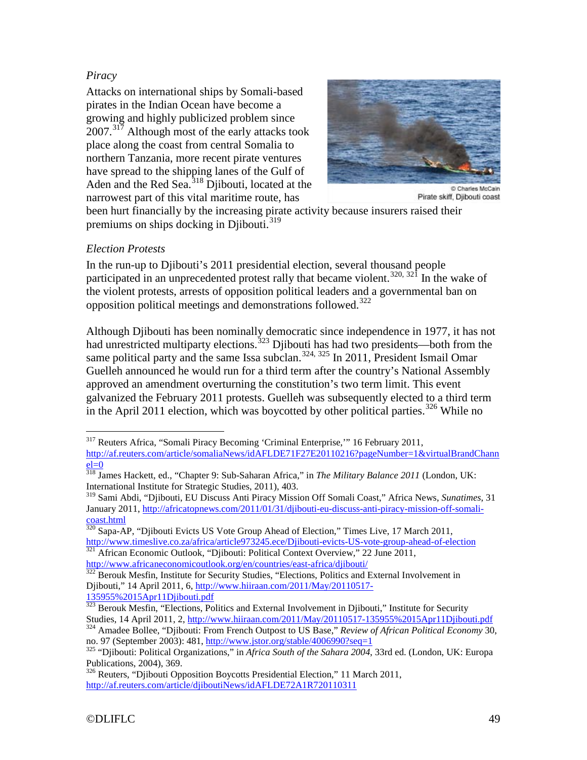# <span id="page-48-0"></span>*Piracy*

Attacks on international ships by Somali-based pirates in the Indian Ocean have become a growing and highly publicized problem since 2007.<sup>[317](#page-48-2)</sup> Although most of the early attacks took place along the coast from central Somalia to northern Tanzania, more recent pirate ventures have spread to the shipping lanes of the Gulf of Aden and the Red Sea.<sup>[318](#page-48-3)</sup> Djibouti, located at the narrowest part of this vital maritime route, has



Pirate skiff, Djibouti coast

been hurt financially by the increasing pirate activity because insurers raised their premiums on ships docking in Djibouti.<sup>[319](#page-48-4)</sup>

# <span id="page-48-1"></span>*Election Protests*

In the run-up to Djibouti's 2011 presidential election, several thousand people participated in an unprecedented protest rally that became violent.<sup>[320,](#page-48-5) [321](#page-48-6)</sup> In the wake of the violent protests, arrests of opposition political leaders and a governmental ban on opposition political meetings and demonstrations followed.[322](#page-48-7)

Although Djibouti has been nominally democratic since independence in 1977, it has not had unrestricted multiparty elections.<sup>[323](#page-48-8)</sup> Djibouti has had two presidents—both from the same political party and the same Issa subclan.<sup>[324](#page-48-9), [325](#page-48-10)</sup> In 2011, President Ismail Omar Guelleh announced he would run for a third term after the country's National Assembly approved an amendment overturning the constitution's two term limit. This event galvanized the February 2011 protests. Guelleh was subsequently elected to a third term in the April 2011 election, which was boycotted by other political parties.<sup>[326](#page-48-11)</sup> While no

<span id="page-48-2"></span> <sup>317</sup> Reuters Africa, "Somali Piracy Becoming 'Criminal Enterprise,'" 16 February 2011, [http://af.reuters.com/article/somaliaNews/idAFLDE71F27E20110216?pageNumber=1&virtualBrandChann](http://af.reuters.com/article/somaliaNews/idAFLDE71F27E20110216?pageNumber=1&virtualBrandChannel=0)  $el = 0$ 

<span id="page-48-3"></span><sup>318</sup> James Hackett, ed., "Chapter 9: Sub-Saharan Africa," in *The Military Balance 2011* (London, UK: International Institute for Strategic Studies, 2011), 403.

<span id="page-48-4"></span><sup>319</sup> Sami Abdi, "Djibouti, EU Discuss Anti Piracy Mission Off Somali Coast," Africa News, *Sunatimes*, 31 January 2011[, http://africatopnews.com/2011/01/31/djibouti-eu-discuss-anti-piracy-mission-off-somali](http://africatopnews.com/2011/01/31/djibouti-eu-discuss-anti-piracy-mission-off-somali-coast.html)[coast.html](http://africatopnews.com/2011/01/31/djibouti-eu-discuss-anti-piracy-mission-off-somali-coast.html)

<span id="page-48-5"></span><sup>&</sup>lt;sup>320</sup> Sapa-AP, "Djibouti Evicts US Vote Group Ahead of Election," Times Live, 17 March 2011, <http://www.timeslive.co.za/africa/article973245.ece/Djibouti-evicts-US-vote-group-ahead-of-election> <sup>321</sup> African Economic Outlook, "Djibouti: Political Context Overview," 22 June 2011,

<span id="page-48-7"></span><span id="page-48-6"></span><http://www.africaneconomicoutlook.org/en/countries/east-africa/djibouti/><br><sup>322</sup> Berouk Mesfin, Institute for Security Studies, "Elections, Politics and External Involvement in Djibouti," 14 April 2011, 6, [http://www.hiiraan.com/2011/May/20110517-](http://www.hiiraan.com/2011/May/20110517-135955%2015Apr11Djibouti.pdf)

<span id="page-48-8"></span>[<sup>135955%2015</sup>Apr11Djibouti.pdf](http://www.hiiraan.com/2011/May/20110517-135955%2015Apr11Djibouti.pdf)<br>
<sup>323</sup> Berouk Mesfin, "Elections, Politics and External Involvement in Djibouti," Institute for Security<br>
Studies, 14 April 2011, 2, http://www.hiiraan.com/2011/May/20110517-135955%2015Apr11Dji

<span id="page-48-9"></span><sup>&</sup>lt;sup>324</sup> Amadee Bollee, "Djibouti: From French Outpost to US Base," *Review of African Political Economy* 30, no. 97 (September 2003): 481, http://www.jstor.org/stable/4006990?seq=1

<span id="page-48-10"></span><sup>&</sup>lt;sup>325</sup> "Djibouti: Political Organizations," in *Africa South of the Sahara 2004*, 33rd ed. (London, UK: Europa Publications, 2004), 369.

<span id="page-48-11"></span><sup>&</sup>lt;sup>326</sup> Reuters, "Djibouti Opposition Boycotts Presidential Election," 11 March 2011, <http://af.reuters.com/article/djiboutiNews/idAFLDE72A1R720110311>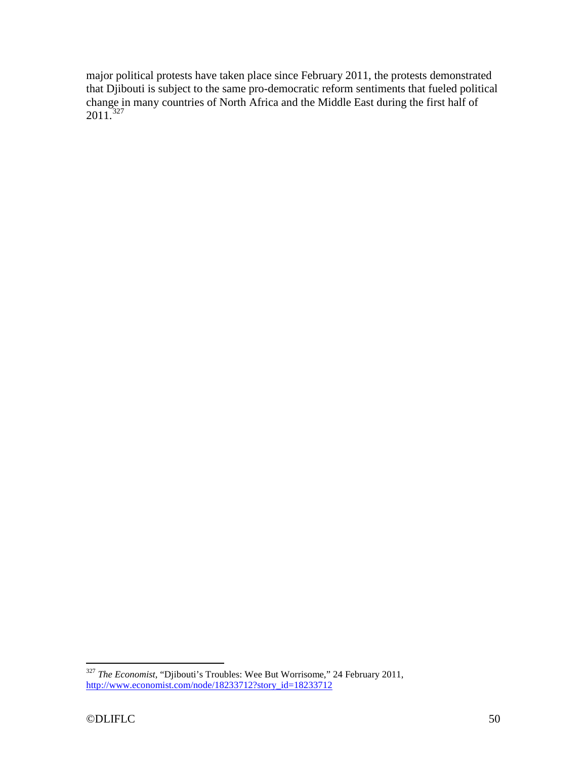major political protests have taken place since February 2011, the protests demonstrated that Djibouti is subject to the same pro-democratic reform sentiments that fueled political change in many countries of North Africa and the Middle East during the first half of  $2011^{327}$  $2011^{327}$  $2011^{327}$ 

<span id="page-49-0"></span> <sup>327</sup> *The Economist*, "Djibouti's Troubles: Wee But Worrisome," 24 February 2011, [http://www.economist.com/node/18233712?story\\_id=18233712](http://www.economist.com/node/18233712?story_id=18233712)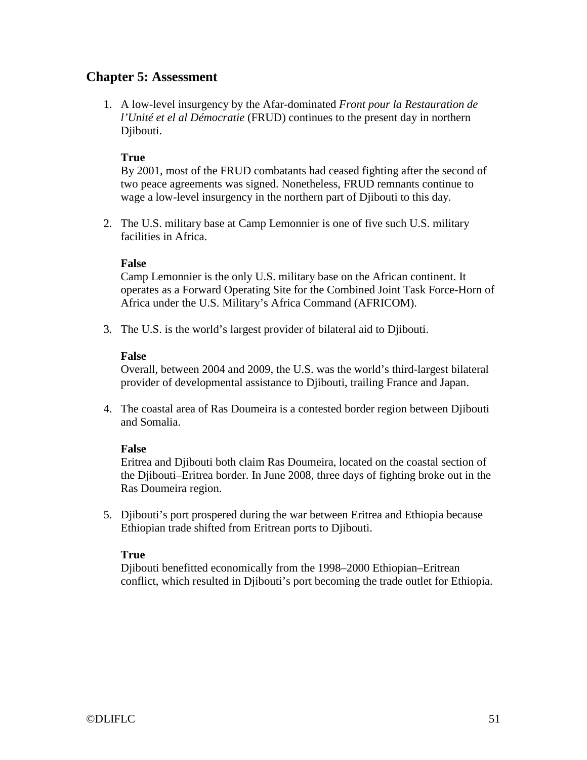# <span id="page-50-0"></span>**Chapter 5: Assessment**

1. A low-level insurgency by the Afar-dominated *Front pour la Restauration de l'Unité et el al Démocratie* (FRUD) continues to the present day in northern Djibouti.

# **True**

By 2001, most of the FRUD combatants had ceased fighting after the second of two peace agreements was signed. Nonetheless, FRUD remnants continue to wage a low-level insurgency in the northern part of Djibouti to this day.

2. The U.S. military base at Camp Lemonnier is one of five such U.S. military facilities in Africa.

#### **False**

Camp Lemonnier is the only U.S. military base on the African continent. It operates as a Forward Operating Site for the Combined Joint Task Force-Horn of Africa under the U.S. Military's Africa Command (AFRICOM).

3. The U.S. is the world's largest provider of bilateral aid to Djibouti.

#### **False**

Overall, between 2004 and 2009, the U.S. was the world's third-largest bilateral provider of developmental assistance to Djibouti, trailing France and Japan.

4. The coastal area of Ras Doumeira is a contested border region between Djibouti and Somalia.

#### **False**

Eritrea and Djibouti both claim Ras Doumeira, located on the coastal section of the Djibouti–Eritrea border. In June 2008, three days of fighting broke out in the Ras Doumeira region.

5. Djibouti's port prospered during the war between Eritrea and Ethiopia because Ethiopian trade shifted from Eritrean ports to Djibouti.

#### **True**

Djibouti benefitted economically from the 1998–2000 Ethiopian–Eritrean conflict, which resulted in Djibouti's port becoming the trade outlet for Ethiopia.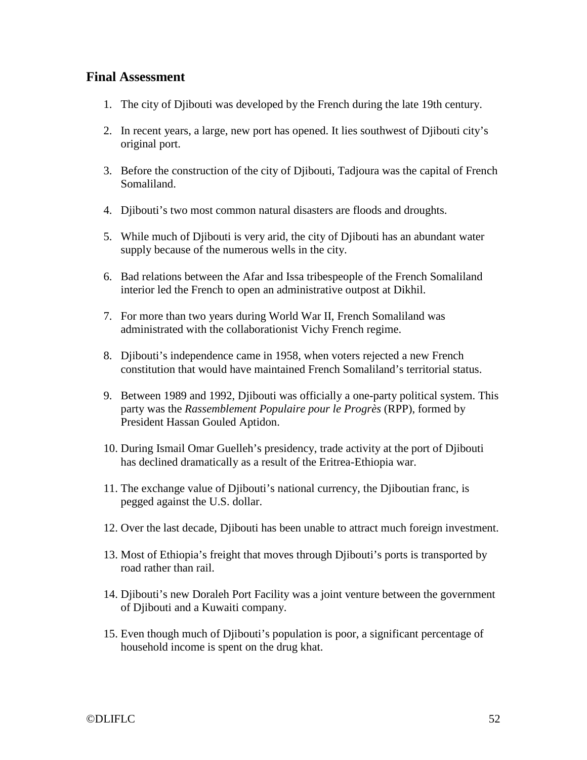# <span id="page-51-0"></span>**Final Assessment**

- 1. The city of Djibouti was developed by the French during the late 19th century.
- 2. In recent years, a large, new port has opened. It lies southwest of Djibouti city's original port.
- 3. Before the construction of the city of Djibouti, Tadjoura was the capital of French Somaliland.
- 4. Djibouti's two most common natural disasters are floods and droughts.
- 5. While much of Djibouti is very arid, the city of Djibouti has an abundant water supply because of the numerous wells in the city.
- 6. Bad relations between the Afar and Issa tribespeople of the French Somaliland interior led the French to open an administrative outpost at Dikhil.
- 7. For more than two years during World War II, French Somaliland was administrated with the collaborationist Vichy French regime.
- 8. Djibouti's independence came in 1958, when voters rejected a new French constitution that would have maintained French Somaliland's territorial status.
- 9. Between 1989 and 1992, Djibouti was officially a one-party political system. This party was the *Rassemblement Populaire pour le Progrès* (RPP), formed by President Hassan Gouled Aptidon.
- 10. During Ismail Omar Guelleh's presidency, trade activity at the port of Djibouti has declined dramatically as a result of the Eritrea-Ethiopia war.
- 11. The exchange value of Djibouti's national currency, the Djiboutian franc, is pegged against the U.S. dollar.
- 12. Over the last decade, Djibouti has been unable to attract much foreign investment.
- 13. Most of Ethiopia's freight that moves through Djibouti's ports is transported by road rather than rail.
- 14. Djibouti's new Doraleh Port Facility was a joint venture between the government of Djibouti and a Kuwaiti company.
- 15. Even though much of Djibouti's population is poor, a significant percentage of household income is spent on the drug khat.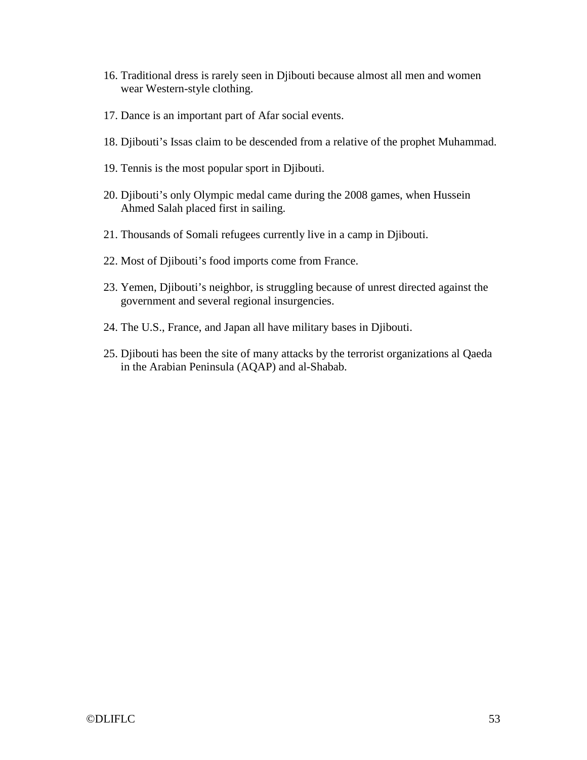- 16. Traditional dress is rarely seen in Djibouti because almost all men and women wear Western-style clothing.
- 17. Dance is an important part of Afar social events.
- 18. Djibouti's Issas claim to be descended from a relative of the prophet Muhammad.
- 19. Tennis is the most popular sport in Djibouti.
- 20. Djibouti's only Olympic medal came during the 2008 games, when Hussein Ahmed Salah placed first in sailing.
- 21. Thousands of Somali refugees currently live in a camp in Djibouti.
- 22. Most of Djibouti's food imports come from France.
- 23. Yemen, Djibouti's neighbor, is struggling because of unrest directed against the government and several regional insurgencies.
- 24. The U.S., France, and Japan all have military bases in Djibouti.
- 25. Djibouti has been the site of many attacks by the terrorist organizations al Qaeda in the Arabian Peninsula (AQAP) and al-Shabab.